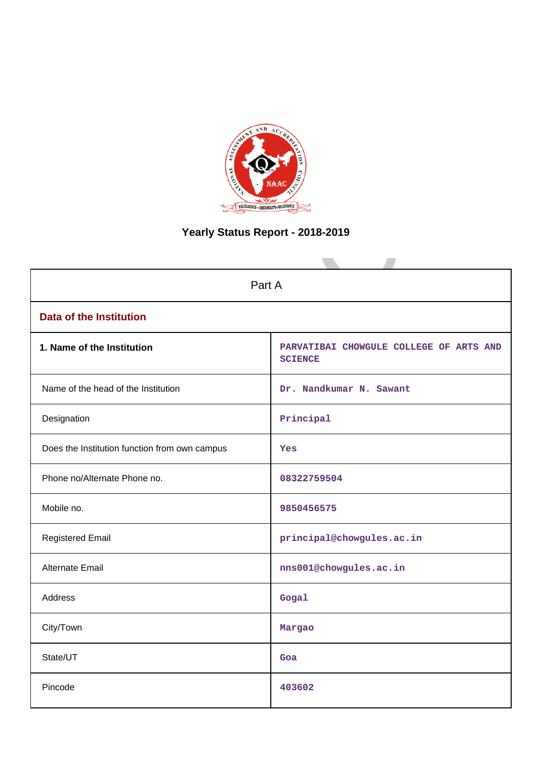

# **Yearly Status Report - 2018-2019**

| Part A                                        |                                                           |  |
|-----------------------------------------------|-----------------------------------------------------------|--|
| <b>Data of the Institution</b>                |                                                           |  |
| 1. Name of the Institution                    | PARVATIBAI CHOWGULE COLLEGE OF ARTS AND<br><b>SCIENCE</b> |  |
| Name of the head of the Institution           | Dr. Nandkumar N. Sawant                                   |  |
| Designation                                   | Principal                                                 |  |
| Does the Institution function from own campus | Yes                                                       |  |
| Phone no/Alternate Phone no.                  | 08322759504                                               |  |
| Mobile no.                                    | 9850456575                                                |  |
| <b>Registered Email</b>                       | principal@chowgules.ac.in                                 |  |
| Alternate Email                               | nns001@chowgules.ac.in                                    |  |
| Address                                       | Gogal                                                     |  |
| City/Town                                     | Margao                                                    |  |
| State/UT                                      | Goa                                                       |  |
| Pincode                                       | 403602                                                    |  |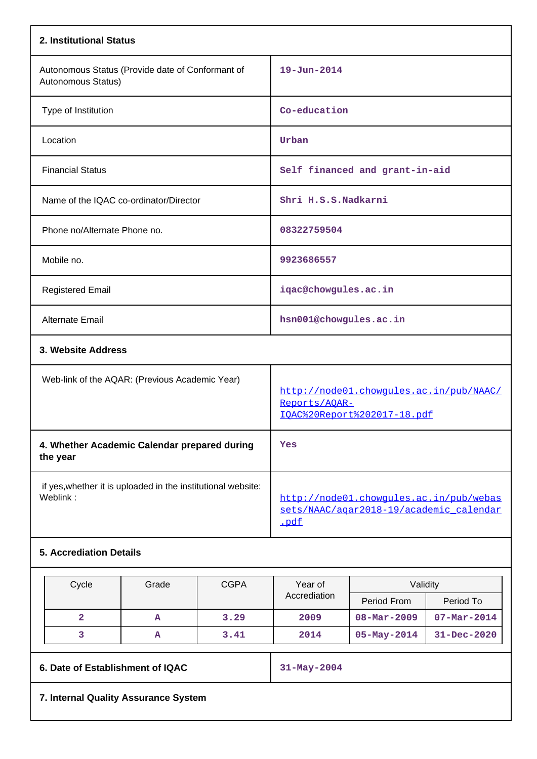|                                                                          | 2. Institutional Status                                                |                                        |                             |                                                                                    |                   |                   |
|--------------------------------------------------------------------------|------------------------------------------------------------------------|----------------------------------------|-----------------------------|------------------------------------------------------------------------------------|-------------------|-------------------|
|                                                                          | Autonomous Status (Provide date of Conformant of<br>Autonomous Status) |                                        | $19 - Jun - 2014$           |                                                                                    |                   |                   |
|                                                                          | Type of Institution                                                    |                                        |                             | Co-education                                                                       |                   |                   |
|                                                                          | Location                                                               |                                        |                             | Urban                                                                              |                   |                   |
|                                                                          | <b>Financial Status</b>                                                |                                        |                             | Self financed and grant-in-aid                                                     |                   |                   |
|                                                                          |                                                                        | Name of the IQAC co-ordinator/Director |                             | Shri H.S.S.Nadkarni                                                                |                   |                   |
|                                                                          | Phone no/Alternate Phone no.                                           |                                        |                             | 08322759504                                                                        |                   |                   |
|                                                                          | Mobile no.                                                             |                                        |                             | 9923686557                                                                         |                   |                   |
|                                                                          | <b>Registered Email</b>                                                |                                        |                             | iqac@chowgules.ac.in                                                               |                   |                   |
|                                                                          | Alternate Email                                                        |                                        |                             | hsn001@chowgules.ac.in                                                             |                   |                   |
| 3. Website Address                                                       |                                                                        |                                        |                             |                                                                                    |                   |                   |
| Web-link of the AQAR: (Previous Academic Year)                           |                                                                        | Reports/AOAR-                          | IQAC%20Report%202017-18.pdf | http://node01.chowgules.ac.in/pub/NAAC/                                            |                   |                   |
| 4. Whether Academic Calendar prepared during<br>the year                 |                                                                        | Yes                                    |                             |                                                                                    |                   |                   |
| if yes, whether it is uploaded in the institutional website:<br>Weblink: |                                                                        | .pdf                                   |                             | http://node01.chowqules.ac.in/pub/webas<br>sets/NAAC/agar2018-19/academic calendar |                   |                   |
|                                                                          | <b>5. Accrediation Details</b>                                         |                                        |                             |                                                                                    |                   |                   |
| <b>CGPA</b><br>Cycle<br>Grade                                            |                                                                        |                                        | Year of                     | Validity                                                                           |                   |                   |
|                                                                          |                                                                        |                                        |                             | Accrediation                                                                       | Period From       | Period To         |
|                                                                          | $\overline{\mathbf{2}}$                                                | A                                      | 3.29                        | 2009                                                                               | $08 - Mar - 2009$ | $07 - Mar - 2014$ |
|                                                                          | 3                                                                      | Α                                      | 3.41                        | 2014                                                                               | $05 - May - 2014$ | 31-Dec-2020       |
|                                                                          |                                                                        |                                        |                             |                                                                                    |                   |                   |

**6. Date of Establishment of IQAC** 31-May-2004

**7. Internal Quality Assurance System**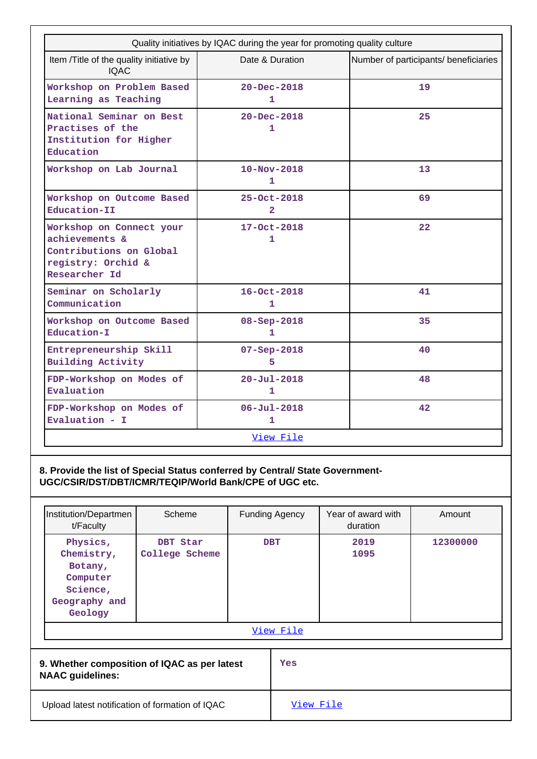|                                                                                                              | Quality initiatives by IQAC during the year for promoting quality culture |                                       |
|--------------------------------------------------------------------------------------------------------------|---------------------------------------------------------------------------|---------------------------------------|
| Item /Title of the quality initiative by<br><b>IQAC</b>                                                      | Date & Duration                                                           | Number of participants/ beneficiaries |
| Workshop on Problem Based<br>Learning as Teaching                                                            | $20 - Dec - 2018$<br>1                                                    | 19                                    |
| National Seminar on Best<br>Practises of the<br>Institution for Higher<br>Education                          | $20 - Dec - 2018$<br>1                                                    | 25                                    |
| Workshop on Lab Journal                                                                                      | $10 - Nov - 2018$<br>1                                                    | 13                                    |
| Workshop on Outcome Based<br>Education-II                                                                    | 25-Oct-2018<br>$\overline{2}$                                             | 69                                    |
| Workshop on Connect your<br>achievements &<br>Contributions on Global<br>registry: Orchid &<br>Researcher Id | 17-Oct-2018<br>1                                                          | $22 \overline{)}$                     |
| Seminar on Scholarly<br>Communication                                                                        | $16 - Oct - 2018$<br>1                                                    | 41                                    |
| Workshop on Outcome Based<br>Education-I                                                                     | 08-Sep-2018<br>1                                                          | 35                                    |
| Entrepreneurship Skill<br><b>Building Activity</b>                                                           | $07 - Sep - 2018$<br>5                                                    | 40                                    |
| FDP-Workshop on Modes of<br>Evaluation                                                                       | $20 - Ju1 - 2018$<br>1                                                    | 48                                    |
| FDP-Workshop on Modes of<br>Evaluation - $I$                                                                 | $06 - Jul - 2018$<br>$\mathbf{1}$                                         | 42                                    |
|                                                                                                              | View File                                                                 |                                       |

**8. Provide the list of Special Status conferred by Central/ State Government-UGC/CSIR/DST/DBT/ICMR/TEQIP/World Bank/CPE of UGC etc.**

| Institution/Departmen                                                                 | Scheme                     |                  | Funding Agency | Year of award with | Amount   |
|---------------------------------------------------------------------------------------|----------------------------|------------------|----------------|--------------------|----------|
| t/Faculty                                                                             |                            |                  |                | duration           |          |
| Physics,<br>Chemistry,<br>Botany,<br>Computer<br>Science,<br>Geography and<br>Geology | DBT Star<br>College Scheme | <b>DBT</b>       |                | 2019<br>1095       | 12300000 |
| View File                                                                             |                            |                  |                |                    |          |
| 9. Whether composition of IQAC as per latest<br><b>NAAC</b> guidelines:               |                            | Yes              |                |                    |          |
| Upload latest notification of formation of IQAC                                       |                            | <u>View File</u> |                |                    |          |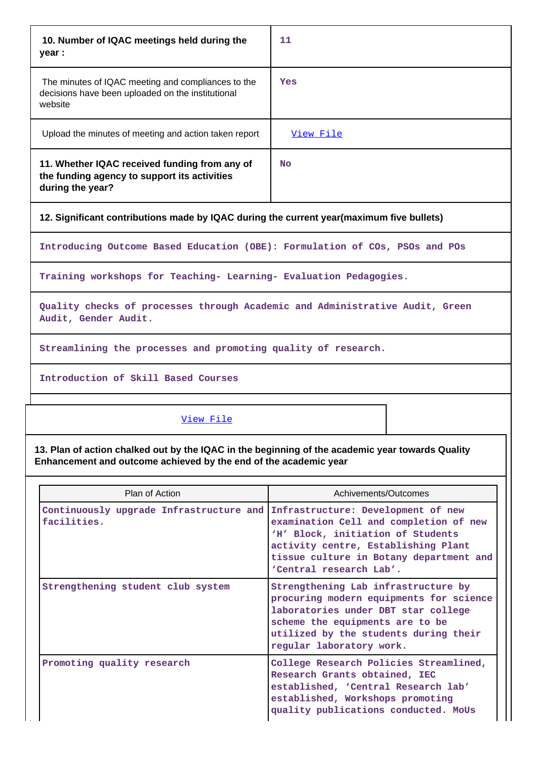| 10. Number of IQAC meetings held during the<br>year :                                                              | 11        |  |  |
|--------------------------------------------------------------------------------------------------------------------|-----------|--|--|
| The minutes of IQAC meeting and compliances to the<br>decisions have been uploaded on the institutional<br>website | Yes       |  |  |
| Upload the minutes of meeting and action taken report                                                              | View File |  |  |
| 11. Whether IQAC received funding from any of<br>the funding agency to support its activities<br>during the year?  | <b>No</b> |  |  |
| 12. Significant contributions made by IQAC during the current year (maximum five bullets)                          |           |  |  |

**Introducing Outcome Based Education (OBE): Formulation of COs, PSOs and POs**

**Training workshops for Teaching- Learning- Evaluation Pedagogies.**

**Quality checks of processes through Academic and Administrative Audit, Green Audit, Gender Audit.**

**Streamlining the processes and promoting quality of research.**

**Introduction of Skill Based Courses**

[View File](https://assessmentonline.naac.gov.in/public/Postacc/Contribution/5478_Contribution.xlsx)

**13. Plan of action chalked out by the IQAC in the beginning of the academic year towards Quality Enhancement and outcome achieved by the end of the academic year**

| Plan of Action                                         | Achivements/Outcomes                                                                                                                                                                                                           |
|--------------------------------------------------------|--------------------------------------------------------------------------------------------------------------------------------------------------------------------------------------------------------------------------------|
| Continuously upgrade Infrastructure and<br>facilities. | Infrastructure: Development of new<br>examination Cell and completion of new<br>'H' Block, initiation of Students<br>activity centre, Establishing Plant<br>tissue culture in Botany department and<br>'Central research Lab'. |
| Strengthening student club system                      | Strengthening Lab infrastructure by<br>procuring modern equipments for science<br>laboratories under DBT star college<br>scheme the equipments are to be<br>utilized by the students during their<br>regular laboratory work.  |
| Promoting quality research                             | College Research Policies Streamlined,<br>Research Grants obtained, IEC<br>established, 'Central Research lab'<br>established, Workshops promoting<br>quality publications conducted. MoUs                                     |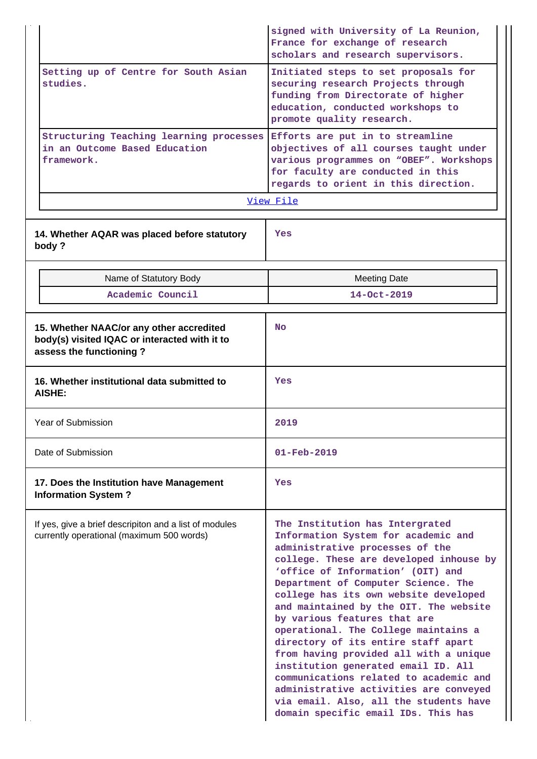|                                                                                                                      | signed with University of La Reunion,<br>France for exchange of research<br>scholars and research supervisors.                                                                                                                                                                                                                                                                                                                                                                                                                                                                                                                                                                           |  |
|----------------------------------------------------------------------------------------------------------------------|------------------------------------------------------------------------------------------------------------------------------------------------------------------------------------------------------------------------------------------------------------------------------------------------------------------------------------------------------------------------------------------------------------------------------------------------------------------------------------------------------------------------------------------------------------------------------------------------------------------------------------------------------------------------------------------|--|
| Setting up of Centre for South Asian<br>studies.                                                                     | Initiated steps to set proposals for<br>securing research Projects through<br>funding from Directorate of higher<br>education, conducted workshops to<br>promote quality research.                                                                                                                                                                                                                                                                                                                                                                                                                                                                                                       |  |
| Structuring Teaching learning processes<br>in an Outcome Based Education<br>framework.                               | Efforts are put in to streamline<br>objectives of all courses taught under<br>various programmes on "OBEF". Workshops<br>for faculty are conducted in this<br>regards to orient in this direction.                                                                                                                                                                                                                                                                                                                                                                                                                                                                                       |  |
|                                                                                                                      | View File                                                                                                                                                                                                                                                                                                                                                                                                                                                                                                                                                                                                                                                                                |  |
| 14. Whether AQAR was placed before statutory<br>body?                                                                | Yes                                                                                                                                                                                                                                                                                                                                                                                                                                                                                                                                                                                                                                                                                      |  |
| Name of Statutory Body                                                                                               | <b>Meeting Date</b>                                                                                                                                                                                                                                                                                                                                                                                                                                                                                                                                                                                                                                                                      |  |
| Academic Council                                                                                                     | $14 - Oct - 2019$                                                                                                                                                                                                                                                                                                                                                                                                                                                                                                                                                                                                                                                                        |  |
| 15. Whether NAAC/or any other accredited<br>body(s) visited IQAC or interacted with it to<br>assess the functioning? | <b>No</b>                                                                                                                                                                                                                                                                                                                                                                                                                                                                                                                                                                                                                                                                                |  |
| 16. Whether institutional data submitted to<br><b>AISHE:</b>                                                         | Yes                                                                                                                                                                                                                                                                                                                                                                                                                                                                                                                                                                                                                                                                                      |  |
| Year of Submission                                                                                                   | 2019                                                                                                                                                                                                                                                                                                                                                                                                                                                                                                                                                                                                                                                                                     |  |
| Date of Submission                                                                                                   | $01 - \text{Feb} - 2019$                                                                                                                                                                                                                                                                                                                                                                                                                                                                                                                                                                                                                                                                 |  |
| 17. Does the Institution have Management<br><b>Information System?</b>                                               | Yes                                                                                                                                                                                                                                                                                                                                                                                                                                                                                                                                                                                                                                                                                      |  |
| If yes, give a brief descripiton and a list of modules<br>currently operational (maximum 500 words)                  | The Institution has Intergrated<br>Information System for academic and<br>administrative processes of the<br>college. These are developed inhouse by<br>'office of Information' (OIT) and<br>Department of Computer Science. The<br>college has its own website developed<br>and maintained by the OIT. The website<br>by various features that are<br>operational. The College maintains a<br>directory of its entire staff apart<br>from having provided all with a unique<br>institution generated email ID. All<br>communications related to academic and<br>administrative activities are conveyed<br>via email. Also, all the students have<br>domain specific email IDs. This has |  |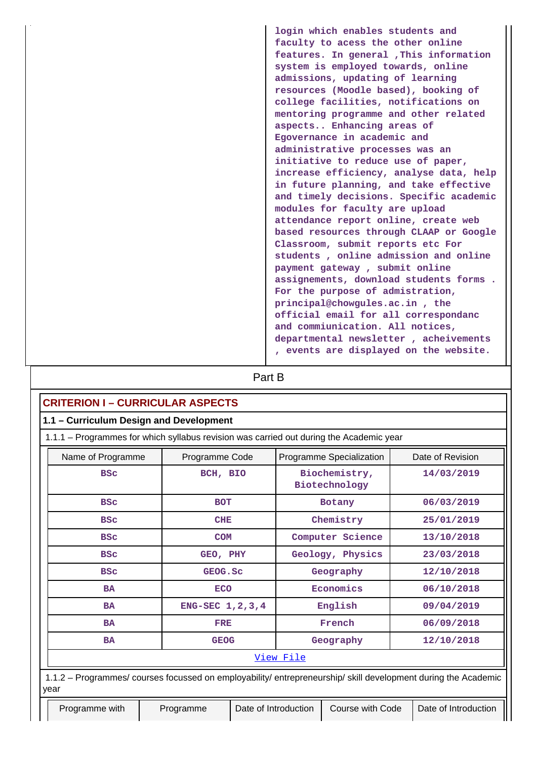**login which enables students and faculty to acess the other online features. In general ,This information system is employed towards, online admissions, updating of learning resources (Moodle based), booking of college facilities, notifications on mentoring programme and other related aspects.. Enhancing areas of Egovernance in academic and administrative processes was an initiative to reduce use of paper, increase efficiency, analyse data, help in future planning, and take effective and timely decisions. Specific academic modules for faculty are upload attendance report online, create web based resources through CLAAP or Google Classroom, submit reports etc For students , online admission and online payment gateway , submit online assignements, download students forms . For the purpose of admistration, principal@chowgules.ac.in , the official email for all correspondanc and commiunication. All notices, departmental newsletter , acheivements , events are displayed on the website.**

# **Part B**

## **CRITERION I – CURRICULAR ASPECTS**

| 1.1 - Curriculum Design and Development                                                                                |                    |                                |                  |  |  |  |
|------------------------------------------------------------------------------------------------------------------------|--------------------|--------------------------------|------------------|--|--|--|
| 1.1.1 - Programmes for which syllabus revision was carried out during the Academic year                                |                    |                                |                  |  |  |  |
| Name of Programme                                                                                                      | Programme Code     | Programme Specialization       | Date of Revision |  |  |  |
| <b>BSC</b>                                                                                                             | BCH, BIO           | Biochemistry,<br>Biotechnology | 14/03/2019       |  |  |  |
| <b>BSC</b>                                                                                                             | <b>BOT</b>         | <b>Botany</b>                  | 06/03/2019       |  |  |  |
| <b>BSC</b>                                                                                                             | <b>CHE</b>         | Chemistry                      | 25/01/2019       |  |  |  |
| <b>BSC</b>                                                                                                             | <b>COM</b>         | Computer Science               | 13/10/2018       |  |  |  |
| <b>BSC</b>                                                                                                             | GEO, PHY           | Geology, Physics               | 23/03/2018       |  |  |  |
| <b>BSC</b>                                                                                                             | GEOG.SC            | Geography                      | 12/10/2018       |  |  |  |
| <b>BA</b>                                                                                                              | <b>ECO</b>         | Economics                      | 06/10/2018       |  |  |  |
| <b>BA</b>                                                                                                              | ENG-SEC 1, 2, 3, 4 | English                        | 09/04/2019       |  |  |  |
| <b>BA</b>                                                                                                              | <b>FRE</b>         | French                         | 06/09/2018       |  |  |  |
| <b>BA</b>                                                                                                              | <b>GEOG</b>        | Geography                      | 12/10/2018       |  |  |  |
| View File                                                                                                              |                    |                                |                  |  |  |  |
| 1.1.2 – Programmes/ courses focussed on employability/ entrepreneurship/ skill development during the Academic<br>vear |                    |                                |                  |  |  |  |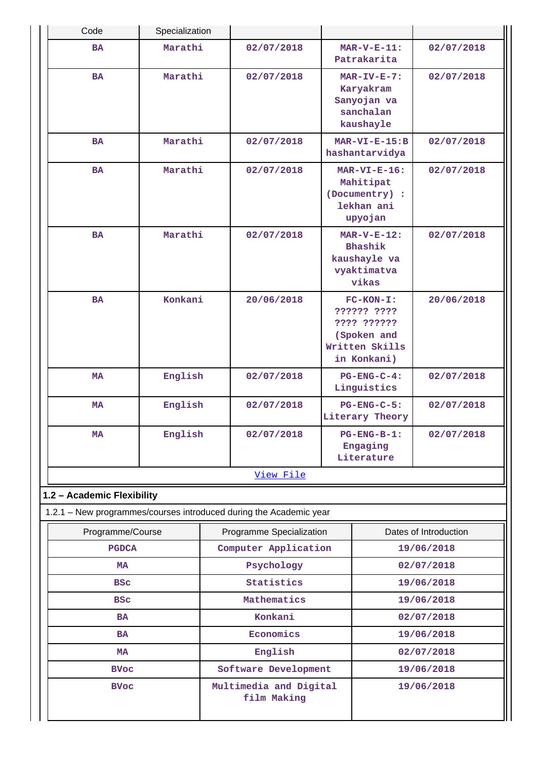| Code                                                               | Specialization |                      |                                       |                                                                                           |                                                                        |                          |
|--------------------------------------------------------------------|----------------|----------------------|---------------------------------------|-------------------------------------------------------------------------------------------|------------------------------------------------------------------------|--------------------------|
| <b>BA</b>                                                          | Marathi        |                      | 02/07/2018                            |                                                                                           | $MAR-V-E-11:$<br>Patrakarita                                           | 02/07/2018               |
| <b>BA</b>                                                          | Marathi        |                      | 02/07/2018                            |                                                                                           | $MAR-TV-E-7:$<br>Karyakram<br>Sanyojan va<br>sanchalan<br>kaushayle    | 02/07/2018               |
| <b>BA</b>                                                          | Marathi        |                      | 02/07/2018                            |                                                                                           | $MAR-VI-E-15:B$<br>hashantarvidya                                      | 02/07/2018               |
| <b>BA</b>                                                          | Marathi        |                      | 02/07/2018                            |                                                                                           | $MAR-VI-E-16:$<br>Mahitipat<br>(Documentry) :<br>lekhan ani<br>upyojan | 02/07/2018               |
| <b>BA</b>                                                          | Marathi        |                      | 02/07/2018                            |                                                                                           | $MAR-V-E-12:$<br>Bhashik<br>kaushayle va<br>vyaktimatva<br>vikas       | 02/07/2018               |
| <b>BA</b>                                                          | Konkani        |                      | 20/06/2018                            | $FC-KON-I:$<br>?????? ????<br>???? ??????<br>(Spoken and<br>Written Skills<br>in Konkani) |                                                                        | 20/06/2018               |
| <b>MA</b>                                                          | English        |                      | 02/07/2018                            | $PG-ENG-C-4:$<br>Linguistics                                                              |                                                                        | 02/07/2018               |
| MA                                                                 | English        |                      | 02/07/2018                            |                                                                                           | $PG-ENG-C-5:$<br>Literary Theory                                       | 02/07/2018               |
| <b>MA</b>                                                          | English        |                      | 02/07/2018                            |                                                                                           | $PG$ -ENG-B-1:<br>Engaging<br>Literature                               | 02/07/2018               |
| View File                                                          |                |                      |                                       |                                                                                           |                                                                        |                          |
| 1.2 - Academic Flexibility                                         |                |                      |                                       |                                                                                           |                                                                        |                          |
| 1.2.1 - New programmes/courses introduced during the Academic year |                |                      |                                       |                                                                                           |                                                                        |                          |
| Programme/Course                                                   |                |                      | Programme Specialization              |                                                                                           |                                                                        | Dates of Introduction    |
| <b>PGDCA</b>                                                       |                |                      | Computer Application                  |                                                                                           |                                                                        | 19/06/2018               |
| <b>MA</b>                                                          |                |                      | Psychology                            |                                                                                           |                                                                        | 02/07/2018               |
| <b>BSC</b>                                                         |                | Statistics           |                                       |                                                                                           | 19/06/2018                                                             |                          |
| <b>BSC</b>                                                         |                |                      | Mathematics                           |                                                                                           |                                                                        | 19/06/2018               |
| <b>BA</b>                                                          | <b>BA</b>      |                      | Konkani<br>Economics                  |                                                                                           |                                                                        | 02/07/2018<br>19/06/2018 |
| <b>MA</b>                                                          |                | English              |                                       |                                                                                           | 02/07/2018                                                             |                          |
| <b>BVoc</b>                                                        |                | Software Development |                                       |                                                                                           | 19/06/2018                                                             |                          |
| <b>BVoc</b>                                                        |                |                      | Multimedia and Digital<br>film Making |                                                                                           |                                                                        | 19/06/2018               |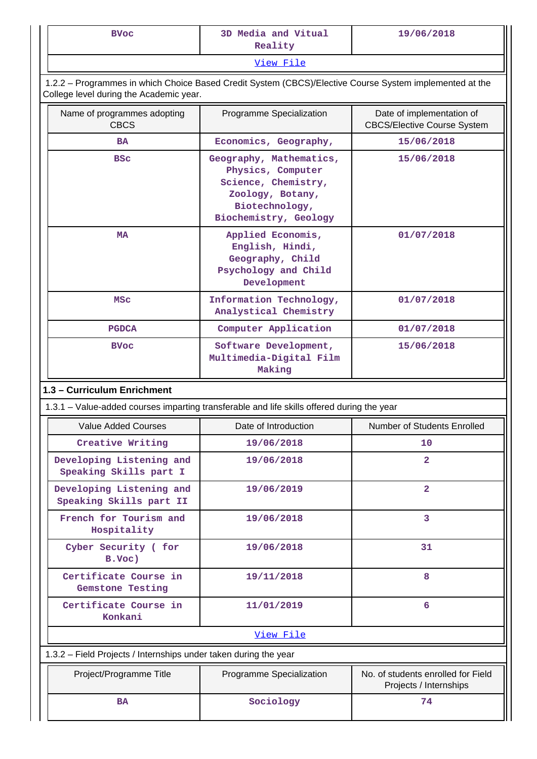| 3D Media and Vitual<br><b>BVoc</b><br>Reality                                                                                                      |                                                                                                                                                  | 19/06/2018                                                      |  |  |  |
|----------------------------------------------------------------------------------------------------------------------------------------------------|--------------------------------------------------------------------------------------------------------------------------------------------------|-----------------------------------------------------------------|--|--|--|
| View File                                                                                                                                          |                                                                                                                                                  |                                                                 |  |  |  |
| 1.2.2 - Programmes in which Choice Based Credit System (CBCS)/Elective Course System implemented at the<br>College level during the Academic year. |                                                                                                                                                  |                                                                 |  |  |  |
| Name of programmes adopting<br><b>CBCS</b>                                                                                                         | Programme Specialization                                                                                                                         | Date of implementation of<br><b>CBCS/Elective Course System</b> |  |  |  |
| <b>BA</b>                                                                                                                                          | Economics, Geography,                                                                                                                            | 15/06/2018                                                      |  |  |  |
| <b>BSC</b>                                                                                                                                         | Geography, Mathematics,<br>15/06/2018<br>Physics, Computer<br>Science, Chemistry,<br>Zoology, Botany,<br>Biotechnology,<br>Biochemistry, Geology |                                                                 |  |  |  |
| MA                                                                                                                                                 | Applied Economis,<br>English, Hindi,<br>Geography, Child<br>Psychology and Child<br>Development                                                  | 01/07/2018                                                      |  |  |  |
| Information Technology,<br>MSC<br>Analystical Chemistry                                                                                            |                                                                                                                                                  | 01/07/2018                                                      |  |  |  |
| Computer Application<br><b>PGDCA</b>                                                                                                               |                                                                                                                                                  | 01/07/2018                                                      |  |  |  |
| <b>BVoc</b>                                                                                                                                        | Software Development,<br>Multimedia-Digital Film<br>Making                                                                                       | 15/06/2018                                                      |  |  |  |
| 1.3 - Curriculum Enrichment                                                                                                                        |                                                                                                                                                  |                                                                 |  |  |  |
| 1.3.1 – Value-added courses imparting transferable and life skills offered during the year                                                         |                                                                                                                                                  |                                                                 |  |  |  |
| <b>Value Added Courses</b>                                                                                                                         | Date of Introduction                                                                                                                             | Number of Students Enrolled                                     |  |  |  |
| Creative Writing                                                                                                                                   | 19/06/2018                                                                                                                                       | 10                                                              |  |  |  |
| Developing Listening and<br>Speaking Skills part I                                                                                                 | 19/06/2018                                                                                                                                       | $\overline{2}$                                                  |  |  |  |
| Developing Listening and<br>Speaking Skills part II                                                                                                | 19/06/2019                                                                                                                                       | $\overline{2}$                                                  |  |  |  |
| French for Tourism and<br>Hospitality                                                                                                              | 19/06/2018                                                                                                                                       | 3                                                               |  |  |  |
| Cyber Security ( for<br>B.Voc)                                                                                                                     | 19/06/2018                                                                                                                                       | 31                                                              |  |  |  |
| Certificate Course in<br><b>Gemstone Testing</b>                                                                                                   | 19/11/2018                                                                                                                                       | 8                                                               |  |  |  |
| Certificate Course in<br>Konkani                                                                                                                   | 11/01/2019                                                                                                                                       | 6                                                               |  |  |  |
|                                                                                                                                                    | View File                                                                                                                                        |                                                                 |  |  |  |
| 1.3.2 - Field Projects / Internships under taken during the year                                                                                   |                                                                                                                                                  |                                                                 |  |  |  |
| Project/Programme Title                                                                                                                            | Programme Specialization                                                                                                                         | No. of students enrolled for Field<br>Projects / Internships    |  |  |  |
| 74<br>Sociology<br><b>BA</b>                                                                                                                       |                                                                                                                                                  |                                                                 |  |  |  |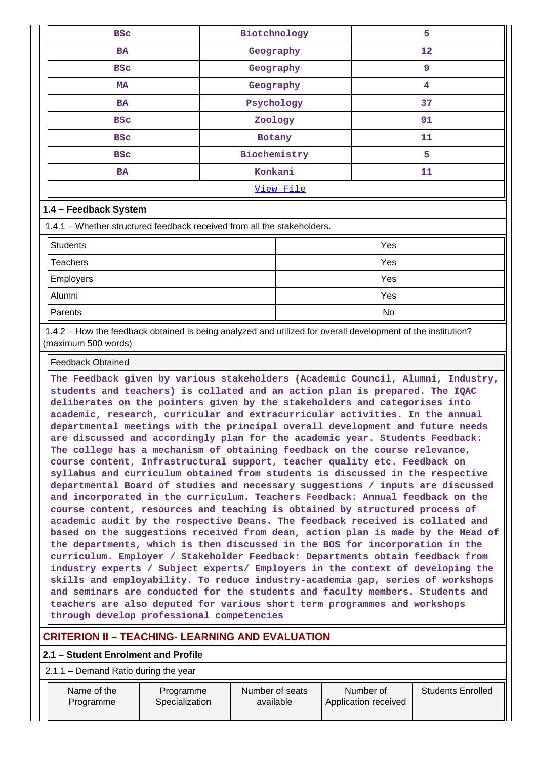| <b>BSC</b>                                                              | Biotchnology | 5          |  |  |
|-------------------------------------------------------------------------|--------------|------------|--|--|
| <b>BA</b>                                                               | Geography    | 12         |  |  |
| <b>BSC</b>                                                              | Geography    | 9          |  |  |
| MA                                                                      | Geography    | 4          |  |  |
| <b>BA</b>                                                               | Psychology   | 37         |  |  |
| <b>BSC</b>                                                              | Zoology      | 91         |  |  |
| <b>BSC</b>                                                              | Botany       | 11         |  |  |
| <b>BSC</b>                                                              | Biochemistry | 5          |  |  |
| <b>BA</b>                                                               | Konkani      | 11         |  |  |
| View File                                                               |              |            |  |  |
| 1.4 - Feedback System                                                   |              |            |  |  |
| 1.4.1 – Whether structured feedback received from all the stakeholders. |              |            |  |  |
| <b>Students</b>                                                         | Yes          |            |  |  |
| Teachers                                                                |              | <b>Yes</b> |  |  |

| Teachers         | Yes |
|------------------|-----|
| <b>Employers</b> | Yes |
| Alumni           | Yes |
| Parents          | No  |

 1.4.2 – How the feedback obtained is being analyzed and utilized for overall development of the institution? (maximum 500 words)

#### Feedback Obtained

**The Feedback given by various stakeholders (Academic Council, Alumni, Industry, students and teachers) is collated and an action plan is prepared. The IQAC deliberates on the pointers given by the stakeholders and categorises into academic, research, curricular and extracurricular activities. In the annual departmental meetings with the principal overall development and future needs are discussed and accordingly plan for the academic year. Students Feedback: The college has a mechanism of obtaining feedback on the course relevance, course content, Infrastructural support, teacher quality etc. Feedback on syllabus and curriculum obtained from students is discussed in the respective departmental Board of studies and necessary suggestions / inputs are discussed and incorporated in the curriculum. Teachers Feedback: Annual feedback on the course content, resources and teaching is obtained by structured process of academic audit by the respective Deans. The feedback received is collated and based on the suggestions received from dean, action plan is made by the Head of the departments, which is then discussed in the BOS for incorporation in the curriculum. Employer / Stakeholder Feedback: Departments obtain feedback from industry experts / Subject experts/ Employers in the context of developing the skills and employability. To reduce industry-academia gap, series of workshops and seminars are conducted for the students and faculty members. Students and teachers are also deputed for various short term programmes and workshops through develop professional competencies**

# **CRITERION II – TEACHING- LEARNING AND EVALUATION**

## **2.1 – Student Enrolment and Profile**

2.1.1 – Demand Ratio during the year

| Name of the | Programme      | Number of seats | Number of            | <b>Students Enrolled</b> |
|-------------|----------------|-----------------|----------------------|--------------------------|
| Programme   | Specialization |                 | Application received |                          |
|             |                |                 |                      |                          |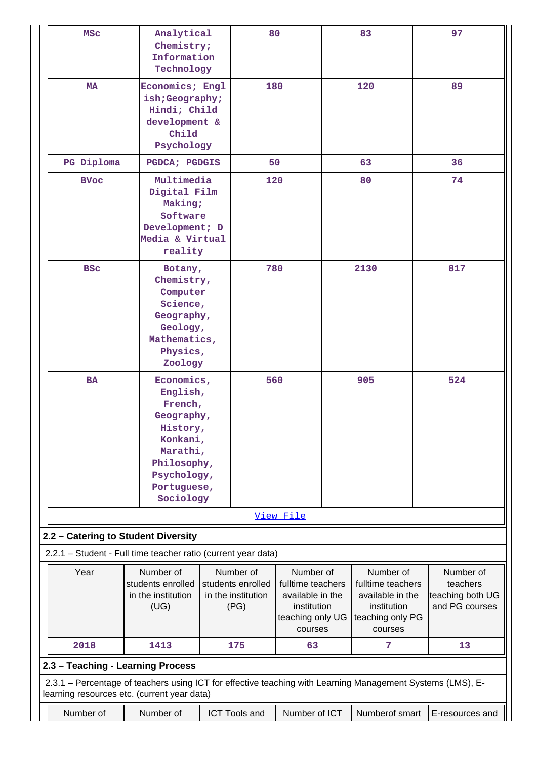|                                                                                                                                                           |                          |         | 80                 |                   |  | 83                | 97               |
|-----------------------------------------------------------------------------------------------------------------------------------------------------------|--------------------------|---------|--------------------|-------------------|--|-------------------|------------------|
| <b>MSC</b>                                                                                                                                                | Analytical<br>Chemistry; |         |                    |                   |  |                   |                  |
|                                                                                                                                                           | Information              |         |                    |                   |  |                   |                  |
|                                                                                                                                                           | Technology               |         |                    |                   |  |                   |                  |
|                                                                                                                                                           |                          |         |                    |                   |  |                   |                  |
| <b>MA</b>                                                                                                                                                 | Economics; Engl          |         | 180                |                   |  | 120               | 89               |
|                                                                                                                                                           | ish;Geography;           |         |                    |                   |  |                   |                  |
|                                                                                                                                                           | Hindi; Child             |         |                    |                   |  |                   |                  |
|                                                                                                                                                           | development &            |         |                    |                   |  |                   |                  |
|                                                                                                                                                           | Child                    |         |                    |                   |  |                   |                  |
|                                                                                                                                                           | Psychology               |         |                    |                   |  |                   |                  |
| PG Diploma                                                                                                                                                | PGDCA; PGDGIS            |         | 50                 |                   |  | 63                | 36               |
| <b>BVoc</b>                                                                                                                                               | Multimedia               |         | 120                |                   |  | 80                | 74               |
| Digital Film                                                                                                                                              |                          |         |                    |                   |  |                   |                  |
|                                                                                                                                                           | Making;                  |         |                    |                   |  |                   |                  |
|                                                                                                                                                           | Software                 |         |                    |                   |  |                   |                  |
|                                                                                                                                                           | Development; D           |         |                    |                   |  |                   |                  |
|                                                                                                                                                           | Media & Virtual          |         |                    |                   |  |                   |                  |
|                                                                                                                                                           | reality                  |         |                    |                   |  |                   |                  |
| <b>BSC</b>                                                                                                                                                |                          | Botany, |                    | 780               |  | 2130              | 817              |
|                                                                                                                                                           | Chemistry,               |         |                    |                   |  |                   |                  |
|                                                                                                                                                           | Computer                 |         |                    |                   |  |                   |                  |
| Science,                                                                                                                                                  |                          |         |                    |                   |  |                   |                  |
|                                                                                                                                                           | Geography,               |         |                    |                   |  |                   |                  |
|                                                                                                                                                           | Geology,                 |         |                    |                   |  |                   |                  |
|                                                                                                                                                           | Mathematics,             |         |                    |                   |  |                   |                  |
|                                                                                                                                                           | Physics,                 |         |                    |                   |  |                   |                  |
|                                                                                                                                                           | Zoology                  |         |                    |                   |  |                   |                  |
| <b>BA</b>                                                                                                                                                 | Economics,               |         | 560                |                   |  | 905               | 524              |
|                                                                                                                                                           | English,                 |         |                    |                   |  |                   |                  |
|                                                                                                                                                           | French,                  |         |                    |                   |  |                   |                  |
|                                                                                                                                                           | Geography,               |         |                    |                   |  |                   |                  |
|                                                                                                                                                           | History,                 |         |                    |                   |  |                   |                  |
|                                                                                                                                                           | Konkani,                 |         |                    |                   |  |                   |                  |
|                                                                                                                                                           | Marathi,                 |         |                    |                   |  |                   |                  |
|                                                                                                                                                           | Philosophy,              |         |                    |                   |  |                   |                  |
|                                                                                                                                                           | Psychology,              |         |                    |                   |  |                   |                  |
|                                                                                                                                                           | Portuguese,<br>Sociology |         |                    |                   |  |                   |                  |
|                                                                                                                                                           |                          |         |                    |                   |  |                   |                  |
|                                                                                                                                                           |                          |         |                    | View File         |  |                   |                  |
| 2.2 - Catering to Student Diversity                                                                                                                       |                          |         |                    |                   |  |                   |                  |
| 2.2.1 - Student - Full time teacher ratio (current year data)                                                                                             |                          |         |                    |                   |  |                   |                  |
|                                                                                                                                                           |                          |         |                    |                   |  |                   |                  |
| Year                                                                                                                                                      | Number of                |         | Number of          | Number of         |  | Number of         | Number of        |
|                                                                                                                                                           | students enrolled        |         | students enrolled  | fulltime teachers |  | fulltime teachers | teachers         |
|                                                                                                                                                           | in the institution       |         | in the institution | available in the  |  | available in the  | teaching both UG |
|                                                                                                                                                           | (UG)                     |         | (PG)               | institution       |  | institution       | and PG courses   |
|                                                                                                                                                           |                          |         |                    | teaching only UG  |  | teaching only PG  |                  |
| 2018                                                                                                                                                      | 1413                     |         | 175                | courses<br>63     |  | courses<br>7      | 13               |
|                                                                                                                                                           |                          |         |                    |                   |  |                   |                  |
| 2.3 - Teaching - Learning Process                                                                                                                         |                          |         |                    |                   |  |                   |                  |
| 2.3.1 - Percentage of teachers using ICT for effective teaching with Learning Management Systems (LMS), E-<br>learning resources etc. (current year data) |                          |         |                    |                   |  |                   |                  |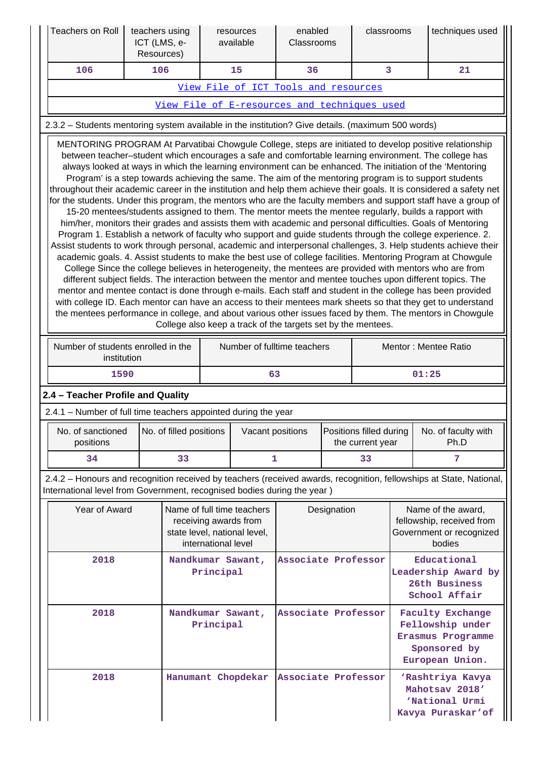|                                                               | Teachers on Roll                                                                                                                                                                                                                                                                                                                                                                                                                                                                                                                                                                                                                                                                                                                                                                                                                                                                                                                                                                                                                                                                                                                                                                                                                                                                                                                                                                                                                                                                                                                                                                                                                                                                                                                                                                                                                                                                               | teachers using<br>ICT (LMS, e-<br>Resources) |                         |                     | resources<br>available                                                              | enabled<br>Classrooms                                                |             | classrooms                                  |  | techniques used                                                                                                     |
|---------------------------------------------------------------|------------------------------------------------------------------------------------------------------------------------------------------------------------------------------------------------------------------------------------------------------------------------------------------------------------------------------------------------------------------------------------------------------------------------------------------------------------------------------------------------------------------------------------------------------------------------------------------------------------------------------------------------------------------------------------------------------------------------------------------------------------------------------------------------------------------------------------------------------------------------------------------------------------------------------------------------------------------------------------------------------------------------------------------------------------------------------------------------------------------------------------------------------------------------------------------------------------------------------------------------------------------------------------------------------------------------------------------------------------------------------------------------------------------------------------------------------------------------------------------------------------------------------------------------------------------------------------------------------------------------------------------------------------------------------------------------------------------------------------------------------------------------------------------------------------------------------------------------------------------------------------------------|----------------------------------------------|-------------------------|---------------------|-------------------------------------------------------------------------------------|----------------------------------------------------------------------|-------------|---------------------------------------------|--|---------------------------------------------------------------------------------------------------------------------|
|                                                               | 106                                                                                                                                                                                                                                                                                                                                                                                                                                                                                                                                                                                                                                                                                                                                                                                                                                                                                                                                                                                                                                                                                                                                                                                                                                                                                                                                                                                                                                                                                                                                                                                                                                                                                                                                                                                                                                                                                            | 106                                          |                         |                     | 15                                                                                  | 36                                                                   |             | 3                                           |  | 21                                                                                                                  |
|                                                               |                                                                                                                                                                                                                                                                                                                                                                                                                                                                                                                                                                                                                                                                                                                                                                                                                                                                                                                                                                                                                                                                                                                                                                                                                                                                                                                                                                                                                                                                                                                                                                                                                                                                                                                                                                                                                                                                                                |                                              |                         |                     | View File of ICT Tools and resources                                                |                                                                      |             |                                             |  |                                                                                                                     |
|                                                               | View File of E-resources and techniques used                                                                                                                                                                                                                                                                                                                                                                                                                                                                                                                                                                                                                                                                                                                                                                                                                                                                                                                                                                                                                                                                                                                                                                                                                                                                                                                                                                                                                                                                                                                                                                                                                                                                                                                                                                                                                                                   |                                              |                         |                     |                                                                                     |                                                                      |             |                                             |  |                                                                                                                     |
|                                                               | 2.3.2 - Students mentoring system available in the institution? Give details. (maximum 500 words)                                                                                                                                                                                                                                                                                                                                                                                                                                                                                                                                                                                                                                                                                                                                                                                                                                                                                                                                                                                                                                                                                                                                                                                                                                                                                                                                                                                                                                                                                                                                                                                                                                                                                                                                                                                              |                                              |                         |                     |                                                                                     |                                                                      |             |                                             |  |                                                                                                                     |
|                                                               | MENTORING PROGRAM At Parvatibai Chowgule College, steps are initiated to develop positive relationship<br>between teacher-student which encourages a safe and comfortable learning environment. The college has<br>always looked at ways in which the learning environment can be enhanced. The initiation of the 'Mentoring<br>Program' is a step towards achieving the same. The aim of the mentoring program is to support students<br>throughout their academic career in the institution and help them achieve their goals. It is considered a safety net<br>for the students. Under this program, the mentors who are the faculty members and support staff have a group of<br>15-20 mentees/students assigned to them. The mentor meets the mentee regularly, builds a rapport with<br>him/her, monitors their grades and assists them with academic and personal difficulties. Goals of Mentoring<br>Program 1. Establish a network of faculty who support and guide students through the college experience. 2.<br>Assist students to work through personal, academic and interpersonal challenges, 3. Help students achieve their<br>academic goals. 4. Assist students to make the best use of college facilities. Mentoring Program at Chowgule<br>College Since the college believes in heterogeneity, the mentees are provided with mentors who are from<br>different subject fields. The interaction between the mentor and mentee touches upon different topics. The<br>mentor and mentee contact is done through e-mails. Each staff and student in the college has been provided<br>with college ID. Each mentor can have an access to their mentees mark sheets so that they get to understand<br>the mentees performance in college, and about various other issues faced by them. The mentors in Chowgule<br>College also keep a track of the targets set by the mentees. |                                              |                         |                     |                                                                                     |                                                                      |             |                                             |  |                                                                                                                     |
|                                                               | Number of students enrolled in the<br>Number of fulltime teachers<br>Mentor: Mentee Ratio<br>institution                                                                                                                                                                                                                                                                                                                                                                                                                                                                                                                                                                                                                                                                                                                                                                                                                                                                                                                                                                                                                                                                                                                                                                                                                                                                                                                                                                                                                                                                                                                                                                                                                                                                                                                                                                                       |                                              |                         |                     |                                                                                     |                                                                      |             |                                             |  |                                                                                                                     |
|                                                               | 1590                                                                                                                                                                                                                                                                                                                                                                                                                                                                                                                                                                                                                                                                                                                                                                                                                                                                                                                                                                                                                                                                                                                                                                                                                                                                                                                                                                                                                                                                                                                                                                                                                                                                                                                                                                                                                                                                                           |                                              |                         |                     | 63                                                                                  |                                                                      |             |                                             |  | 01:25                                                                                                               |
|                                                               | 2.4 - Teacher Profile and Quality                                                                                                                                                                                                                                                                                                                                                                                                                                                                                                                                                                                                                                                                                                                                                                                                                                                                                                                                                                                                                                                                                                                                                                                                                                                                                                                                                                                                                                                                                                                                                                                                                                                                                                                                                                                                                                                              |                                              |                         |                     |                                                                                     |                                                                      |             |                                             |  |                                                                                                                     |
|                                                               | 2.4.1 - Number of full time teachers appointed during the year                                                                                                                                                                                                                                                                                                                                                                                                                                                                                                                                                                                                                                                                                                                                                                                                                                                                                                                                                                                                                                                                                                                                                                                                                                                                                                                                                                                                                                                                                                                                                                                                                                                                                                                                                                                                                                 |                                              |                         |                     |                                                                                     |                                                                      |             |                                             |  |                                                                                                                     |
|                                                               | No. of sanctioned<br>positions                                                                                                                                                                                                                                                                                                                                                                                                                                                                                                                                                                                                                                                                                                                                                                                                                                                                                                                                                                                                                                                                                                                                                                                                                                                                                                                                                                                                                                                                                                                                                                                                                                                                                                                                                                                                                                                                 |                                              | No. of filled positions |                     | Vacant positions                                                                    |                                                                      |             | Positions filled during<br>the current year |  | No. of faculty with<br>Ph.D                                                                                         |
|                                                               | 34                                                                                                                                                                                                                                                                                                                                                                                                                                                                                                                                                                                                                                                                                                                                                                                                                                                                                                                                                                                                                                                                                                                                                                                                                                                                                                                                                                                                                                                                                                                                                                                                                                                                                                                                                                                                                                                                                             |                                              | 33                      |                     |                                                                                     | 1                                                                    |             | 33                                          |  | 7                                                                                                                   |
|                                                               | International level from Government, recognised bodies during the year)                                                                                                                                                                                                                                                                                                                                                                                                                                                                                                                                                                                                                                                                                                                                                                                                                                                                                                                                                                                                                                                                                                                                                                                                                                                                                                                                                                                                                                                                                                                                                                                                                                                                                                                                                                                                                        |                                              |                         |                     |                                                                                     |                                                                      |             |                                             |  | 2.4.2 - Honours and recognition received by teachers (received awards, recognition, fellowships at State, National, |
|                                                               | Year of Award                                                                                                                                                                                                                                                                                                                                                                                                                                                                                                                                                                                                                                                                                                                                                                                                                                                                                                                                                                                                                                                                                                                                                                                                                                                                                                                                                                                                                                                                                                                                                                                                                                                                                                                                                                                                                                                                                  |                                              |                         | international level | Name of full time teachers<br>receiving awards from<br>state level, national level, |                                                                      | Designation |                                             |  | Name of the award,<br>fellowship, received from<br>Government or recognized<br>bodies                               |
| 2018<br>Nandkumar Sawant,<br>Associate Professor<br>Principal |                                                                                                                                                                                                                                                                                                                                                                                                                                                                                                                                                                                                                                                                                                                                                                                                                                                                                                                                                                                                                                                                                                                                                                                                                                                                                                                                                                                                                                                                                                                                                                                                                                                                                                                                                                                                                                                                                                |                                              |                         |                     |                                                                                     | Educational<br>Leadership Award by<br>26th Business<br>School Affair |             |                                             |  |                                                                                                                     |
|                                                               | 2018<br>Nandkumar Sawant,<br>Principal                                                                                                                                                                                                                                                                                                                                                                                                                                                                                                                                                                                                                                                                                                                                                                                                                                                                                                                                                                                                                                                                                                                                                                                                                                                                                                                                                                                                                                                                                                                                                                                                                                                                                                                                                                                                                                                         |                                              |                         |                     |                                                                                     | Associate Professor                                                  |             |                                             |  | <b>Faculty Exchange</b><br>Fellowship under<br>Erasmus Programme<br>Sponsored by<br>European Union.                 |
|                                                               | 2018                                                                                                                                                                                                                                                                                                                                                                                                                                                                                                                                                                                                                                                                                                                                                                                                                                                                                                                                                                                                                                                                                                                                                                                                                                                                                                                                                                                                                                                                                                                                                                                                                                                                                                                                                                                                                                                                                           |                                              |                         |                     | Hanumant Chopdekar                                                                  | Associate Professor                                                  |             |                                             |  | 'Rashtriya Kavya<br>Mahotsav 2018'<br>'National Urmi<br>Kavya Puraskar'of                                           |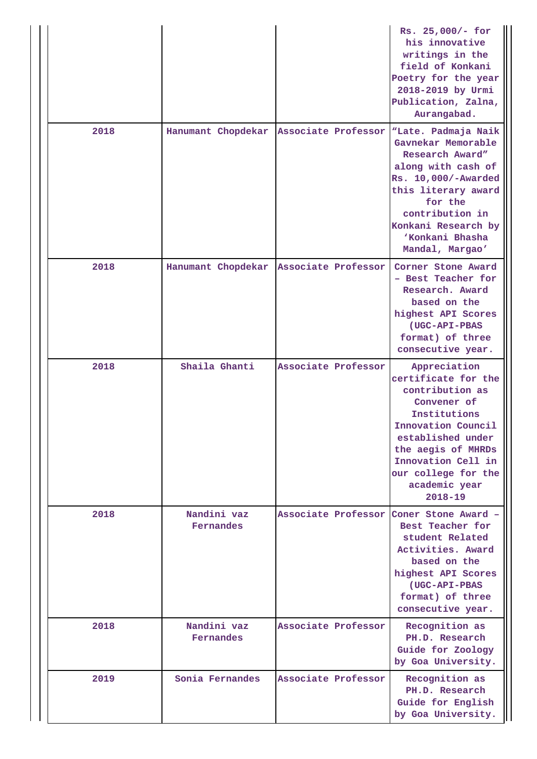|      |                          |                     | Rs. 25,000/- for<br>his innovative<br>writings in the<br>field of Konkani<br>Poetry for the year<br>2018-2019 by Urmi<br>Publication, Zalna,<br>Aurangabad.                                                                         |
|------|--------------------------|---------------------|-------------------------------------------------------------------------------------------------------------------------------------------------------------------------------------------------------------------------------------|
| 2018 | Hanumant Chopdekar       | Associate Professor | "Late. Padmaja Naik<br>Gavnekar Memorable<br>Research Award"<br>along with cash of<br>Rs. 10,000/-Awarded<br>this literary award<br>for the<br>contribution in<br>Konkani Research by<br>'Konkani Bhasha<br>Mandal, Margao'         |
| 2018 | Hanumant Chopdekar       | Associate Professor | Corner Stone Award<br>- Best Teacher for<br>Research. Award<br>based on the<br>highest API Scores<br>(UGC-API-PBAS<br>format) of three<br>consecutive year.                                                                         |
| 2018 | Shaila Ghanti            | Associate Professor | Appreciation<br>certificate for the<br>contribution as<br>Convener of<br>Institutions<br>Innovation Council<br>established under<br>the aegis of MHRDs<br>Innovation Cell in<br>our college for the<br>academic year<br>$2018 - 19$ |
| 2018 | Nandini vaz<br>Fernandes | Associate Professor | Coner Stone Award -<br>Best Teacher for<br>student Related<br>Activities. Award<br>based on the<br>highest API Scores<br>(UGC-API-PBAS<br>format) of three<br>consecutive year.                                                     |
| 2018 | Nandini vaz<br>Fernandes | Associate Professor | Recognition as<br>PH.D. Research<br>Guide for Zoology<br>by Goa University.                                                                                                                                                         |
| 2019 | Sonia Fernandes          | Associate Professor | Recognition as<br>PH.D. Research<br>Guide for English<br>by Goa University.                                                                                                                                                         |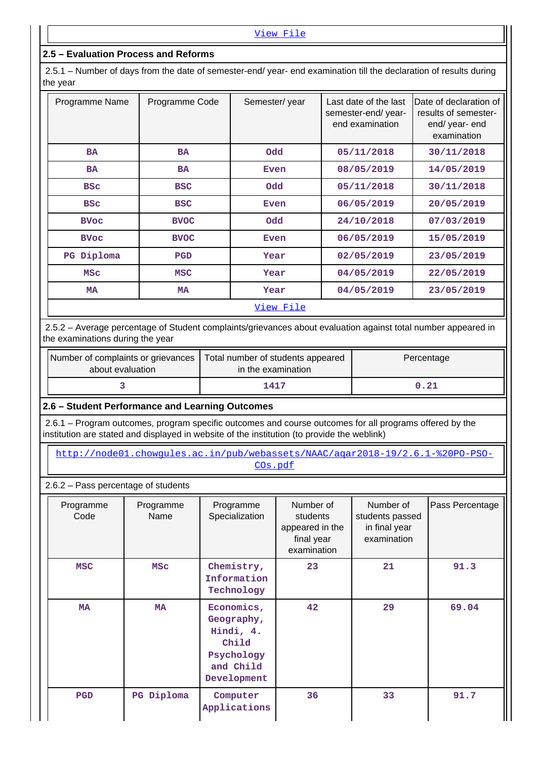# **2.5 – Evaluation Process and Reforms**

 2.5.1 – Number of days from the date of semester-end/ year- end examination till the declaration of results during the year

| Programme Name | Programme Code | Semester/year | Last date of the last<br>semester-end/year-<br>end examination | Date of declaration of<br>results of semester-<br>end/ year- end<br>examination |
|----------------|----------------|---------------|----------------------------------------------------------------|---------------------------------------------------------------------------------|
| <b>BA</b>      | <b>BA</b>      | <b>Odd</b>    | 05/11/2018                                                     | 30/11/2018                                                                      |
| <b>BA</b>      | <b>BA</b>      | <b>Even</b>   | 08/05/2019                                                     | 14/05/2019                                                                      |
| <b>BSC</b>     | <b>BSC</b>     | <b>Odd</b>    | 05/11/2018                                                     | 30/11/2018                                                                      |
| <b>BSC</b>     | <b>BSC</b>     | Even          | 06/05/2019                                                     | 20/05/2019                                                                      |
| <b>BVoc</b>    | <b>BVOC</b>    | <b>Odd</b>    | 24/10/2018                                                     | 07/03/2019                                                                      |
| <b>BVoc</b>    | <b>BVOC</b>    | Even          | 06/05/2019                                                     | 15/05/2019                                                                      |
| PG Diploma     | <b>PGD</b>     | Year          | 02/05/2019                                                     | 23/05/2019                                                                      |
| <b>MSC</b>     | <b>MSC</b>     | Year          | 04/05/2019                                                     | 22/05/2019                                                                      |
| <b>MA</b>      | <b>MA</b>      | Year          | 04/05/2019                                                     | 23/05/2019                                                                      |
|                |                | View File     |                                                                |                                                                                 |

 2.5.2 – Average percentage of Student complaints/grievances about evaluation against total number appeared in the examinations during the year

| Number of complaints or grievances<br>about evaluation | Total number of students appeared<br>in the examination | Percentage |
|--------------------------------------------------------|---------------------------------------------------------|------------|
|                                                        | 1417                                                    | 0.21       |

**2.6 – Student Performance and Learning Outcomes**

 2.6.1 – Program outcomes, program specific outcomes and course outcomes for all programs offered by the institution are stated and displayed in website of the institution (to provide the weblink)

 [http://node01.chowgules.ac.in/pub/webassets/NAAC/aqar2018-19/2.6.1-%20PO-PSO-](http://node01.chowgules.ac.in/pub/webassets/NAAC/aqar2018-19/2.6.1-%20PO-PSO-COs.pdf)[COs.pdf](http://node01.chowgules.ac.in/pub/webassets/NAAC/aqar2018-19/2.6.1-%20PO-PSO-COs.pdf)

2.6.2 – Pass percentage of students

| Programme<br>Code | Programme<br>Name | Programme<br>Specialization                                                              | Number of<br>students<br>students passed<br>appeared in the<br>final year<br>examination |    | Pass Percentage |
|-------------------|-------------------|------------------------------------------------------------------------------------------|------------------------------------------------------------------------------------------|----|-----------------|
| <b>MSC</b>        | <b>MSC</b>        | Chemistry,<br>Information<br>Technology                                                  | 23                                                                                       | 21 | 91.3            |
| <b>MA</b>         | <b>MA</b>         | Economics,<br>Geography,<br>Hindi, 4.<br>Child<br>Psychology<br>and Child<br>Development | 42                                                                                       | 29 | 69.04           |
| <b>PGD</b>        | PG Diploma        | Computer<br>Applications                                                                 | 36                                                                                       | 33 | 91.7            |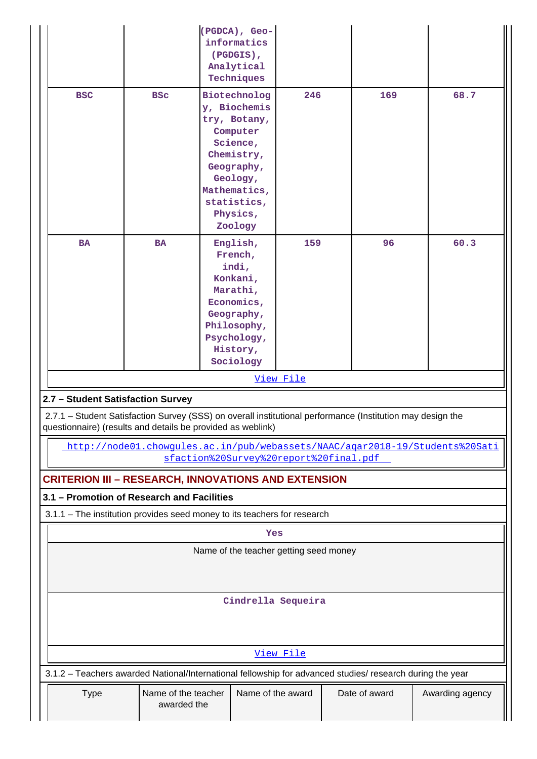|                                                                                         | (PGDCA), Geo-<br>informatics<br>(PGDGIS),<br>Analytical<br>Techniques |                                                                                                                                                                           |           |  |     |                                                                              |
|-----------------------------------------------------------------------------------------|-----------------------------------------------------------------------|---------------------------------------------------------------------------------------------------------------------------------------------------------------------------|-----------|--|-----|------------------------------------------------------------------------------|
| <b>BSC</b>                                                                              | <b>BSC</b>                                                            | Biotechnolog<br>246<br>y, Biochemis<br>try, Botany,<br>Computer<br>Science,<br>Chemistry,<br>Geography,<br>Geology,<br>Mathematics,<br>statistics,<br>Physics,<br>Zoology |           |  | 169 | 68.7                                                                         |
| <b>BA</b><br><b>BA</b>                                                                  |                                                                       | English,<br>French,<br>indi,<br>Konkani,<br>Marathi,<br>Economics,<br>Geography,<br>Philosophy,<br>Psychology,<br>History,<br>Sociology                                   | 159       |  | 96  | 60.3                                                                         |
|                                                                                         |                                                                       |                                                                                                                                                                           | View File |  |     |                                                                              |
|                                                                                         | 2.7 - Student Satisfaction Survey                                     |                                                                                                                                                                           |           |  |     |                                                                              |
|                                                                                         |                                                                       | 2.7.1 - Student Satisfaction Survey (SSS) on overall institutional performance (Institution may design the<br>questionnaire) (results and details be provided as weblink) |           |  |     |                                                                              |
|                                                                                         |                                                                       | sfaction%20Survey%20report%20final.pdf                                                                                                                                    |           |  |     | http://node01.chowgules.ac.in/pub/webassets/NAAC/agar2018-19/Students%20Sati |
|                                                                                         |                                                                       | <b>CRITERION III – RESEARCH, INNOVATIONS AND EXTENSION</b>                                                                                                                |           |  |     |                                                                              |
|                                                                                         | 3.1 - Promotion of Research and Facilities                            |                                                                                                                                                                           |           |  |     |                                                                              |
|                                                                                         |                                                                       | 3.1.1 – The institution provides seed money to its teachers for research                                                                                                  | Yes       |  |     |                                                                              |
|                                                                                         |                                                                       | Name of the teacher getting seed money                                                                                                                                    |           |  |     |                                                                              |
|                                                                                         |                                                                       |                                                                                                                                                                           |           |  |     |                                                                              |
|                                                                                         |                                                                       | Cindrella Sequeira                                                                                                                                                        |           |  |     |                                                                              |
|                                                                                         |                                                                       |                                                                                                                                                                           |           |  |     |                                                                              |
|                                                                                         |                                                                       |                                                                                                                                                                           | View File |  |     |                                                                              |
|                                                                                         |                                                                       | 3.1.2 - Teachers awarded National/International fellowship for advanced studies/ research during the year                                                                 |           |  |     |                                                                              |
| Name of the award<br>Name of the teacher<br>Date of award<br><b>Type</b><br>awarded the |                                                                       |                                                                                                                                                                           |           |  |     | Awarding agency                                                              |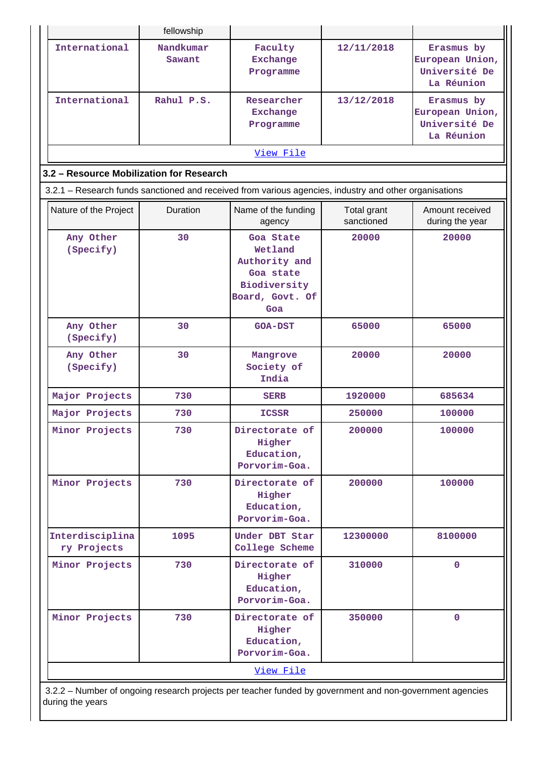|                                                                                                        | fellowship          |                                                                                              |                           |                                                              |  |  |  |  |  |  |
|--------------------------------------------------------------------------------------------------------|---------------------|----------------------------------------------------------------------------------------------|---------------------------|--------------------------------------------------------------|--|--|--|--|--|--|
| International                                                                                          | Nandkumar<br>Sawant | Faculty<br>12/11/2018<br><b>Exchange</b><br>Programme                                        |                           | Erasmus by<br>European Union,<br>Université De<br>La Réunion |  |  |  |  |  |  |
| International                                                                                          | Rahul P.S.          | Researcher<br><b>Exchange</b><br>Programme                                                   | 13/12/2018                | Erasmus by<br>European Union,<br>Université De<br>La Réunion |  |  |  |  |  |  |
| View File                                                                                              |                     |                                                                                              |                           |                                                              |  |  |  |  |  |  |
| 3.2 - Resource Mobilization for Research                                                               |                     |                                                                                              |                           |                                                              |  |  |  |  |  |  |
| 3.2.1 - Research funds sanctioned and received from various agencies, industry and other organisations |                     |                                                                                              |                           |                                                              |  |  |  |  |  |  |
| Nature of the Project                                                                                  | <b>Duration</b>     | Name of the funding<br>agency                                                                | Total grant<br>sanctioned | Amount received<br>during the year                           |  |  |  |  |  |  |
| Any Other<br>(Specify)                                                                                 | 30                  | Goa State<br>Wetland<br>Authority and<br>Goa state<br>Biodiversity<br>Board, Govt. Of<br>Goa | 20000                     | 20000                                                        |  |  |  |  |  |  |
| Any Other<br>(Specify)                                                                                 | 30                  | <b>GOA-DST</b>                                                                               | 65000                     | 65000                                                        |  |  |  |  |  |  |
| Any Other<br>(Specify)                                                                                 | 30                  | Mangrove<br>Society of<br>India                                                              | 20000                     | 20000                                                        |  |  |  |  |  |  |
| Major Projects                                                                                         | 730                 | <b>SERB</b>                                                                                  | 1920000                   | 685634                                                       |  |  |  |  |  |  |
| Major Projects                                                                                         | 730                 | <b>ICSSR</b>                                                                                 | 250000                    | 100000                                                       |  |  |  |  |  |  |
| Minor Projects                                                                                         | 730                 | Directorate of<br>Higher<br>Education,<br>Porvorim-Goa.                                      | 200000                    | 100000                                                       |  |  |  |  |  |  |
| Minor Projects                                                                                         | 730                 | Directorate of<br>Higher<br>Education,<br>Porvorim-Goa.                                      | 200000                    | 100000                                                       |  |  |  |  |  |  |
| Interdisciplina<br>ry Projects                                                                         | 1095                | Under DBT Star<br>College Scheme                                                             | 12300000                  | 8100000                                                      |  |  |  |  |  |  |
| Minor Projects                                                                                         | 730                 | Directorate of<br>Higher<br>Education,<br>Porvorim-Goa.                                      | 310000                    | $\mathbf{0}$                                                 |  |  |  |  |  |  |
| Minor Projects                                                                                         | 730                 | Directorate of<br>Higher<br>Education,<br>Porvorim-Goa.                                      | 350000                    | $\mathbf 0$                                                  |  |  |  |  |  |  |
|                                                                                                        |                     | View File                                                                                    |                           |                                                              |  |  |  |  |  |  |

 3.2.2 – Number of ongoing research projects per teacher funded by government and non-government agencies during the years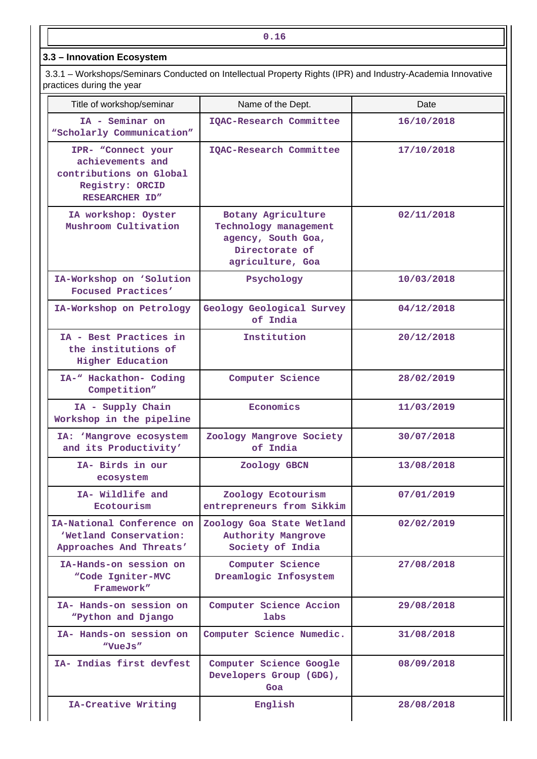**3.3 – Innovation Ecosystem**

 3.3.1 – Workshops/Seminars Conducted on Intellectual Property Rights (IPR) and Industry-Academia Innovative practices during the year

| Title of workshop/seminar                                                                              | Name of the Dept.                                                                                       | Date       |
|--------------------------------------------------------------------------------------------------------|---------------------------------------------------------------------------------------------------------|------------|
| IA - Seminar on<br>"Scholarly Communication"                                                           | IQAC-Research Committee                                                                                 | 16/10/2018 |
| IPR- "Connect your<br>achievements and<br>contributions on Global<br>Registry: ORCID<br>RESEARCHER ID" | IQAC-Research Committee                                                                                 | 17/10/2018 |
| IA workshop: Oyster<br>Mushroom Cultivation                                                            | Botany Agriculture<br>Technology management<br>agency, South Goa,<br>Directorate of<br>agriculture, Goa | 02/11/2018 |
| IA-Workshop on 'Solution<br>Focused Practices'                                                         | Psychology                                                                                              | 10/03/2018 |
| IA-Workshop on Petrology                                                                               | Geology Geological Survey<br>of India                                                                   | 04/12/2018 |
| IA - Best Practices in<br>the institutions of<br><b>Higher Education</b>                               | Institution                                                                                             | 20/12/2018 |
| IA-" Hackathon- Coding<br>Competition"                                                                 | Computer Science                                                                                        | 28/02/2019 |
| IA - Supply Chain<br>Workshop in the pipeline                                                          | Economics                                                                                               | 11/03/2019 |
| IA: 'Mangrove ecosystem<br>and its Productivity'                                                       | Zoology Mangrove Society<br>of India                                                                    | 30/07/2018 |
| IA- Birds in our<br>ecosystem                                                                          | Zoology GBCN                                                                                            | 13/08/2018 |
| IA- Wildlife and<br>Ecotourism                                                                         | Zoology Ecotourism<br>entrepreneurs from Sikkim                                                         | 07/01/2019 |
| IA-National Conference on<br>'Wetland Conservation:<br>Approaches And Threats'                         | Zoology Goa State Wetland<br><b>Authority Mangrove</b><br>Society of India                              | 02/02/2019 |
| IA-Hands-on session on<br>"Code Igniter-MVC<br>Framework"                                              | Computer Science<br>Dreamlogic Infosystem                                                               | 27/08/2018 |
| IA- Hands-on session on<br>"Python and Django                                                          | Computer Science Accion<br>labs                                                                         | 29/08/2018 |
| IA- Hands-on session on<br>"VueJs"                                                                     | Computer Science Numedic.                                                                               | 31/08/2018 |
| IA- Indias first devfest                                                                               | Computer Science Google<br>Developers Group (GDG),<br>Goa                                               | 08/09/2018 |
| IA-Creative Writing                                                                                    | English                                                                                                 | 28/08/2018 |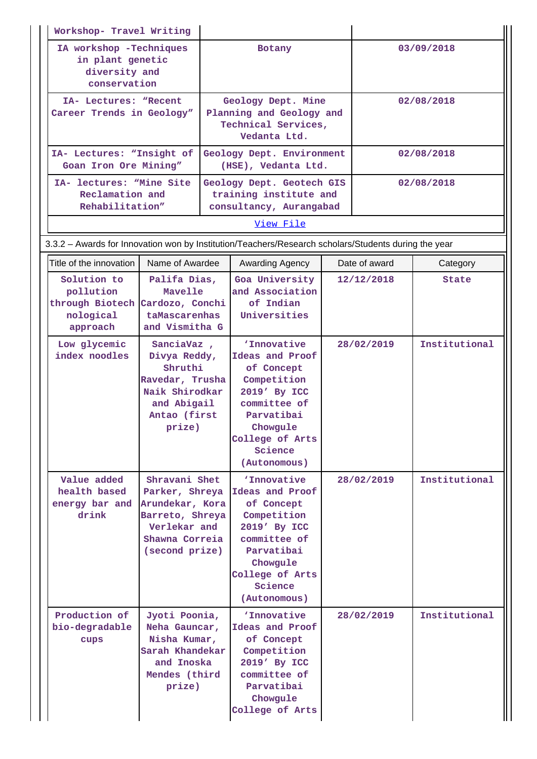| Workshop- Travel Writing                                                                                                                              |                                                                                                                                                                                                                                                                                                                                   |                                                                                       |                                                                                                                                                                            |  |               |               |  |
|-------------------------------------------------------------------------------------------------------------------------------------------------------|-----------------------------------------------------------------------------------------------------------------------------------------------------------------------------------------------------------------------------------------------------------------------------------------------------------------------------------|---------------------------------------------------------------------------------------|----------------------------------------------------------------------------------------------------------------------------------------------------------------------------|--|---------------|---------------|--|
| IA workshop -Techniques<br>in plant genetic<br>diversity and<br>conservation                                                                          |                                                                                                                                                                                                                                                                                                                                   | Botany                                                                                |                                                                                                                                                                            |  | 03/09/2018    |               |  |
| IA- Lectures: "Recent<br>Career Trends in Geology"                                                                                                    |                                                                                                                                                                                                                                                                                                                                   | Geology Dept. Mine<br>Planning and Geology and<br>Technical Services,<br>Vedanta Ltd. |                                                                                                                                                                            |  | 02/08/2018    |               |  |
| IA- Lectures: "Insight of<br>Goan Iron Ore Mining"                                                                                                    |                                                                                                                                                                                                                                                                                                                                   |                                                                                       | Geology Dept. Environment<br>(HSE), Vedanta Ltd.                                                                                                                           |  | 02/08/2018    |               |  |
| IA- lectures: "Mine Site<br>Reclamation and<br>Rehabilitation"                                                                                        |                                                                                                                                                                                                                                                                                                                                   |                                                                                       | Geology Dept. Geotech GIS<br>training institute and<br>consultancy, Aurangabad                                                                                             |  |               | 02/08/2018    |  |
|                                                                                                                                                       |                                                                                                                                                                                                                                                                                                                                   |                                                                                       | View File                                                                                                                                                                  |  |               |               |  |
|                                                                                                                                                       |                                                                                                                                                                                                                                                                                                                                   |                                                                                       | 3.3.2 - Awards for Innovation won by Institution/Teachers/Research scholars/Students during the year                                                                       |  |               |               |  |
| Title of the innovation                                                                                                                               | Name of Awardee                                                                                                                                                                                                                                                                                                                   |                                                                                       | Awarding Agency                                                                                                                                                            |  | Date of award | Category      |  |
| Solution to<br>pollution<br>through Biotech<br>nological<br>approach                                                                                  | Palifa Dias,<br>Mavelle<br>Cardozo, Conchi<br>taMascarenhas<br>and Vismitha G<br>SanciaVaz,<br>Divya Reddy,<br>Shruthi<br>Ravedar, Trusha<br>Naik Shirodkar<br>and Abigail<br>Antao (first<br>prize)<br>Shravani Shet<br>Parker, Shreya<br>Arundekar, Kora<br>Barreto, Shreya<br>Verlekar and<br>Shawna Correia<br>(second prize) |                                                                                       | Goa University<br>and Association<br>of Indian<br>Universities                                                                                                             |  | 12/12/2018    | State         |  |
| Low glycemic<br>index noodles                                                                                                                         |                                                                                                                                                                                                                                                                                                                                   |                                                                                       | 'Innovative<br>Ideas and Proof<br>of Concept<br>Competition<br>2019' By ICC<br>committee of<br>Parvatibai<br>Chowgule<br>College of Arts<br>Science<br>(Autonomous)        |  | 28/02/2019    | Institutional |  |
| Value added<br>health based<br>energy bar and<br>drink                                                                                                |                                                                                                                                                                                                                                                                                                                                   |                                                                                       | <i>'Innovative</i><br>Ideas and Proof<br>of Concept<br>Competition<br>2019' By ICC<br>committee of<br>Parvatibai<br>Chowgule<br>College of Arts<br>Science<br>(Autonomous) |  | 28/02/2019    | Institutional |  |
| Production of<br>Jyoti Poonia,<br>bio-degradable<br>Neha Gauncar,<br>Nisha Kumar,<br>cups<br>Sarah Khandekar<br>and Inoska<br>Mendes (third<br>prize) |                                                                                                                                                                                                                                                                                                                                   |                                                                                       | <i>'Innovative</i><br>Ideas and Proof<br>of Concept<br>Competition<br>2019' By ICC<br>committee of<br>Parvatibai<br>Chowgule<br>College of Arts                            |  | 28/02/2019    | Institutional |  |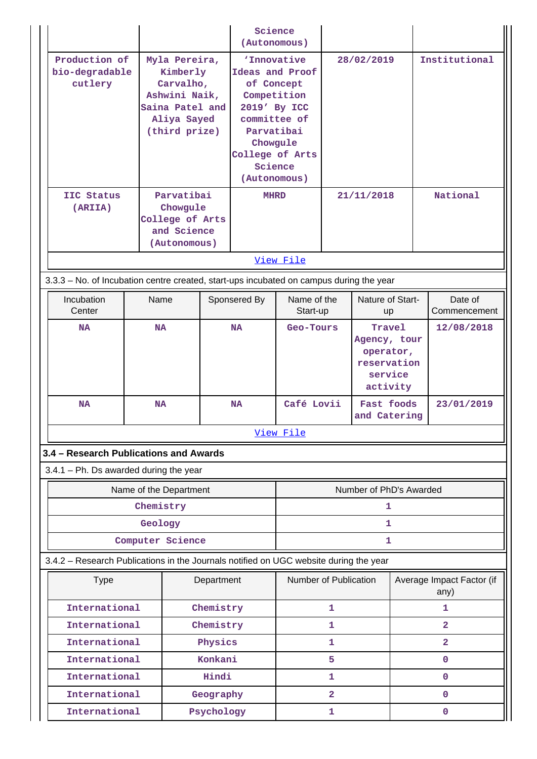|                                                                                         |           |                                                                                         | Science<br>(Autonomous)                                                                                                                                                                                                          |                         |                         |                           |                                                                           |                         |                                   |
|-----------------------------------------------------------------------------------------|-----------|-----------------------------------------------------------------------------------------|----------------------------------------------------------------------------------------------------------------------------------------------------------------------------------------------------------------------------------|-------------------------|-------------------------|---------------------------|---------------------------------------------------------------------------|-------------------------|-----------------------------------|
| Production of<br>bio-degradable<br>cutlery                                              |           | Myla Pereira,<br>Kimberly<br>Carvalho,<br>Ashwini Naik,<br>Aliya Sayed<br>(third prize) | 'Innovative<br>28/02/2019<br>Ideas and Proof<br>of Concept<br>Competition<br>Saina Patel and<br>2019' By ICC<br>committee of<br>Parvatibai<br>Chowgule<br>College of Arts<br>Science<br>(Autonomous)<br>Parvatibai<br>21/11/2018 |                         |                         | Institutional<br>National |                                                                           |                         |                                   |
| IIC Status<br>(ARIIA)                                                                   |           | Chowgule<br>College of Arts<br>and Science<br>(Autonomous)                              |                                                                                                                                                                                                                                  | <b>MHRD</b>             |                         |                           |                                                                           |                         |                                   |
|                                                                                         |           |                                                                                         |                                                                                                                                                                                                                                  |                         | View File               |                           |                                                                           |                         |                                   |
| 3.3.3 - No. of Incubation centre created, start-ups incubated on campus during the year |           |                                                                                         |                                                                                                                                                                                                                                  |                         |                         |                           |                                                                           |                         |                                   |
| Incubation<br>Center                                                                    | Name      |                                                                                         | Sponsered By                                                                                                                                                                                                                     | Name of the<br>Start-up |                         | Nature of Start-<br>up    |                                                                           | Date of<br>Commencement |                                   |
| <b>NA</b>                                                                               | <b>NA</b> |                                                                                         |                                                                                                                                                                                                                                  | <b>NA</b><br>Geo-Tours  |                         |                           | Travel<br>Agency, tour<br>operator,<br>reservation<br>service<br>activity |                         | 12/08/2018                        |
| <b>NA</b>                                                                               | <b>NA</b> |                                                                                         |                                                                                                                                                                                                                                  | <b>NA</b>               | Café Lovii              |                           | Fast foods<br>and Catering                                                |                         | 23/01/2019                        |
|                                                                                         |           |                                                                                         |                                                                                                                                                                                                                                  |                         | View File               |                           |                                                                           |                         |                                   |
| 3.4 - Research Publications and Awards                                                  |           |                                                                                         |                                                                                                                                                                                                                                  |                         |                         |                           |                                                                           |                         |                                   |
| $3.4.1$ – Ph. Ds awarded during the year                                                |           |                                                                                         |                                                                                                                                                                                                                                  |                         |                         |                           |                                                                           |                         |                                   |
|                                                                                         |           | Name of the Department                                                                  |                                                                                                                                                                                                                                  |                         | Number of PhD's Awarded |                           |                                                                           |                         |                                   |
|                                                                                         | Chemistry |                                                                                         |                                                                                                                                                                                                                                  |                         |                         |                           | 1                                                                         |                         |                                   |
|                                                                                         | Geology   |                                                                                         |                                                                                                                                                                                                                                  |                         |                         |                           | 1                                                                         |                         |                                   |
|                                                                                         |           | Computer Science                                                                        |                                                                                                                                                                                                                                  |                         |                         |                           | 1                                                                         |                         |                                   |
| 3.4.2 - Research Publications in the Journals notified on UGC website during the year   |           |                                                                                         |                                                                                                                                                                                                                                  |                         |                         |                           |                                                                           |                         |                                   |
| <b>Type</b>                                                                             |           |                                                                                         | Department                                                                                                                                                                                                                       |                         | Number of Publication   |                           |                                                                           |                         | Average Impact Factor (if<br>any) |
| International                                                                           |           |                                                                                         | Chemistry                                                                                                                                                                                                                        |                         |                         | $\mathbf{1}$              |                                                                           |                         | 1                                 |
| International                                                                           |           |                                                                                         | Chemistry                                                                                                                                                                                                                        |                         |                         | 1                         |                                                                           |                         | $\overline{2}$                    |
| International                                                                           |           |                                                                                         | Physics                                                                                                                                                                                                                          |                         |                         | 1                         |                                                                           |                         | $\overline{2}$                    |
| International                                                                           |           |                                                                                         | Konkani                                                                                                                                                                                                                          |                         |                         | 5                         |                                                                           |                         | 0                                 |
| International                                                                           |           |                                                                                         | Hindi                                                                                                                                                                                                                            |                         |                         | 1                         |                                                                           |                         | $\mathbf{O}$                      |
| International                                                                           |           |                                                                                         | Geography                                                                                                                                                                                                                        |                         |                         | $\overline{2}$            |                                                                           |                         | 0                                 |
| International                                                                           |           |                                                                                         | Psychology                                                                                                                                                                                                                       |                         |                         | 1                         |                                                                           |                         | 0                                 |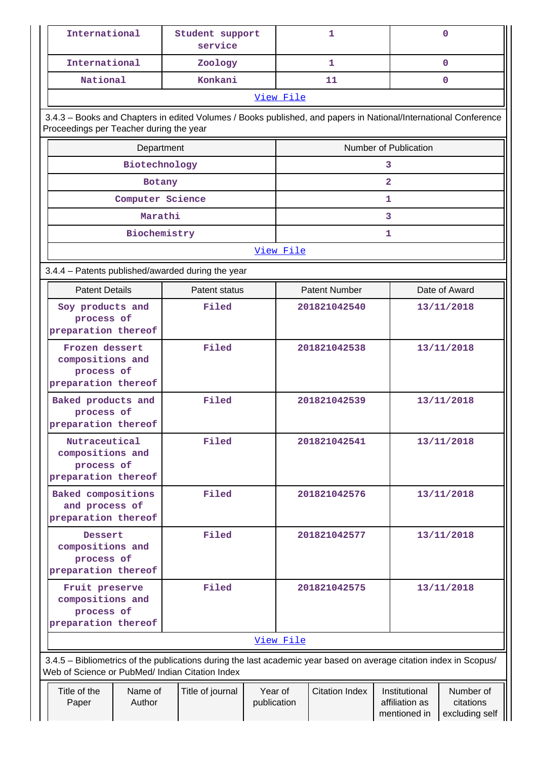|                                                                                  | International                                                           |                            | Student support<br>service                                                                                                                                            |                        |                       | 1                     |                                                 | $\mathbf 0$                              |  |
|----------------------------------------------------------------------------------|-------------------------------------------------------------------------|----------------------------|-----------------------------------------------------------------------------------------------------------------------------------------------------------------------|------------------------|-----------------------|-----------------------|-------------------------------------------------|------------------------------------------|--|
|                                                                                  | International                                                           |                            | Zoology                                                                                                                                                               |                        |                       | $\mathbf{1}$          |                                                 | $\mathbf{O}$                             |  |
|                                                                                  | National                                                                |                            | Konkani                                                                                                                                                               |                        |                       | 11                    |                                                 | $\mathbf{0}$                             |  |
|                                                                                  |                                                                         |                            |                                                                                                                                                                       |                        | View File             |                       |                                                 |                                          |  |
|                                                                                  | Proceedings per Teacher during the year                                 |                            | 3.4.3 - Books and Chapters in edited Volumes / Books published, and papers in National/International Conference                                                       |                        |                       |                       |                                                 |                                          |  |
|                                                                                  |                                                                         | Department                 |                                                                                                                                                                       |                        | Number of Publication |                       |                                                 |                                          |  |
|                                                                                  | Biotechnology                                                           |                            |                                                                                                                                                                       |                        |                       |                       | 3                                               |                                          |  |
|                                                                                  |                                                                         | Botany                     |                                                                                                                                                                       |                        |                       |                       | $\mathbf{2}$                                    |                                          |  |
|                                                                                  |                                                                         | Computer Science           |                                                                                                                                                                       |                        |                       |                       | 1.                                              |                                          |  |
|                                                                                  |                                                                         | Marathi                    |                                                                                                                                                                       |                        |                       |                       | 3                                               |                                          |  |
|                                                                                  |                                                                         | Biochemistry               |                                                                                                                                                                       |                        |                       |                       | 1                                               |                                          |  |
|                                                                                  |                                                                         |                            |                                                                                                                                                                       |                        | View File             |                       |                                                 |                                          |  |
|                                                                                  |                                                                         |                            | 3.4.4 - Patents published/awarded during the year                                                                                                                     |                        |                       |                       |                                                 |                                          |  |
|                                                                                  | <b>Patent Details</b>                                                   |                            | Patent status                                                                                                                                                         |                        |                       | <b>Patent Number</b>  |                                                 | Date of Award                            |  |
|                                                                                  | Soy products and<br>Filed<br>process of<br>preparation thereof          |                            | 201821042540                                                                                                                                                          |                        | 13/11/2018            |                       |                                                 |                                          |  |
|                                                                                  | Frozen dessert<br>compositions and<br>process of<br>preparation thereof |                            | Filed                                                                                                                                                                 |                        |                       | 201821042538          |                                                 | 13/11/2018                               |  |
|                                                                                  | Baked products and<br>process of<br>preparation thereof                 |                            | Filed                                                                                                                                                                 |                        | 201821042539          |                       |                                                 | 13/11/2018                               |  |
|                                                                                  | Nutraceutical<br>compositions and<br>process of<br>preparation thereof  |                            | Filed                                                                                                                                                                 |                        |                       | 201821042541          |                                                 | 13/11/2018                               |  |
|                                                                                  | Baked compositions<br>and process of<br>preparation thereof             |                            | Filed                                                                                                                                                                 |                        | 201821042576          |                       |                                                 | 13/11/2018                               |  |
|                                                                                  | Dessert<br>compositions and<br>process of<br>preparation thereof        |                            | Filed                                                                                                                                                                 |                        |                       | 201821042577          |                                                 | 13/11/2018                               |  |
| Filed<br>Fruit preserve<br>compositions and<br>process of<br>preparation thereof |                                                                         | 201821042575<br>13/11/2018 |                                                                                                                                                                       |                        |                       |                       |                                                 |                                          |  |
|                                                                                  |                                                                         |                            |                                                                                                                                                                       |                        | View File             |                       |                                                 |                                          |  |
|                                                                                  |                                                                         |                            | 3.4.5 - Bibliometrics of the publications during the last academic year based on average citation index in Scopus/<br>Web of Science or PubMed/ Indian Citation Index |                        |                       |                       |                                                 |                                          |  |
|                                                                                  | Title of the<br>Paper                                                   | Name of<br>Author          | Title of journal                                                                                                                                                      | Year of<br>publication |                       | <b>Citation Index</b> | Institutional<br>affiliation as<br>mentioned in | Number of<br>citations<br>excluding self |  |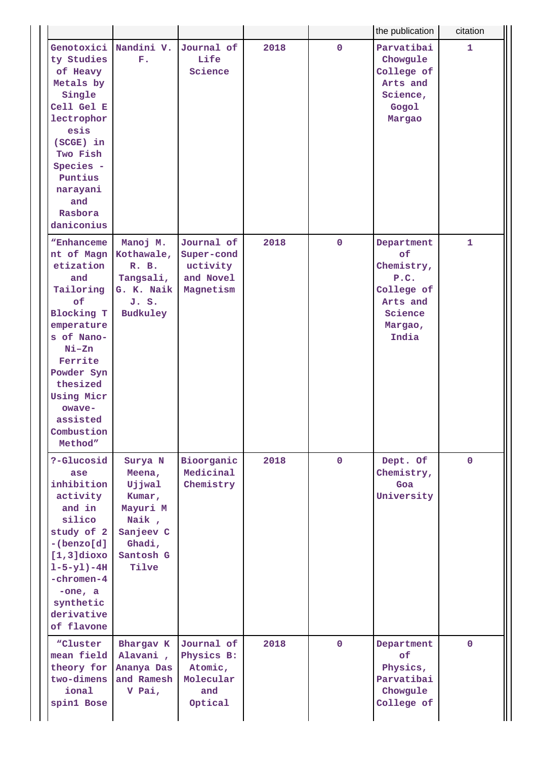|                                                                                                                                                                                                                                        |                                                                                                         |                                                                    |      |              | the publication                                                                                 | citation    |
|----------------------------------------------------------------------------------------------------------------------------------------------------------------------------------------------------------------------------------------|---------------------------------------------------------------------------------------------------------|--------------------------------------------------------------------|------|--------------|-------------------------------------------------------------------------------------------------|-------------|
| Genotoxici<br>ty Studies<br>of Heavy<br>Metals by<br>Single<br>Cell Gel E<br>lectrophor<br>esis<br>(SCGE) in<br>Two Fish<br>Species -<br>Puntius<br>narayani<br>and<br>Rasbora<br>daniconius                                           | Nandini V.<br>${\bf F}$ .                                                                               | Journal of<br>Life<br>Science                                      | 2018 | $\mathbf{0}$ | Parvatibai<br>Chowgule<br>College of<br>Arts and<br>Science,<br>Gogol<br>Margao                 | 1           |
| "Enhanceme<br>nt of Magn<br>etization<br>and<br>Tailoring<br>of<br><b>Blocking T</b><br>emperature<br>s of Nano-<br>$Ni - Zn$<br>Ferrite<br>Powder Syn<br>thesized<br><b>Using Micr</b><br>owaye-<br>assisted<br>Combustion<br>Method" | Manoj M.<br>Kothawale,<br>R. B.<br>Tangsali,<br>G. K. Naik<br>J. S.<br>Budkuley                         | Journal of<br>Super-cond<br>uctivity<br>and Novel<br>Magnetism     | 2018 | $\mathbf{0}$ | Department<br>of<br>Chemistry,<br>P.C.<br>College of<br>Arts and<br>Science<br>Margao,<br>India | 1           |
| ?-Glucosid<br>ase<br>inhibition<br>activity<br>and in<br>silico<br>study of 2<br>$-(benzo[d]$<br>$[1,3]$ dioxo<br>$1 - 5 - y1 - 4H$<br>-chromen-4<br>$-one, a$<br>synthetic<br>derivative<br>of flavone                                | Surya N<br>Meena,<br>Ujjwal<br>Kumar,<br>Mayuri M<br>Naik,<br>Sanjeev C<br>Ghadi,<br>Santosh G<br>Tilve | Bioorganic<br>Medicinal<br>Chemistry                               | 2018 | $\mathbf{0}$ | Dept. Of<br>Chemistry,<br>Goa<br>University                                                     | $\mathbf 0$ |
| "Cluster<br>mean field<br>theory for<br>two-dimens<br>ional<br>spin1 Bose                                                                                                                                                              | Bhargav K<br>Alavani,<br>Ananya Das<br>and Ramesh<br>V Pai,                                             | Journal of<br>Physics B:<br>Atomic,<br>Molecular<br>and<br>Optical | 2018 | $\mathbf{0}$ | Department<br>of<br>Physics,<br>Parvatibai<br>Chowgule<br>College of                            | $\mathbf 0$ |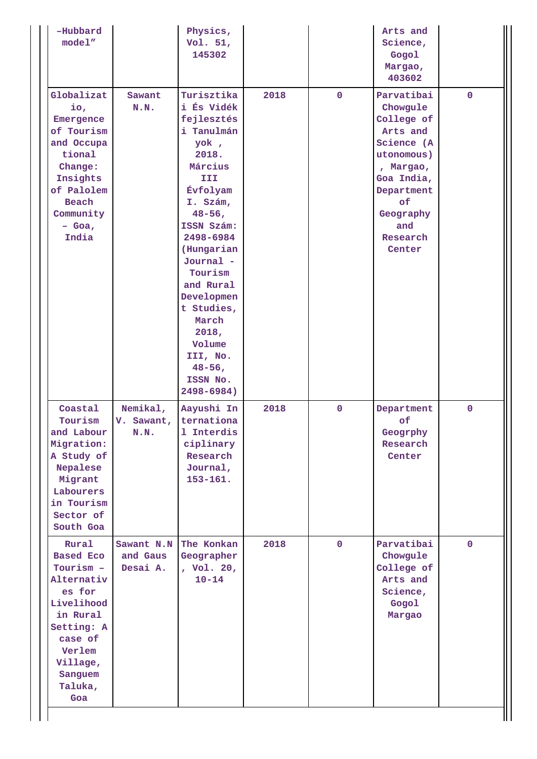| -Hubbard<br>model''                                                                                                                                                  |                                    | Physics,<br>Vol. 51,<br>145302                                                                                                                                                                                                                                                                                                   |      |             | Arts and<br>Science,<br>Gogol<br>Margao,<br>403602                                                                                                                    |              |
|----------------------------------------------------------------------------------------------------------------------------------------------------------------------|------------------------------------|----------------------------------------------------------------------------------------------------------------------------------------------------------------------------------------------------------------------------------------------------------------------------------------------------------------------------------|------|-------------|-----------------------------------------------------------------------------------------------------------------------------------------------------------------------|--------------|
| Globalizat<br>io,<br>Emergence<br>of Tourism<br>and Occupa<br>tional<br>Change:<br>Insights<br>of Palolem<br>Beach<br>Community<br>$-$ Goa,<br>India                 | Sawant<br>N.N.                     | Turisztika<br>i És Vidék<br>fejlesztés<br>i Tanulmán<br>yok,<br>2018.<br>Március<br><b>III</b><br>Évfolyam<br>I. Szám,<br>$48 - 56$ ,<br>ISSN Szám:<br>2498-6984<br>(Hungarian<br>Journal -<br>Tourism<br>and Rural<br>Developmen<br>t Studies,<br>March<br>2018,<br>Volume<br>III, No.<br>$48 - 56$ ,<br>ISSN No.<br>2498-6984) | 2018 | $\mathbf 0$ | Parvatibai<br>Chowgule<br>College of<br>Arts and<br>Science (A<br>utonomous)<br>, Margao,<br>Goa India,<br>Department<br>of<br>Geography<br>and<br>Research<br>Center | $\mathbf 0$  |
| Coastal<br>Tourism<br>and Labour<br>Migration:<br>A Study of<br>Nepalese<br>Migrant<br>Labourers<br>in Tourism<br>Sector of<br>South Goa                             | Nemikal,<br>V. Sawant,<br>N.N.     | Aayushi In<br>ternationa<br>1 Interdis<br>ciplinary<br>Research<br>Journal,<br>$153 - 161.$                                                                                                                                                                                                                                      | 2018 | $\mathbf 0$ | Department<br>of<br>Geogrphy<br>Research<br>Center                                                                                                                    | $\mathbf{0}$ |
| Rural<br><b>Based Eco</b><br>Tourism -<br>Alternativ<br>es for<br>Livelihood<br>in Rural<br>Setting: A<br>case of<br>Verlem<br>Village,<br>Sanguem<br>Taluka,<br>Goa | Sawant N.N<br>and Gaus<br>Desai A. | The Konkan<br>Geographer<br>, Vol. 20,<br>$10 - 14$                                                                                                                                                                                                                                                                              | 2018 | $\mathbf 0$ | Parvatibai<br>Chowgule<br>College of<br>Arts and<br>Science,<br>Gogol<br>Margao                                                                                       | $\mathbf 0$  |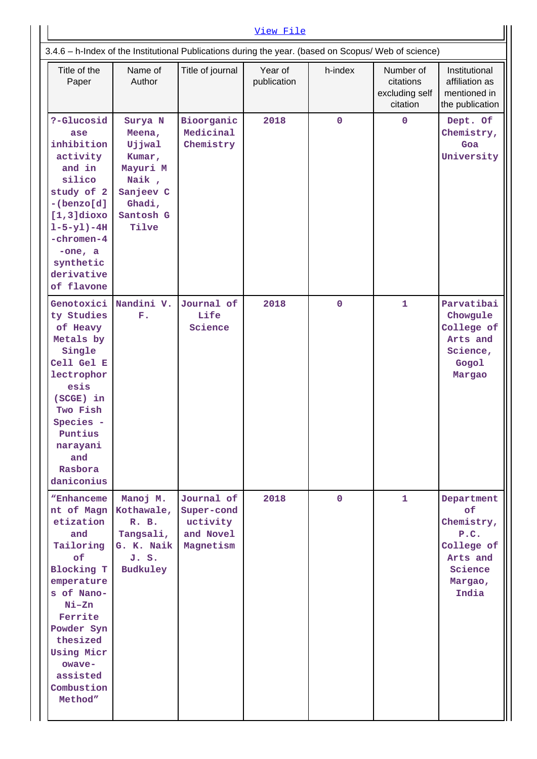| View File                                                                                                                                                                                                                       |                                                                                                         |                                                                |                        |             |                                                      |                                                                                                 |  |  |
|---------------------------------------------------------------------------------------------------------------------------------------------------------------------------------------------------------------------------------|---------------------------------------------------------------------------------------------------------|----------------------------------------------------------------|------------------------|-------------|------------------------------------------------------|-------------------------------------------------------------------------------------------------|--|--|
| 3.4.6 - h-Index of the Institutional Publications during the year. (based on Scopus/ Web of science)                                                                                                                            |                                                                                                         |                                                                |                        |             |                                                      |                                                                                                 |  |  |
| Title of the<br>Paper                                                                                                                                                                                                           | Name of<br>Author                                                                                       | Title of journal                                               | Year of<br>publication | h-index     | Number of<br>citations<br>excluding self<br>citation | Institutional<br>affiliation as<br>mentioned in<br>the publication                              |  |  |
| ?-Glucosid<br>ase<br>inhibition<br>activity<br>and in<br>silico<br>study of 2<br>$-(benzo[d]$<br>$[1,3]$ dioxo<br>$1 - 5 - y1) - 4H$<br>$-chromen-4$<br>$-one, a$<br>synthetic<br>derivative<br>of flavone                      | Surya N<br>Meena,<br>Ujjwal<br>Kumar,<br>Mayuri M<br>Naik,<br>Sanjeev C<br>Ghadi,<br>Santosh G<br>Tilve | Bioorganic<br>Medicinal<br>Chemistry                           | 2018                   | $\mathbf 0$ | $\mathbf 0$                                          | Dept. Of<br>Chemistry,<br>Goa<br>University                                                     |  |  |
| Genotoxici<br>ty Studies<br>of Heavy<br>Metals by<br>Single<br>Cell Gel E<br>lectrophor<br>esis<br>(SCGE) in<br>Two Fish<br>Species -<br>Puntius<br>narayani<br>and<br>Rasbora<br>daniconius                                    | Nandini V.<br>${\bf F}$ .                                                                               | Journal of<br>Life<br>Science                                  | 2018                   | $\mathbf 0$ | $\mathbf{1}$                                         | Parvatibai<br>Chowgule<br>College of<br>Arts and<br>Science,<br>Gogol<br>Margao                 |  |  |
| "Enhanceme<br>etization<br>and<br>Tailoring<br><b>of</b><br><b>Blocking T</b><br>emperature<br>s of Nano-<br>$Ni - Zn$<br>Ferrite<br>Powder Syn<br>thesized<br><b>Using Micr</b><br>owave-<br>assisted<br>Combustion<br>Method" | Manoj M.<br>nt of Magn Kothawale,<br>R. B.<br>Tangsali,<br>G. K. Naik<br>J. S.<br>Budkuley              | Journal of<br>Super-cond<br>uctivity<br>and Novel<br>Magnetism | 2018                   | $\mathbf 0$ | $\mathbf{1}$                                         | Department<br>of<br>Chemistry,<br>P.C.<br>College of<br>Arts and<br>Science<br>Margao,<br>India |  |  |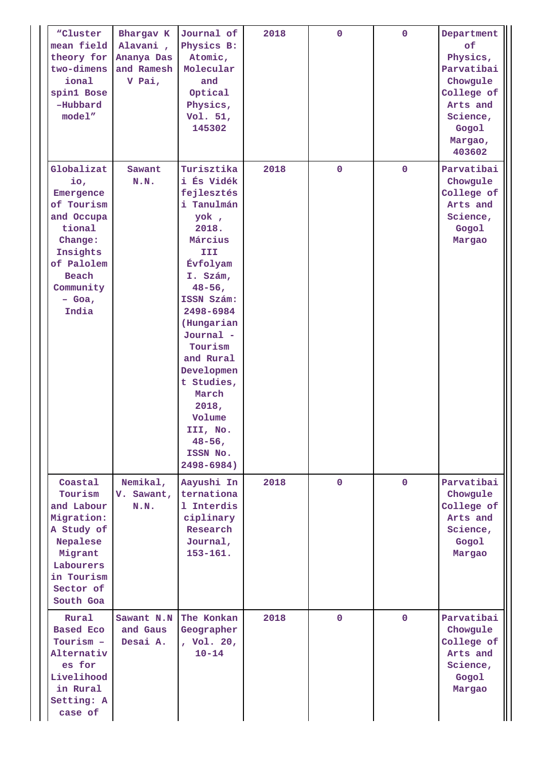| "Cluster<br>mean field<br>theory for<br>two-dimens<br>ional<br>spin1 Bose<br>-Hubbard<br>model"                                                      | Bhargav K<br>Alavani,<br>Ananya Das<br>and Ramesh<br>V Pai, | Journal of<br>Physics B:<br>Atomic,<br>Molecular<br>and<br>Optical<br>Physics,<br>Vol. 51,<br>145302                                                                                                                                                                                                                      | 2018 | $\mathbf 0$  | $\Omega$     | Department<br>of<br>Physics,<br>Parvatibai<br>Chowgule<br>College of<br>Arts and<br>Science,<br>Gogol<br>Margao,<br>403602 |
|------------------------------------------------------------------------------------------------------------------------------------------------------|-------------------------------------------------------------|---------------------------------------------------------------------------------------------------------------------------------------------------------------------------------------------------------------------------------------------------------------------------------------------------------------------------|------|--------------|--------------|----------------------------------------------------------------------------------------------------------------------------|
| Globalizat<br>io,<br>Emergence<br>of Tourism<br>and Occupa<br>tional<br>Change:<br>Insights<br>of Palolem<br>Beach<br>Community<br>$-$ Goa,<br>India | Sawant<br>N.N.                                              | Turisztika<br>i És Vidék<br>fejlesztés<br>i Tanulmán<br>yok,<br>2018.<br>Március<br>III<br>Évfolyam<br>I. Szám,<br>$48 - 56$ ,<br>ISSN Szám:<br>2498-6984<br>(Hungarian<br>Journal -<br>Tourism<br>and Rural<br>Developmen<br>t Studies,<br>March<br>2018,<br>Volume<br>III, No.<br>$48 - 56$ ,<br>ISSN No.<br>2498-6984) | 2018 | $\mathbf 0$  | $\mathbf 0$  | Parvatibai<br>Chowgule<br>College of<br>Arts and<br>Science,<br>Gogol<br>Margao                                            |
| Coastal<br>Tourism<br>and Labour<br>Migration:<br>A Study of<br>Nepalese<br>Migrant<br>Labourers<br>in Tourism<br>Sector of<br>South Goa             | Nemikal,<br>V. Sawant,<br>N.N.                              | Aayushi In<br>ternationa<br>1 Interdis<br>ciplinary<br>Research<br>Journal,<br>$153 - 161.$                                                                                                                                                                                                                               | 2018 | $\mathbf{0}$ | $\mathbf{0}$ | Parvatibai<br>Chowgule<br>College of<br>Arts and<br>Science,<br>Gogol<br>Margao                                            |
| Rural<br><b>Based Eco</b><br>Tourism -<br>Alternativ<br>es for<br>Livelihood<br>in Rural<br>Setting: A<br>case of                                    | Sawant N.N<br>and Gaus<br>Desai A.                          | The Konkan<br>Geographer<br>, Vol. 20,<br>$10 - 14$                                                                                                                                                                                                                                                                       | 2018 | $\mathbf 0$  | $\mathbf 0$  | Parvatibai<br>Chowgule<br>College of<br>Arts and<br>Science,<br>Gogol<br>Margao                                            |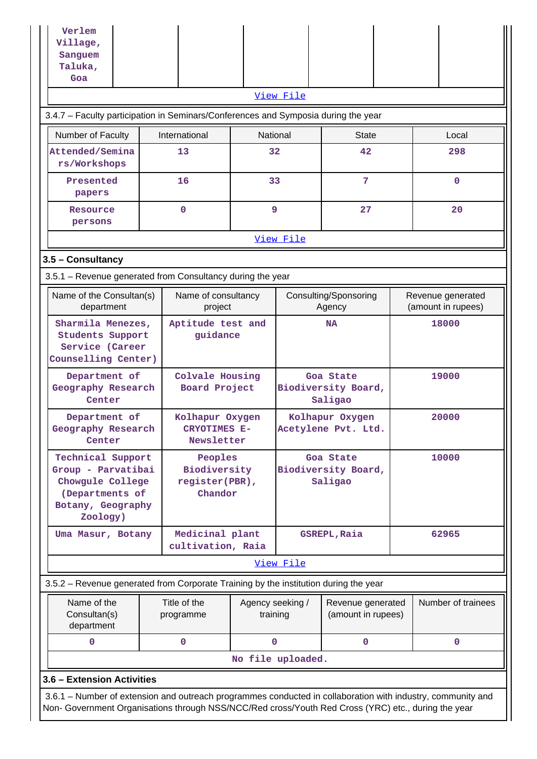| Verlem                                                                                                                                                                                                             |                                                      |              |                                             |                    |       |                                         |  |
|--------------------------------------------------------------------------------------------------------------------------------------------------------------------------------------------------------------------|------------------------------------------------------|--------------|---------------------------------------------|--------------------|-------|-----------------------------------------|--|
| Village,<br>Sanguem                                                                                                                                                                                                |                                                      |              |                                             |                    |       |                                         |  |
| Taluka,                                                                                                                                                                                                            |                                                      |              |                                             |                    |       |                                         |  |
| Goa                                                                                                                                                                                                                |                                                      |              |                                             |                    |       |                                         |  |
|                                                                                                                                                                                                                    |                                                      |              | View File                                   |                    |       |                                         |  |
| 3.4.7 - Faculty participation in Seminars/Conferences and Symposia during the year                                                                                                                                 |                                                      |              |                                             |                    |       |                                         |  |
| Number of Faculty                                                                                                                                                                                                  | International                                        | National     |                                             | <b>State</b>       |       | Local                                   |  |
| Attended/Semina<br>rs/Workshops                                                                                                                                                                                    | 13                                                   | 32           |                                             | 42                 |       | 298                                     |  |
| Presented<br>papers                                                                                                                                                                                                | 16                                                   | 33           |                                             | 7                  |       | $\Omega$                                |  |
| Resource<br>persons                                                                                                                                                                                                | $\mathbf 0$                                          | 9            |                                             | 27                 |       | 20                                      |  |
|                                                                                                                                                                                                                    |                                                      |              | View File                                   |                    |       |                                         |  |
| 3.5 - Consultancy                                                                                                                                                                                                  |                                                      |              |                                             |                    |       |                                         |  |
| 3.5.1 - Revenue generated from Consultancy during the year                                                                                                                                                         |                                                      |              |                                             |                    |       |                                         |  |
| Name of the Consultan(s)<br>department                                                                                                                                                                             | Name of consultancy<br>project                       |              | Consulting/Sponsoring<br>Agency             |                    |       | Revenue generated<br>(amount in rupees) |  |
| Sharmila Menezes,<br>Aptitude test and<br>guidance<br><b>Students Support</b><br>Service (Career<br>Counselling Center)                                                                                            |                                                      |              | <b>NA</b>                                   |                    |       | 18000                                   |  |
| Department of<br>Geography Research<br>Center                                                                                                                                                                      | Colvale Housing<br>Board Project                     |              | Goa State<br>Biodiversity Board,<br>Saligao |                    |       | 19000                                   |  |
| Department of<br>Geography Research<br>Center                                                                                                                                                                      | Kolhapur Oxygen<br><b>CRYOTIMES E-</b><br>Newsletter |              | Kolhapur Oxygen<br>Acetylene Pvt. Ltd.      |                    |       | 20000                                   |  |
| Technical Support<br>Group - Parvatibai<br>Chowgule College<br>(Departments of<br>Botany, Geography<br>Zoology)                                                                                                    | Peoples<br>Biodiversity<br>register(PBR),<br>Chandor |              | Goa State<br>Biodiversity Board,<br>Saligao |                    | 10000 |                                         |  |
| Uma Masur, Botany                                                                                                                                                                                                  | Medicinal plant<br>cultivation, Raia                 |              |                                             | GSREPL, Raia       |       | 62965                                   |  |
|                                                                                                                                                                                                                    |                                                      |              | View File                                   |                    |       |                                         |  |
| 3.5.2 – Revenue generated from Corporate Training by the institution during the year                                                                                                                               |                                                      |              |                                             |                    |       |                                         |  |
| Name of the<br>Title of the<br>Agency seeking /<br>Revenue generated<br>(amount in rupees)<br>Consultan(s)<br>training<br>programme<br>department                                                                  |                                                      |              |                                             | Number of trainees |       |                                         |  |
| 0                                                                                                                                                                                                                  | $\mathbf 0$                                          | $\mathbf{0}$ |                                             | $\mathbf 0$        |       | $\mathbf 0$                             |  |
|                                                                                                                                                                                                                    |                                                      |              | No file uploaded.                           |                    |       |                                         |  |
| 3.6 - Extension Activities                                                                                                                                                                                         |                                                      |              |                                             |                    |       |                                         |  |
| 3.6.1 – Number of extension and outreach programmes conducted in collaboration with industry, community and<br>Non- Government Organisations through NSS/NCC/Red cross/Youth Red Cross (YRC) etc., during the year |                                                      |              |                                             |                    |       |                                         |  |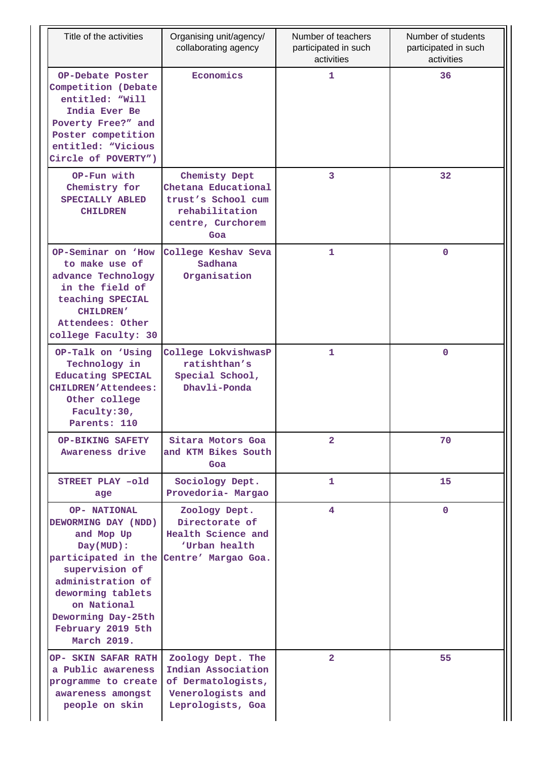| Title of the activities                                                                                                                                                                                                           | Organising unit/agency/<br>collaborating agency                                                          | Number of teachers<br>participated in such<br>activities | Number of students<br>participated in such<br>activities |
|-----------------------------------------------------------------------------------------------------------------------------------------------------------------------------------------------------------------------------------|----------------------------------------------------------------------------------------------------------|----------------------------------------------------------|----------------------------------------------------------|
| OP-Debate Poster<br>Competition (Debate<br>entitled: "Will<br>India Ever Be<br>Poverty Free?" and<br>Poster competition<br>entitled: "Vicious<br>Circle of POVERTY")                                                              | Economics                                                                                                | 1                                                        | 36                                                       |
| OP-Fun with<br>Chemistry for<br>SPECIALLY ABLED<br><b>CHILDREN</b>                                                                                                                                                                | Chemisty Dept<br>Chetana Educational<br>trust's School cum<br>rehabilitation<br>centre, Curchorem<br>Goa | 3                                                        | 32                                                       |
| OP-Seminar on 'How<br>to make use of<br>advance Technology<br>in the field of<br>teaching SPECIAL<br><b>CHILDREN'</b><br>Attendees: Other<br>college Faculty: 30                                                                  | College Keshav Seva<br>Sadhana<br>Organisation                                                           | 1                                                        | 0                                                        |
| OP-Talk on 'Using<br>Technology in<br>Educating SPECIAL<br><b>CHILDREN'Attendees:</b><br>Other college<br>Faculty: 30,<br>Parents: 110                                                                                            | College LokvishwasP<br>ratishthan's<br>Special School,<br>Dhavli-Ponda                                   | 1                                                        | $\mathbf 0$                                              |
| <b>OP-BIKING SAFETY</b><br>Awareness drive                                                                                                                                                                                        | Sitara Motors Goa<br>and KTM Bikes South<br>Goa                                                          | $\overline{a}$                                           | 70                                                       |
| STREET PLAY -old<br>age                                                                                                                                                                                                           | Sociology Dept.<br>Provedoria- Margao                                                                    | 1                                                        | 15                                                       |
| <b>OP- NATIONAL</b><br>DEWORMING DAY (NDD)<br>and Mop Up<br>Day(MUD):<br>participated in the<br>supervision of<br>administration of<br>deworming tablets<br>on National<br>Deworming Day-25th<br>February 2019 5th<br>March 2019. | Zoology Dept.<br>Directorate of<br>Health Science and<br>'Urban health<br>Centre' Margao Goa.            | 4                                                        | $\mathbf{0}$                                             |
| OP- SKIN SAFAR RATH<br>a Public awareness<br>programme to create<br>awareness amongst<br>people on skin                                                                                                                           | Zoology Dept. The<br>Indian Association<br>of Dermatologists,<br>Venerologists and<br>Leprologists, Goa  | $\overline{2}$                                           | 55                                                       |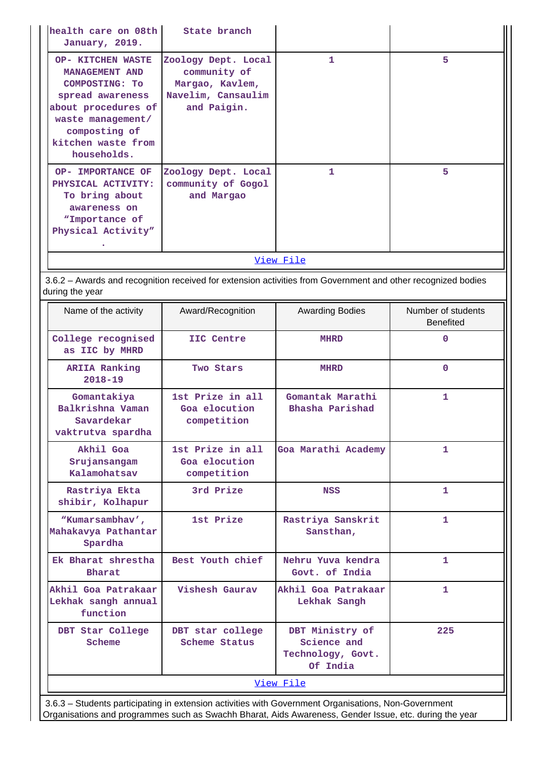| health care on 08th  <br>January, 2019.                                                                                                                                                   | State branch                                                                                |   |   |  |  |  |
|-------------------------------------------------------------------------------------------------------------------------------------------------------------------------------------------|---------------------------------------------------------------------------------------------|---|---|--|--|--|
| <b>OP- KITCHEN WASTE</b><br>MANAGEMENT AND<br><b>COMPOSTING: TO</b><br>spread awareness<br>about procedures of<br>waste management/<br>composting of<br>kitchen waste from<br>households. | Zoology Dept. Local<br>community of<br>Margao, Kavlem,<br>Navelim, Cansaulim<br>and Paigin. | 1 | 5 |  |  |  |
| OP- IMPORTANCE OF<br>PHYSICAL ACTIVITY:<br>To bring about<br>awareness on<br>"Importance of<br>Physical Activity"                                                                         | Zoology Dept. Local<br>community of Gogol<br>and Margao                                     | 1 | 5 |  |  |  |
| <u>View File</u>                                                                                                                                                                          |                                                                                             |   |   |  |  |  |

 3.6.2 – Awards and recognition received for extension activities from Government and other recognized bodies during the year

| Name of the activity                                               | Award/Recognition                                | <b>Awarding Bodies</b>                                                                               | Number of students<br><b>Benefited</b> |
|--------------------------------------------------------------------|--------------------------------------------------|------------------------------------------------------------------------------------------------------|----------------------------------------|
| College recognised<br>as IIC by MHRD                               | IIC Centre                                       | <b>MHRD</b>                                                                                          | $\Omega$                               |
| <b>ARIIA Ranking</b><br>$2018 - 19$                                | Two Stars                                        | <b>MHRD</b>                                                                                          | $\Omega$                               |
| Gomantakiya<br>Balkrishna Vaman<br>Savardekar<br>vaktrutva spardha | 1st Prize in all<br>Goa elocution<br>competition | Gomantak Marathi<br>Bhasha Parishad                                                                  | 1.                                     |
| Akhil Goa<br>Srujansangam<br>Kalamohatsav                          | 1st Prize in all<br>Goa elocution<br>competition | Goa Marathi Academy                                                                                  | 1.                                     |
| Rastriya Ekta<br>shibir, Kolhapur                                  | 3rd Prize                                        | <b>NSS</b>                                                                                           | 1                                      |
| "Kumarsambhav',<br>Mahakavya Pathantar<br>Spardha                  | 1st Prize                                        | Rastriya Sanskrit<br>Sansthan,                                                                       | 1.                                     |
| Ek Bharat shrestha<br><b>Bharat</b>                                | Best Youth chief                                 | Nehru Yuva kendra<br>Govt. of India                                                                  | $\mathbf{1}$                           |
| Akhil Goa Patrakaar<br>Lekhak sangh annual<br>function             | Vishesh Gaurav                                   | Akhil Goa Patrakaar<br>Lekhak Sangh                                                                  | $\mathbf{1}$                           |
| DBT Star College<br>Scheme                                         | DBT star college<br>Scheme Status                | DBT Ministry of<br>Science and<br>Technology, Govt.<br>Of India                                      | 225                                    |
|                                                                    |                                                  | View File                                                                                            |                                        |
|                                                                    |                                                  | 3.6.3 - Students participating in extension activities with Government Organisations, Non-Government |                                        |

Organisations and programmes such as Swachh Bharat, Aids Awareness, Gender Issue, etc. during the year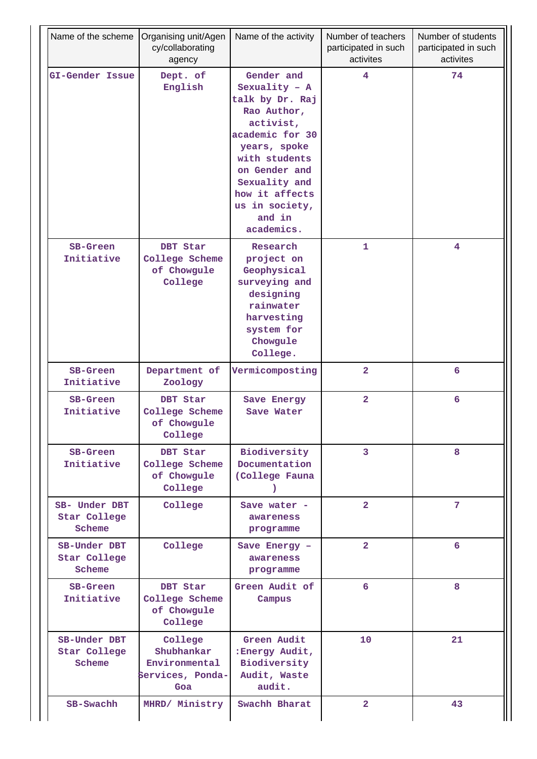| Name of the scheme                      | Organising unit/Agen<br>Name of the activity<br>cy/collaborating<br>agency |                                                                                                                                                                                                                                | Number of teachers<br>participated in such<br>activites | Number of students<br>participated in such<br>activites |
|-----------------------------------------|----------------------------------------------------------------------------|--------------------------------------------------------------------------------------------------------------------------------------------------------------------------------------------------------------------------------|---------------------------------------------------------|---------------------------------------------------------|
| GI-Gender Issue                         | Dept. of<br>English                                                        | Gender and<br>Sexuality - $A$<br>talk by Dr. Raj<br>Rao Author,<br>activist,<br>academic for 30<br>years, spoke<br>with students<br>on Gender and<br>Sexuality and<br>how it affects<br>us in society,<br>and in<br>academics. | 4                                                       | 74                                                      |
| <b>SB-Green</b><br>Initiative           | DBT Star<br>College Scheme<br>of Chowgule<br>College                       | Research<br>project on<br>Geophysical<br>surveying and<br>designing<br>rainwater<br>harvesting<br>system for<br>Chowgule<br>College.                                                                                           | 1                                                       | 4                                                       |
| SB-Green<br>Initiative                  | Department of<br>Zoology                                                   | Vermicomposting                                                                                                                                                                                                                | $\overline{\mathbf{2}}$                                 | 6                                                       |
| SB-Green<br>Initiative                  | DBT Star<br>College Scheme<br>of Chowgule<br>College                       | Save Energy<br>Save Water                                                                                                                                                                                                      | $\overline{\mathbf{2}}$                                 | 6                                                       |
| <b>SB-Green</b><br>Initiative           | DBT Star<br>College Scheme<br>of Chowgule<br>College                       | Biodiversity<br>Documentation<br>(College Fauna<br>1                                                                                                                                                                           | 3                                                       | 8                                                       |
| SB- Under DBT<br>Star College<br>Scheme | College                                                                    | Save water -<br>awareness<br>programme                                                                                                                                                                                         | $\overline{2}$                                          | 7                                                       |
| SB-Under DBT<br>Star College<br>Scheme  | College                                                                    | Save Energy -<br>awareness<br>programme                                                                                                                                                                                        | $\overline{a}$                                          | 6                                                       |
| <b>SB-Green</b><br>Initiative           | DBT Star<br>College Scheme<br>of Chowgule<br>College                       | Green Audit of<br>Campus                                                                                                                                                                                                       | 6                                                       | 8                                                       |
| SB-Under DBT<br>Star College<br>Scheme  | College<br>Shubhankar<br>Environmental<br>Services, Ponda-<br>Goa          | Green Audit<br>:Energy Audit,<br>Biodiversity<br>Audit, Waste<br>audit.                                                                                                                                                        | 10                                                      | 21                                                      |
| SB-Swachh                               | MHRD/ Ministry                                                             | Swachh Bharat                                                                                                                                                                                                                  | $\overline{\mathbf{2}}$                                 | 43                                                      |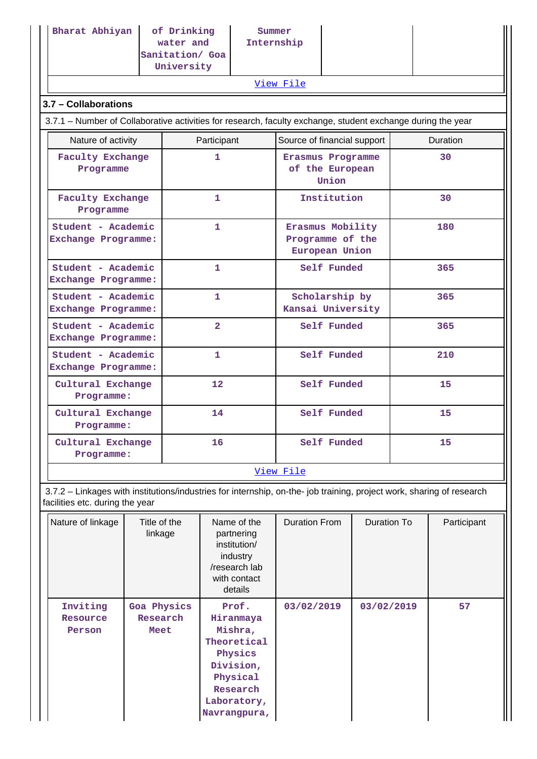| Bharat Abhiyan                                                                                                                                           | of Drinking<br>water and<br>Sanitation/ Goa<br>University |                | Summer<br>Internship                                   |                                     |             |                    |             |
|----------------------------------------------------------------------------------------------------------------------------------------------------------|-----------------------------------------------------------|----------------|--------------------------------------------------------|-------------------------------------|-------------|--------------------|-------------|
|                                                                                                                                                          |                                                           |                |                                                        | View File                           |             |                    |             |
| 3.7 - Collaborations                                                                                                                                     |                                                           |                |                                                        |                                     |             |                    |             |
| 3.7.1 – Number of Collaborative activities for research, faculty exchange, student exchange during the year                                              |                                                           |                |                                                        |                                     |             |                    |             |
| Nature of activity                                                                                                                                       |                                                           | Participant    |                                                        | Source of financial support         |             |                    | Duration    |
| <b>Faculty Exchange</b><br>1<br>Programme                                                                                                                |                                                           |                | Erasmus Programme<br>of the European<br>Union          |                                     | 30          |                    |             |
| <b>Faculty Exchange</b><br>1<br>Programme                                                                                                                |                                                           |                |                                                        | Institution                         |             | 30                 |             |
| Student - Academic<br>1<br>Exchange Programme:                                                                                                           |                                                           |                | Erasmus Mobility<br>Programme of the<br>European Union |                                     | 180         |                    |             |
| Student - Academic<br>Exchange Programme:                                                                                                                |                                                           | $\mathbf{1}$   |                                                        | Self Funded                         |             | 365                |             |
| Student - Academic<br>Exchange Programme:                                                                                                                |                                                           | $\mathbf{1}$   |                                                        | Scholarship by<br>Kansai University |             | 365                |             |
| Student - Academic<br>Exchange Programme:                                                                                                                |                                                           | $\overline{2}$ |                                                        | Self Funded                         |             | 365                |             |
| Student - Academic<br>Exchange Programme:                                                                                                                |                                                           | 1              |                                                        | Self Funded                         |             |                    | 210         |
| Cultural Exchange<br>Programme:                                                                                                                          |                                                           | 12             |                                                        |                                     | Self Funded |                    | 15          |
| Cultural Exchange<br>Programme:                                                                                                                          |                                                           | 14             |                                                        |                                     | Self Funded |                    | 15          |
| Cultural Exchange<br>16<br>Programme:                                                                                                                    |                                                           |                |                                                        | Self Funded                         |             | 15                 |             |
|                                                                                                                                                          |                                                           |                |                                                        | View File                           |             |                    |             |
| 3.7.2 - Linkages with institutions/industries for internship, on-the- job training, project work, sharing of research<br>facilities etc. during the year |                                                           |                |                                                        |                                     |             |                    |             |
| Nature of linkage                                                                                                                                        | Title of the                                              |                | Name of the                                            | <b>Duration From</b>                |             | <b>Duration To</b> | Participant |

| Nature of linkage              | Title of the<br>linkage         | Name of the<br>partnering<br>institution/<br>industry<br>/research lab<br>with contact<br>details                           | <b>Duration From</b> | Duration To | Participant |
|--------------------------------|---------------------------------|-----------------------------------------------------------------------------------------------------------------------------|----------------------|-------------|-------------|
| Inviting<br>Resource<br>Person | Goa Physics<br>Research<br>Meet | Prof.<br>Hiranmaya<br>Mishra,<br>Theoretical<br>Physics<br>Division,<br>Physical<br>Research<br>Laboratory,<br>Navrangpura, | 03/02/2019           | 03/02/2019  | 57          |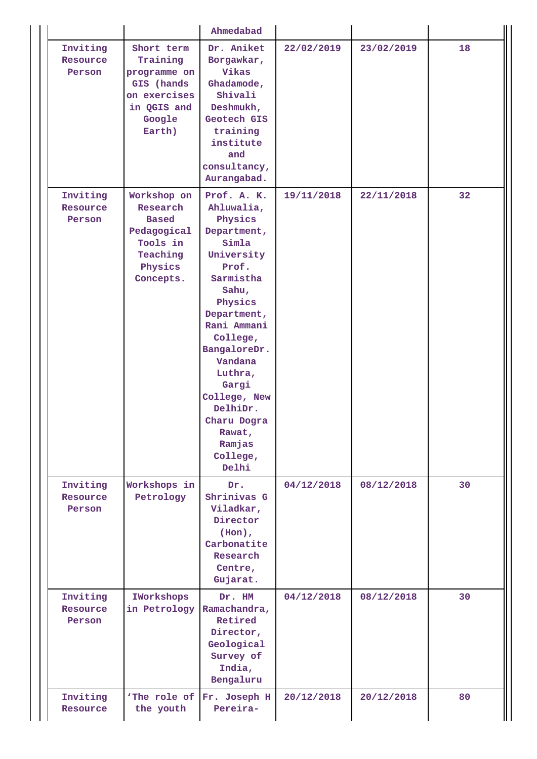|                                |                                                                                                         | Ahmedabad                                                                                                                                                                                                                                                                                         |            |            |    |
|--------------------------------|---------------------------------------------------------------------------------------------------------|---------------------------------------------------------------------------------------------------------------------------------------------------------------------------------------------------------------------------------------------------------------------------------------------------|------------|------------|----|
| Inviting<br>Resource<br>Person | Short term<br>Training<br>programme on<br>GIS (hands<br>on exercises<br>in QGIS and<br>Google<br>Earth) | Dr. Aniket<br>Borgawkar,<br>Vikas<br>Ghadamode,<br>Shivali<br>Deshmukh,<br>Geotech GIS<br>training<br>institute<br>and<br>consultancy,<br>Aurangabad.                                                                                                                                             | 22/02/2019 | 23/02/2019 | 18 |
| Inviting<br>Resource<br>Person | Workshop on<br>Research<br><b>Based</b><br>Pedagogical<br>Tools in<br>Teaching<br>Physics<br>Concepts.  | Prof. A. K.<br>Ahluwalia,<br>Physics<br>Department,<br>Simla<br>University<br>Prof.<br>Sarmistha<br>Sahu,<br>Physics<br>Department,<br>Rani Ammani<br>College,<br>BangaloreDr.<br>Vandana<br>Luthra,<br>Gargi<br>College, New<br>DelhiDr.<br>Charu Dogra<br>Rawat,<br>Ramjas<br>College,<br>Delhi | 19/11/2018 | 22/11/2018 | 32 |
| Inviting<br>Resource<br>Person | Workshops in<br>Petrology                                                                               | Dr.<br>Shrinivas G<br>Viladkar,<br>Director<br>$(Hon)$ ,<br>Carbonatite<br>Research<br>Centre,<br>Gujarat.                                                                                                                                                                                        | 04/12/2018 | 08/12/2018 | 30 |
| Inviting<br>Resource<br>Person | IWorkshops<br>in Petrology                                                                              | Dr. HM<br>Ramachandra,<br>Retired<br>Director,<br>Geological<br>Survey of<br>India,<br>Bengaluru                                                                                                                                                                                                  | 04/12/2018 | 08/12/2018 | 30 |
| Inviting<br>Resource           | the youth                                                                                               | 'The role of Fr. Joseph H<br>Pereira-                                                                                                                                                                                                                                                             | 20/12/2018 | 20/12/2018 | 80 |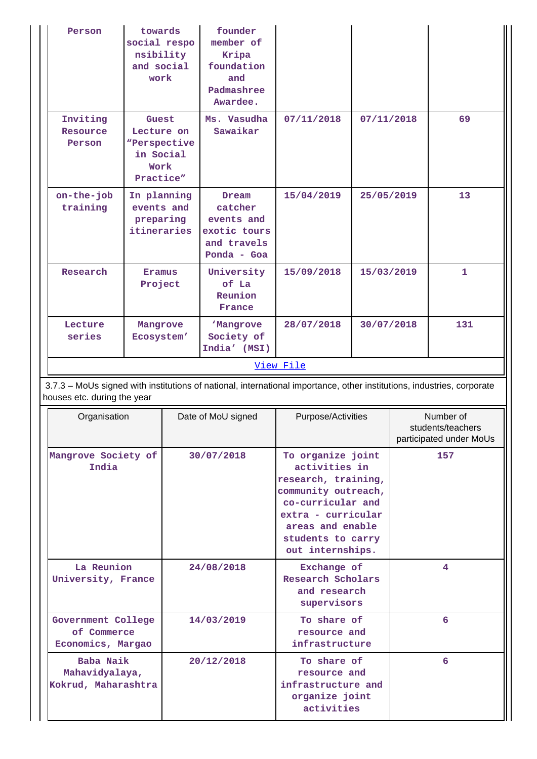| Person                                                                                                                                                | towards<br>social respo<br>nsibility<br>and social<br>work            |  | founder<br>member of<br>Kripa<br>foundation<br>and<br>Padmashree<br>Awardee. |                                                                                                                                                                                          |                         |                                                           |            |    |
|-------------------------------------------------------------------------------------------------------------------------------------------------------|-----------------------------------------------------------------------|--|------------------------------------------------------------------------------|------------------------------------------------------------------------------------------------------------------------------------------------------------------------------------------|-------------------------|-----------------------------------------------------------|------------|----|
| Inviting<br>Resource<br>Person                                                                                                                        | Guest<br>Lecture on<br>"Perspective<br>in Social<br>Work<br>Practice" |  |                                                                              |                                                                                                                                                                                          | Ms. Vasudha<br>Sawaikar | 07/11/2018                                                | 07/11/2018 | 69 |
| on-the-job<br>training                                                                                                                                | In planning<br>events and<br>preparing<br>itineraries                 |  | Dream<br>catcher<br>events and<br>exotic tours<br>and travels<br>Ponda - Goa | 15/04/2019                                                                                                                                                                               | 25/05/2019              | 13                                                        |            |    |
| Research                                                                                                                                              | Eramus<br>Project                                                     |  | University<br>of La<br>Reunion<br>France                                     | 15/09/2018                                                                                                                                                                               | 15/03/2019              | $\mathbf 1$                                               |            |    |
| Lecture<br>series                                                                                                                                     | Mangrove<br>Ecosystem'                                                |  | <b>Mangrove</b><br>Society of<br>India' (MSI)                                | 28/07/2018                                                                                                                                                                               | 30/07/2018              | 131                                                       |            |    |
|                                                                                                                                                       |                                                                       |  | View File                                                                    |                                                                                                                                                                                          |                         |                                                           |            |    |
| 3.7.3 - MoUs signed with institutions of national, international importance, other institutions, industries, corporate<br>houses etc. during the year |                                                                       |  |                                                                              |                                                                                                                                                                                          |                         |                                                           |            |    |
| Organisation                                                                                                                                          |                                                                       |  | Date of MoU signed                                                           | Purpose/Activities                                                                                                                                                                       |                         | Number of<br>students/teachers<br>participated under MoUs |            |    |
| Mangrove Society of<br>India                                                                                                                          |                                                                       |  | 30/07/2018                                                                   | To organize joint<br>activities in<br>research, training,<br>community outreach,<br>co-curricular and<br>extra - curricular<br>areas and enable<br>students to carry<br>out internships. |                         | 157                                                       |            |    |
|                                                                                                                                                       | La Reunion<br>University, France                                      |  | 24/08/2018                                                                   | Exchange of<br>Research Scholars<br>and research<br>supervisors                                                                                                                          |                         | 4                                                         |            |    |
| Government College<br>of Commerce<br>Economics, Margao                                                                                                |                                                                       |  | 14/03/2019                                                                   | To share of<br>resource and<br>infrastructure                                                                                                                                            |                         | 6                                                         |            |    |
| Baba Naik<br>Mahavidyalaya,<br>Kokrud, Maharashtra                                                                                                    |                                                                       |  | 20/12/2018                                                                   | To share of<br>resource and<br>infrastructure and<br>organize joint<br>activities                                                                                                        |                         | 6                                                         |            |    |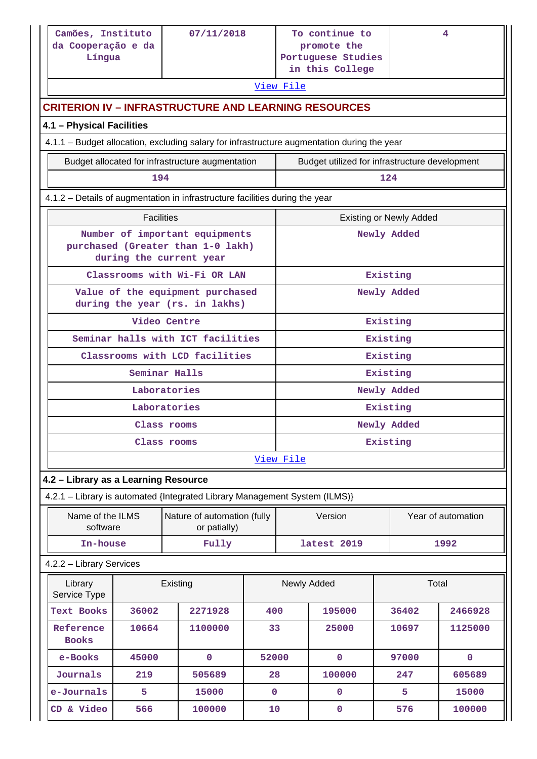|                                                                    | Camões, Instituto<br>07/11/2018<br>da Cooperação e da<br>Língua              |                                                                                             |             |                                                                            | To continue to<br>promote the<br>Portuguese Studies |                                | 4                  |  |
|--------------------------------------------------------------------|------------------------------------------------------------------------------|---------------------------------------------------------------------------------------------|-------------|----------------------------------------------------------------------------|-----------------------------------------------------|--------------------------------|--------------------|--|
|                                                                    |                                                                              |                                                                                             |             |                                                                            | in this College                                     |                                |                    |  |
|                                                                    |                                                                              |                                                                                             |             | View File                                                                  |                                                     |                                |                    |  |
|                                                                    |                                                                              | <b>CRITERION IV – INFRASTRUCTURE AND LEARNING RESOURCES</b>                                 |             |                                                                            |                                                     |                                |                    |  |
| 4.1 - Physical Facilities                                          |                                                                              |                                                                                             |             |                                                                            |                                                     |                                |                    |  |
|                                                                    |                                                                              | 4.1.1 - Budget allocation, excluding salary for infrastructure augmentation during the year |             |                                                                            |                                                     |                                |                    |  |
|                                                                    |                                                                              | Budget allocated for infrastructure augmentation                                            |             |                                                                            | Budget utilized for infrastructure development      |                                |                    |  |
|                                                                    | 194                                                                          |                                                                                             |             |                                                                            |                                                     | 124                            |                    |  |
|                                                                    | 4.1.2 - Details of augmentation in infrastructure facilities during the year |                                                                                             |             |                                                                            |                                                     |                                |                    |  |
|                                                                    | <b>Facilities</b>                                                            |                                                                                             |             |                                                                            |                                                     | <b>Existing or Newly Added</b> |                    |  |
| Number of important equipments                                     |                                                                              |                                                                                             |             |                                                                            |                                                     | Newly Added                    |                    |  |
|                                                                    | purchased (Greater than 1-0 lakh)<br>during the current year                 |                                                                                             |             |                                                                            |                                                     |                                |                    |  |
|                                                                    | Classrooms with Wi-Fi OR LAN                                                 |                                                                                             |             |                                                                            |                                                     | Existing                       |                    |  |
| Value of the equipment purchased<br>during the year (rs. in lakhs) |                                                                              |                                                                                             |             |                                                                            |                                                     | Newly Added                    |                    |  |
| Video Centre                                                       |                                                                              |                                                                                             |             |                                                                            | Existing                                            |                                |                    |  |
| Seminar halls with ICT facilities                                  |                                                                              |                                                                                             |             |                                                                            | Existing                                            |                                |                    |  |
| Classrooms with LCD facilities                                     |                                                                              |                                                                                             |             |                                                                            |                                                     | Existing                       |                    |  |
|                                                                    |                                                                              | Seminar Halls                                                                               |             |                                                                            |                                                     | Existing                       |                    |  |
|                                                                    |                                                                              | Laboratories                                                                                |             | Newly Added                                                                |                                                     |                                |                    |  |
|                                                                    |                                                                              | Laboratories                                                                                |             | Existing                                                                   |                                                     |                                |                    |  |
|                                                                    |                                                                              | Class rooms                                                                                 |             | Newly Added                                                                |                                                     |                                |                    |  |
|                                                                    |                                                                              | Class rooms                                                                                 |             | Existing<br>View File                                                      |                                                     |                                |                    |  |
|                                                                    |                                                                              |                                                                                             |             |                                                                            |                                                     |                                |                    |  |
| 4.2 - Library as a Learning Resource                               |                                                                              |                                                                                             |             |                                                                            |                                                     |                                |                    |  |
|                                                                    |                                                                              |                                                                                             |             | 4.2.1 - Library is automated {Integrated Library Management System (ILMS)} |                                                     |                                |                    |  |
| Name of the ILMS<br>software                                       |                                                                              | Nature of automation (fully<br>or patially)                                                 |             |                                                                            | Version                                             |                                | Year of automation |  |
| In-house                                                           |                                                                              | Fully                                                                                       |             |                                                                            | latest 2019                                         |                                | 1992               |  |
| 4.2.2 - Library Services                                           |                                                                              |                                                                                             |             |                                                                            |                                                     |                                |                    |  |
| Library<br>Service Type                                            |                                                                              | Existing                                                                                    |             |                                                                            | Newly Added                                         |                                | Total              |  |
| <b>Text Books</b>                                                  | 36002                                                                        | 2271928                                                                                     | 400         |                                                                            | 195000                                              | 36402                          | 2466928            |  |
| Reference<br><b>Books</b>                                          | 10664                                                                        | 1100000                                                                                     | 33          |                                                                            | 25000                                               | 10697                          | 1125000            |  |
| e-Books                                                            | 45000                                                                        | $\mathbf 0$                                                                                 | 52000       |                                                                            | $\mathbf 0$                                         | 97000                          | $\mathbf{0}$       |  |
| Journals                                                           | 219                                                                          | 505689                                                                                      | 28          |                                                                            | 100000                                              | 247                            | 605689             |  |
| e-Journals                                                         | 5                                                                            | 15000                                                                                       | $\mathbf 0$ |                                                                            | $\mathbf 0$                                         | 5                              | 15000              |  |
| CD & Video                                                         | 566                                                                          | 100000                                                                                      | 10          |                                                                            | 0                                                   | 576                            | 100000             |  |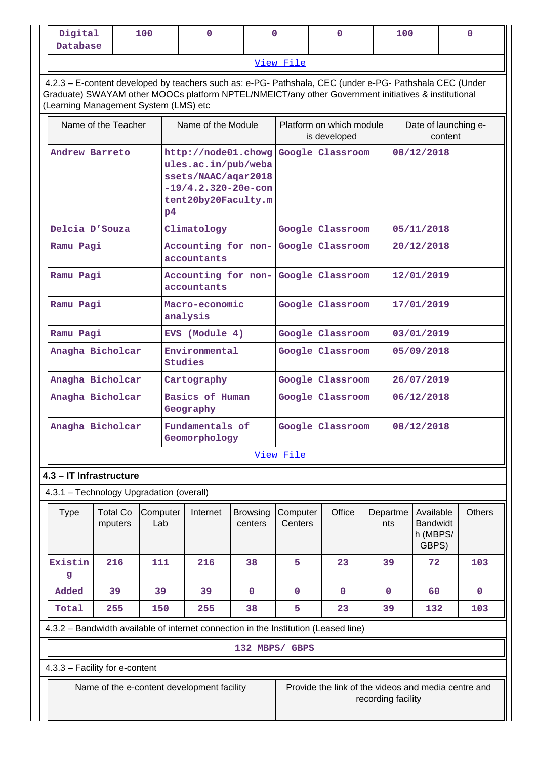| Digital<br>Database | 100            |  |  |  | 100 |  |  |
|---------------------|----------------|--|--|--|-----|--|--|
|                     | View<br>ه 1 نه |  |  |  |     |  |  |

 4.2.3 – E-content developed by teachers such as: e-PG- Pathshala, CEC (under e-PG- Pathshala CEC (Under Graduate) SWAYAM other MOOCs platform NPTEL/NMEICT/any other Government initiatives & institutional (Learning Management System (LMS) etc

| Name of the Teacher | Name of the Module                                                                                                                   | Platform on which module<br>is developed | Date of launching e-<br>content |
|---------------------|--------------------------------------------------------------------------------------------------------------------------------------|------------------------------------------|---------------------------------|
| Andrew Barreto      | http://node01.chowg<br>ules.ac.in/pub/weba<br>ssets/NAAC/aqar2018<br>$-19/4.2.320-20e$ -con<br>tent20by20Faculty.m<br>P <sub>4</sub> | Google Classroom                         | 08/12/2018                      |
| Delcia D'Souza      | Climatology                                                                                                                          | Google Classroom                         | 05/11/2018                      |
| Ramu Pagi           | Accounting for non- Google Classroom<br>accountants                                                                                  |                                          | 20/12/2018                      |
| Ramu Pagi           | Accounting for non- Google Classroom<br>accountants                                                                                  |                                          | 12/01/2019                      |
| Ramu Pagi           | Macro-economic<br>analysis                                                                                                           | Google Classroom                         | 17/01/2019                      |
| Ramu Pagi           | EVS (Module 4)                                                                                                                       | Google Classroom                         | 03/01/2019                      |
| Anagha Bicholcar    | Environmental<br><b>Studies</b>                                                                                                      | Google Classroom                         | 05/09/2018                      |
| Anagha Bicholcar    | Cartography                                                                                                                          | Google Classroom                         | 26/07/2019                      |
| Anagha Bicholcar    | Basics of Human<br>Geography                                                                                                         | Google Classroom                         | 06/12/2018                      |
| Anagha Bicholcar    | Fundamentals of<br>Geomorphology                                                                                                     | Google Classroom                         | 08/12/2018                      |
|                     |                                                                                                                                      | View File                                |                                 |

### **4.3 – IT Infrastructure**

4.3.1 – Technology Upgradation (overall)

| Type         | <b>Total Co</b><br>mputers | Computer<br>Lab | Internet | <b>Browsing</b><br>centers | Computer<br>Centers | Office | Departme<br>nts | Available<br><b>Bandwidt</b><br>h (MBPS/<br>GBPS) | <b>Others</b> |
|--------------|----------------------------|-----------------|----------|----------------------------|---------------------|--------|-----------------|---------------------------------------------------|---------------|
| Existin<br>g | 216                        | 111             | 216      | 38                         | 5                   | 23     | 39              | 72                                                | 103           |
| Added        | 39                         | 39              | 39       | $\mathbf 0$                | $\mathbf 0$         | 0      | 0               | 60                                                | 0             |
| Total        | 255                        | 150             | 255      | 38                         | 5                   | 23     | 39              | 132                                               | 103           |

4.3.2 – Bandwidth available of internet connection in the Institution (Leased line)

**132 MBPS/ GBPS**

4.3.3 – Facility for e-content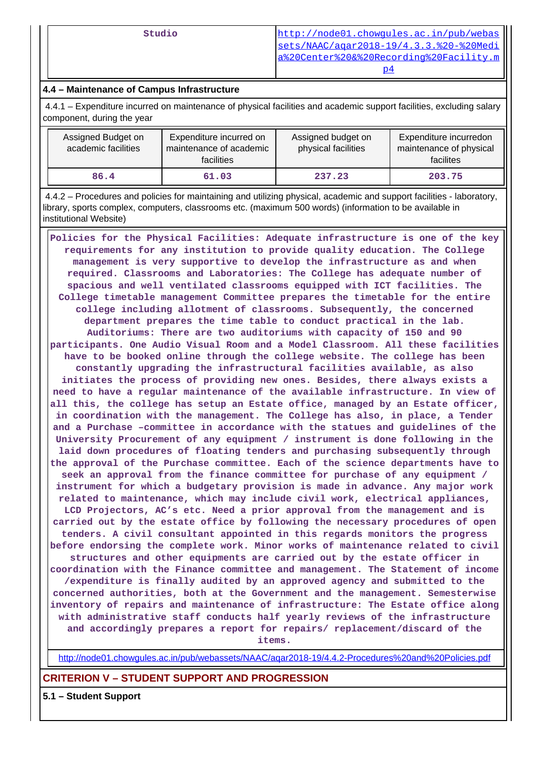**Studio** [http://node01.chowgules.ac.in/pub/webas](http://node01.chowgules.ac.in/pub/webassets/NAAC/aqar2018-19/4.3.3.%20-%20Media%20Center%20&%20Recording%20Facility.mp4) [sets/NAAC/aqar2018-19/4.3.3.%20-%20Medi](http://node01.chowgules.ac.in/pub/webassets/NAAC/aqar2018-19/4.3.3.%20-%20Media%20Center%20&%20Recording%20Facility.mp4) [a%20Center%20&%20Recording%20Facility.m](http://node01.chowgules.ac.in/pub/webassets/NAAC/aqar2018-19/4.3.3.%20-%20Media%20Center%20&%20Recording%20Facility.mp4)  $p4$ 

# **4.4 – Maintenance of Campus Infrastructure**

 4.4.1 – Expenditure incurred on maintenance of physical facilities and academic support facilities, excluding salary component, during the year

| Assigned Budget on<br>academic facilities | Expenditure incurred on<br>maintenance of academic<br>facilities | Assigned budget on<br>physical facilities | Expenditure incurredon<br>maintenance of physical<br>facilites |
|-------------------------------------------|------------------------------------------------------------------|-------------------------------------------|----------------------------------------------------------------|
| 86.4                                      | 61.03                                                            | 237.23                                    | 203.75                                                         |

 4.4.2 – Procedures and policies for maintaining and utilizing physical, academic and support facilities - laboratory, library, sports complex, computers, classrooms etc. (maximum 500 words) (information to be available in institutional Website)

 **Policies for the Physical Facilities: Adequate infrastructure is one of the key requirements for any institution to provide quality education. The College management is very supportive to develop the infrastructure as and when required. Classrooms and Laboratories: The College has adequate number of spacious and well ventilated classrooms equipped with ICT facilities. The College timetable management Committee prepares the timetable for the entire college including allotment of classrooms. Subsequently, the concerned department prepares the time table to conduct practical in the lab. Auditoriums: There are two auditoriums with capacity of 150 and 90 participants. One Audio Visual Room and a Model Classroom. All these facilities have to be booked online through the college website. The college has been constantly upgrading the infrastructural facilities available, as also initiates the process of providing new ones. Besides, there always exists a need to have a regular maintenance of the available infrastructure. In view of all this, the college has setup an Estate office, managed by an Estate officer, in coordination with the management. The College has also, in place, a Tender and a Purchase –committee in accordance with the statues and guidelines of the University Procurement of any equipment / instrument is done following in the laid down procedures of floating tenders and purchasing subsequently through the approval of the Purchase committee. Each of the science departments have to seek an approval from the finance committee for purchase of any equipment / instrument for which a budgetary provision is made in advance. Any major work related to maintenance, which may include civil work, electrical appliances, LCD Projectors, AC's etc. Need a prior approval from the management and is carried out by the estate office by following the necessary procedures of open tenders. A civil consultant appointed in this regards monitors the progress before endorsing the complete work. Minor works of maintenance related to civil structures and other equipments are carried out by the estate officer in coordination with the Finance committee and management. The Statement of income /expenditure is finally audited by an approved agency and submitted to the concerned authorities, both at the Government and the management. Semesterwise inventory of repairs and maintenance of infrastructure: The Estate office along with administrative staff conducts half yearly reviews of the infrastructure and accordingly prepares a report for repairs/ replacement/discard of the items.**

<http://node01.chowgules.ac.in/pub/webassets/NAAC/aqar2018-19/4.4.2-Procedures%20and%20Policies.pdf>

## **CRITERION V – STUDENT SUPPORT AND PROGRESSION**

**5.1 – Student Support**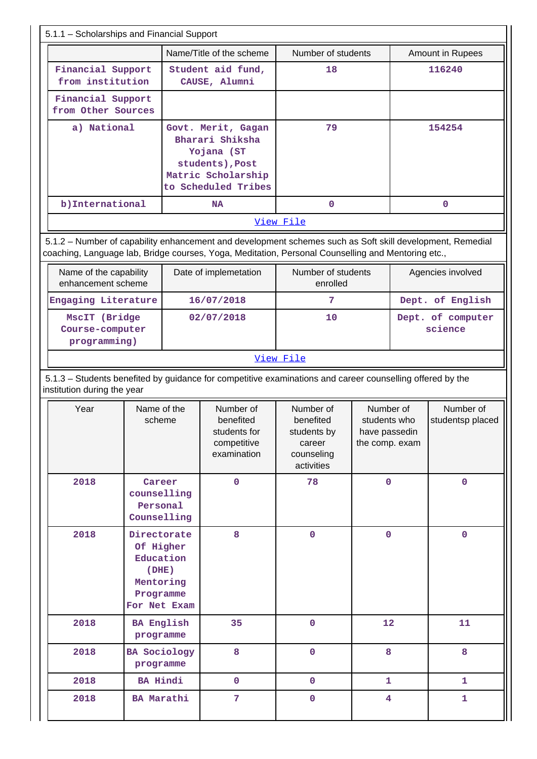| 5.1.1 - Scholarships and Financial Support                                                                                                                                                                      |                                                                                          |                                                                                                                     |                                                                      |                                                                             |                                                              |                  |                               |  |
|-----------------------------------------------------------------------------------------------------------------------------------------------------------------------------------------------------------------|------------------------------------------------------------------------------------------|---------------------------------------------------------------------------------------------------------------------|----------------------------------------------------------------------|-----------------------------------------------------------------------------|--------------------------------------------------------------|------------------|-------------------------------|--|
|                                                                                                                                                                                                                 |                                                                                          |                                                                                                                     | Name/Title of the scheme                                             | Number of students                                                          |                                                              |                  | Amount in Rupees              |  |
| Financial Support<br>from institution                                                                                                                                                                           |                                                                                          |                                                                                                                     | Student aid fund,<br>CAUSE, Alumni                                   | 18                                                                          |                                                              |                  | 116240                        |  |
| Financial Support<br>from Other Sources                                                                                                                                                                         |                                                                                          |                                                                                                                     |                                                                      |                                                                             |                                                              |                  |                               |  |
| a) National                                                                                                                                                                                                     |                                                                                          | Govt. Merit, Gagan<br>Bharari Shiksha<br>Yojana (ST<br>students), Post<br>Matric Scholarship<br>to Scheduled Tribes |                                                                      | 79                                                                          |                                                              |                  | 154254                        |  |
| b) International                                                                                                                                                                                                |                                                                                          |                                                                                                                     | <b>NA</b>                                                            | $\mathbf{O}$                                                                |                                                              |                  | $\mathbf{O}$                  |  |
| 5.1.2 - Number of capability enhancement and development schemes such as Soft skill development, Remedial<br>coaching, Language lab, Bridge courses, Yoga, Meditation, Personal Counselling and Mentoring etc., |                                                                                          |                                                                                                                     |                                                                      | View File                                                                   |                                                              |                  |                               |  |
| Name of the capability<br>enhancement scheme                                                                                                                                                                    |                                                                                          |                                                                                                                     | Date of implemetation                                                | Number of students<br>enrolled                                              |                                                              |                  | Agencies involved             |  |
| Engaging Literature                                                                                                                                                                                             |                                                                                          |                                                                                                                     | 16/07/2018                                                           | 7                                                                           |                                                              | Dept. of English |                               |  |
| MscIT (Bridge<br>Course-computer<br>programming)                                                                                                                                                                |                                                                                          |                                                                                                                     | 02/07/2018                                                           | 10                                                                          |                                                              |                  | Dept. of computer<br>science  |  |
|                                                                                                                                                                                                                 |                                                                                          |                                                                                                                     |                                                                      | View File                                                                   |                                                              |                  |                               |  |
| 5.1.3 - Students benefited by guidance for competitive examinations and career counselling offered by the<br>institution during the year                                                                        |                                                                                          |                                                                                                                     |                                                                      |                                                                             |                                                              |                  |                               |  |
| Year                                                                                                                                                                                                            | Name of the<br>scheme                                                                    |                                                                                                                     | Number of<br>benefited<br>students for<br>competitive<br>examination | Number of<br>benefited<br>students by<br>career<br>counseling<br>activities | Number of<br>students who<br>have passedin<br>the comp. exam |                  | Number of<br>studentsp placed |  |
| 2018                                                                                                                                                                                                            | Career<br>counselling<br>Personal<br>Counselling                                         |                                                                                                                     | $\mathbf 0$                                                          | 78                                                                          | $\mathbf 0$                                                  |                  | $\mathbf 0$                   |  |
| 2018                                                                                                                                                                                                            | Directorate<br>Of Higher<br>Education<br>(DHE)<br>Mentoring<br>Programme<br>For Net Exam |                                                                                                                     | 8                                                                    | $\mathbf 0$                                                                 | $\mathbf 0$                                                  |                  | $\mathbf 0$                   |  |
|                                                                                                                                                                                                                 |                                                                                          |                                                                                                                     |                                                                      |                                                                             |                                                              |                  |                               |  |
| 2018                                                                                                                                                                                                            | programme                                                                                | <b>BA English</b>                                                                                                   | 35                                                                   | $\mathbf 0$                                                                 | 12                                                           |                  | 11                            |  |
| 2018                                                                                                                                                                                                            | programme                                                                                | <b>BA Sociology</b>                                                                                                 | 8                                                                    | $\mathbf 0$                                                                 | 8                                                            |                  | 8                             |  |
| 2018                                                                                                                                                                                                            | <b>BA Hindi</b>                                                                          |                                                                                                                     | $\mathbf 0$                                                          | $\mathbf 0$                                                                 | $\mathbf{1}$                                                 |                  | $\mathbf{1}$                  |  |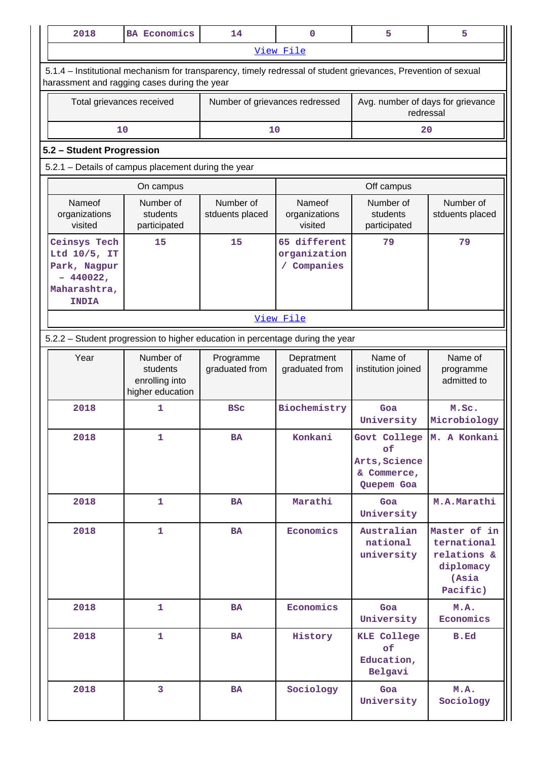| 2018                                                                                       | <b>BA Economics</b>                                                                                                                                            | 14                             | 0                                         | 5                                                                               | 5                                                                            |  |  |  |
|--------------------------------------------------------------------------------------------|----------------------------------------------------------------------------------------------------------------------------------------------------------------|--------------------------------|-------------------------------------------|---------------------------------------------------------------------------------|------------------------------------------------------------------------------|--|--|--|
|                                                                                            |                                                                                                                                                                |                                | View File                                 |                                                                                 |                                                                              |  |  |  |
|                                                                                            | 5.1.4 - Institutional mechanism for transparency, timely redressal of student grievances, Prevention of sexual<br>harassment and ragging cases during the year |                                |                                           |                                                                                 |                                                                              |  |  |  |
|                                                                                            | Total grievances received                                                                                                                                      | Number of grievances redressed |                                           | Avg. number of days for grievance<br>redressal                                  |                                                                              |  |  |  |
|                                                                                            | 10                                                                                                                                                             | 10                             |                                           | 20                                                                              |                                                                              |  |  |  |
|                                                                                            | 5.2 - Student Progression                                                                                                                                      |                                |                                           |                                                                                 |                                                                              |  |  |  |
|                                                                                            | 5.2.1 - Details of campus placement during the year                                                                                                            |                                |                                           |                                                                                 |                                                                              |  |  |  |
|                                                                                            | On campus                                                                                                                                                      |                                |                                           | Off campus                                                                      |                                                                              |  |  |  |
| Nameof<br>organizations<br>visited                                                         | Number of<br>students<br>participated                                                                                                                          | Number of<br>stduents placed   | Nameof<br>organizations<br>visited        | Number of<br>students<br>participated                                           | Number of<br>stduents placed                                                 |  |  |  |
| Ceinsys Tech<br>Ltd 10/5, IT<br>Park, Nagpur<br>$-440022,$<br>Maharashtra,<br><b>INDIA</b> | 15                                                                                                                                                             | 15                             | 65 different<br>organization<br>Companies | 79                                                                              | 79                                                                           |  |  |  |
|                                                                                            | View File                                                                                                                                                      |                                |                                           |                                                                                 |                                                                              |  |  |  |
|                                                                                            | 5.2.2 - Student progression to higher education in percentage during the year                                                                                  |                                |                                           |                                                                                 |                                                                              |  |  |  |
| Year                                                                                       | Number of<br>students<br>enrolling into<br>higher education                                                                                                    | Programme<br>graduated from    | Depratment<br>graduated from              | Name of<br>institution joined                                                   | Name of<br>programme<br>admitted to                                          |  |  |  |
| 2018                                                                                       | 1                                                                                                                                                              | <b>BSC</b>                     | Biochemistry                              | Goa<br>University                                                               | M.Sc.<br>Microbiology                                                        |  |  |  |
| 2018                                                                                       | $\mathbf{1}$                                                                                                                                                   | BA                             | Konkani                                   | Govt College   M. A Konkani<br>of<br>Arts, Science<br>& Commerce,<br>Quepem Goa |                                                                              |  |  |  |
| 2018                                                                                       | 1                                                                                                                                                              | <b>BA</b>                      | Marathi                                   | Goa<br>University                                                               | M.A.Marathi                                                                  |  |  |  |
| 2018                                                                                       | $\mathbf{1}$                                                                                                                                                   | <b>BA</b>                      | Economics                                 | Australian<br>national<br>university                                            | Master of in<br>ternational<br>relations &<br>diplomacy<br>(Asia<br>Pacific) |  |  |  |
| 2018                                                                                       | $\mathbf{1}$                                                                                                                                                   | <b>BA</b>                      | Economics                                 | Goa<br>University                                                               | M.A.<br>Economics                                                            |  |  |  |
| 2018                                                                                       | $\mathbf{1}$                                                                                                                                                   | <b>BA</b>                      | History                                   | <b>KLE College</b><br>of<br>Education,<br>Belgavi                               | B.Ed                                                                         |  |  |  |
| 2018                                                                                       | $\overline{3}$                                                                                                                                                 | <b>BA</b>                      | Sociology                                 | Goa<br>University                                                               | M.A.<br>Sociology                                                            |  |  |  |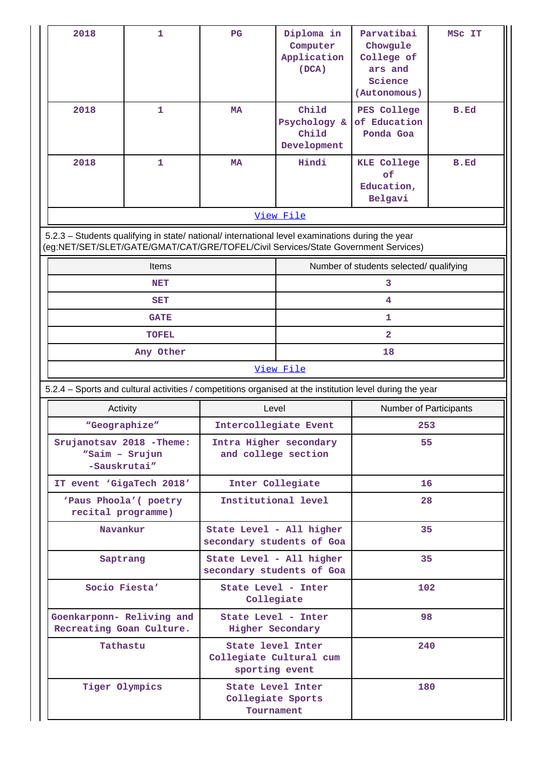| 2018                                                  | 1                                                  | $_{\rm PG}$            | Diploma in                                                                                                                                                                             | Parvatibai                              | MSC IT      |  |  |
|-------------------------------------------------------|----------------------------------------------------|------------------------|----------------------------------------------------------------------------------------------------------------------------------------------------------------------------------------|-----------------------------------------|-------------|--|--|
|                                                       |                                                    |                        | Computer<br>Application                                                                                                                                                                | Chowgule<br>College of                  |             |  |  |
|                                                       |                                                    |                        | (DCA)                                                                                                                                                                                  | ars and<br>Science                      |             |  |  |
|                                                       |                                                    |                        |                                                                                                                                                                                        | (Autonomous)                            |             |  |  |
| 2018                                                  | 1                                                  | <b>MA</b>              | Child<br>Psychology &                                                                                                                                                                  | PES College<br>of Education             | <b>B.Ed</b> |  |  |
|                                                       |                                                    |                        | Child                                                                                                                                                                                  | Ponda Goa                               |             |  |  |
| 2018                                                  | 1                                                  | <b>MA</b>              | Development<br>Hindi                                                                                                                                                                   | <b>KLE College</b>                      | B.Ed        |  |  |
|                                                       |                                                    |                        |                                                                                                                                                                                        | of                                      |             |  |  |
|                                                       |                                                    |                        |                                                                                                                                                                                        | Education,<br>Belgavi                   |             |  |  |
|                                                       |                                                    |                        | View File                                                                                                                                                                              |                                         |             |  |  |
|                                                       |                                                    |                        | 5.2.3 - Students qualifying in state/ national/ international level examinations during the year<br>(eg:NET/SET/SLET/GATE/GMAT/CAT/GRE/TOFEL/Civil Services/State Government Services) |                                         |             |  |  |
|                                                       | <b>Items</b>                                       |                        |                                                                                                                                                                                        | Number of students selected/ qualifying |             |  |  |
| <b>NET</b>                                            |                                                    |                        |                                                                                                                                                                                        | 3                                       |             |  |  |
| <b>SET</b>                                            |                                                    |                        |                                                                                                                                                                                        | 4                                       |             |  |  |
| <b>GATE</b>                                           |                                                    |                        | 1                                                                                                                                                                                      |                                         |             |  |  |
| <b>TOFEL</b>                                          |                                                    |                        |                                                                                                                                                                                        | $\overline{\mathbf{2}}$                 |             |  |  |
| Any Other                                             |                                                    |                        | View File                                                                                                                                                                              | 18                                      |             |  |  |
|                                                       |                                                    |                        | 5.2.4 - Sports and cultural activities / competitions organised at the institution level during the year                                                                               |                                         |             |  |  |
| Activity                                              |                                                    | Level                  |                                                                                                                                                                                        | <b>Number of Participants</b>           |             |  |  |
| "Geographize"                                         |                                                    | Intercollegiate Event  |                                                                                                                                                                                        | 253                                     |             |  |  |
| Srujanotsav 2018 - Theme:                             |                                                    | Intra Higher secondary |                                                                                                                                                                                        | 55                                      |             |  |  |
| "Saim - Srujun<br>-Sauskrutai"                        |                                                    | and college section    |                                                                                                                                                                                        |                                         |             |  |  |
| IT event 'GigaTech 2018'                              |                                                    |                        | Inter Collegiate<br>16                                                                                                                                                                 |                                         |             |  |  |
| 'Paus Phoola' ( poetry<br>recital programme)          |                                                    |                        | Institutional level                                                                                                                                                                    | 28                                      |             |  |  |
| Navankur                                              |                                                    |                        | State Level - All higher<br>secondary students of Goa                                                                                                                                  | 35                                      |             |  |  |
| Saptrang                                              |                                                    |                        | State Level - All higher<br>secondary students of Goa                                                                                                                                  | 35                                      |             |  |  |
|                                                       | Socio Fiesta'<br>State Level - Inter<br>Collegiate |                        |                                                                                                                                                                                        | 102                                     |             |  |  |
|                                                       |                                                    |                        |                                                                                                                                                                                        |                                         |             |  |  |
| Goenkarponn- Reliving and<br>Recreating Goan Culture. |                                                    |                        | State Level - Inter<br>Higher Secondary                                                                                                                                                | 98                                      |             |  |  |
| Tathastu                                              |                                                    |                        | State level Inter                                                                                                                                                                      | 240                                     |             |  |  |
|                                                       |                                                    | sporting event         | Collegiate Cultural cum                                                                                                                                                                |                                         |             |  |  |
| Tiger Olympics                                        |                                                    |                        | State Level Inter<br>Collegiate Sports                                                                                                                                                 | 180                                     |             |  |  |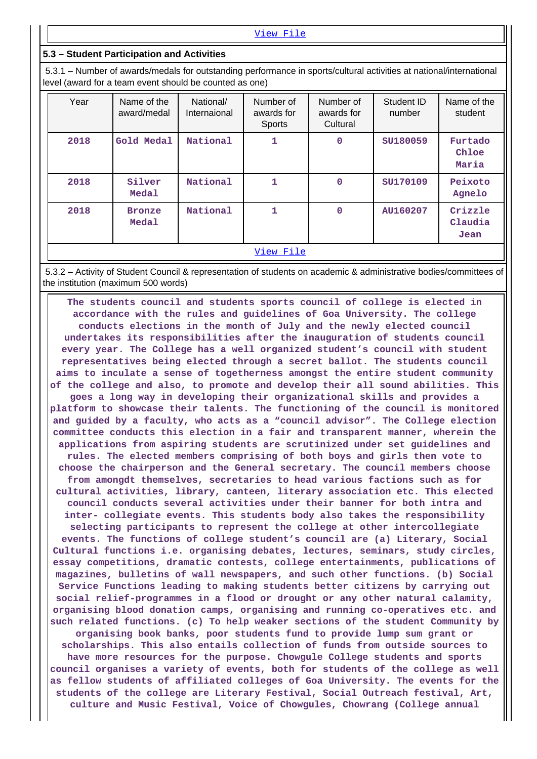[View File](https://assessmentonline.naac.gov.in/public/Postacc/Activities_Organised/5478_Activities_Organised_1593772637.xlsx)

#### **5.3 – Student Participation and Activities**

 5.3.1 – Number of awards/medals for outstanding performance in sports/cultural activities at national/international level (award for a team event should be counted as one)

| Year | Name of the<br>award/medal | National/<br>Internaional | Number of<br>awards for<br>Sports | Number of<br>awards for<br>Cultural | Student ID<br>number | Name of the<br>student     |
|------|----------------------------|---------------------------|-----------------------------------|-------------------------------------|----------------------|----------------------------|
| 2018 | Gold Medal                 | National                  | 1                                 | $\mathbf 0$                         | SU180059             | Furtado<br>Chloe<br>Maria  |
| 2018 | Silver<br>Medal            | National                  | 1                                 | $\mathbf 0$                         | SU170109             | Peixoto<br>Agnelo          |
| 2018 | <b>Bronze</b><br>Medal     | National                  | 1                                 | $\mathbf 0$                         | AU160207             | Crizzle<br>Claudia<br>Jean |
|      |                            |                           | View File                         |                                     |                      |                            |

 5.3.2 – Activity of Student Council & representation of students on academic & administrative bodies/committees of the institution (maximum 500 words)

 **The students council and students sports council of college is elected in accordance with the rules and guidelines of Goa University. The college conducts elections in the month of July and the newly elected council undertakes its responsibilities after the inauguration of students council every year. The College has a well organized student's council with student representatives being elected through a secret ballot. The students council aims to inculate a sense of togetherness amongst the entire student community of the college and also, to promote and develop their all sound abilities. This goes a long way in developing their organizational skills and provides a platform to showcase their talents. The functioning of the council is monitored and guided by a faculty, who acts as a "council advisor". The College election committee conducts this election in a fair and transparent manner, wherein the applications from aspiring students are scrutinized under set guidelines and rules. The elected members comprising of both boys and girls then vote to choose the chairperson and the General secretary. The council members choose from amongdt themselves, secretaries to head various factions such as for cultural activities, library, canteen, literary association etc. This elected council conducts several activities under their banner for both intra and inter- collegiate events. This students body also takes the responsibility selecting participants to represent the college at other intercollegiate events. The functions of college student's council are (a) Literary, Social Cultural functions i.e. organising debates, lectures, seminars, study circles, essay competitions, dramatic contests, college entertainments, publications of magazines, bulletins of wall newspapers, and such other functions. (b) Social Service Functions leading to making students better citizens by carrying out social relief-programmes in a flood or drought or any other natural calamity, organising blood donation camps, organising and running co-operatives etc. and such related functions. (c) To help weaker sections of the student Community by organising book banks, poor students fund to provide lump sum grant or scholarships. This also entails collection of funds from outside sources to have more resources for the purpose. Chowgule College students and sports council organises a variety of events, both for students of the college as well as fellow students of affiliated colleges of Goa University. The events for the students of the college are Literary Festival, Social Outreach festival, Art, culture and Music Festival, Voice of Chowgules, Chowrang (College annual**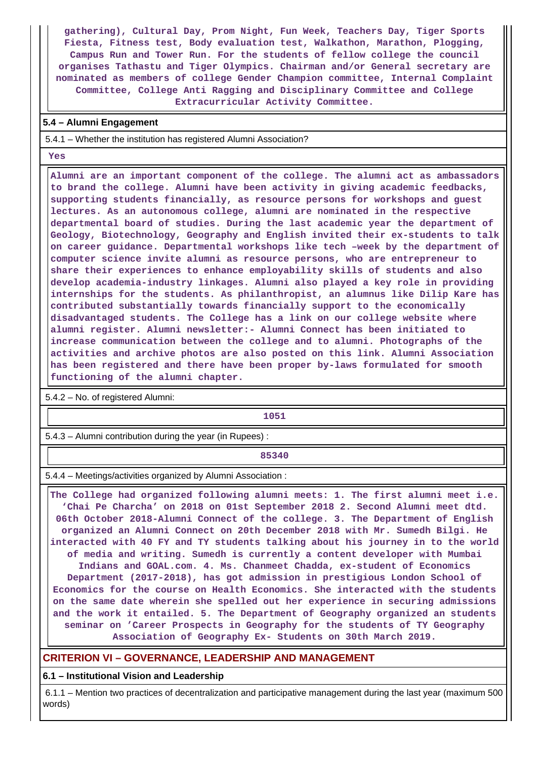**gathering), Cultural Day, Prom Night, Fun Week, Teachers Day, Tiger Sports Fiesta, Fitness test, Body evaluation test, Walkathon, Marathon, Plogging, Campus Run and Tower Run. For the students of fellow college the council organises Tathastu and Tiger Olympics. Chairman and/or General secretary are nominated as members of college Gender Champion committee, Internal Complaint Committee, College Anti Ragging and Disciplinary Committee and College Extracurricular Activity Committee.**

#### **5.4 – Alumni Engagement**

5.4.1 – Whether the institution has registered Alumni Association?

 **Yes**

 **Alumni are an important component of the college. The alumni act as ambassadors to brand the college. Alumni have been activity in giving academic feedbacks, supporting students financially, as resource persons for workshops and guest lectures. As an autonomous college, alumni are nominated in the respective departmental board of studies. During the last academic year the department of Geology, Biotechnology, Geography and English invited their ex-students to talk on career guidance. Departmental workshops like tech –week by the department of computer science invite alumni as resource persons, who are entrepreneur to share their experiences to enhance employability skills of students and also develop academia-industry linkages. Alumni also played a key role in providing internships for the students. As philanthropist, an alumnus like Dilip Kare has contributed substantially towards financially support to the economically disadvantaged students. The College has a link on our college website where alumni register. Alumni newsletter:- Alumni Connect has been initiated to increase communication between the college and to alumni. Photographs of the activities and archive photos are also posted on this link. Alumni Association has been registered and there have been proper by-laws formulated for smooth functioning of the alumni chapter.**

5.4.2 – No. of registered Alumni:

**1051**

5.4.3 – Alumni contribution during the year (in Rupees) :

**85340** 

5.4.4 – Meetings/activities organized by Alumni Association :

 **The College had organized following alumni meets: 1. The first alumni meet i.e. 'Chai Pe Charcha' on 2018 on 01st September 2018 2. Second Alumni meet dtd. 06th October 2018-Alumni Connect of the college. 3. The Department of English organized an Alumni Connect on 20th December 2018 with Mr. Sumedh Bilgi. He interacted with 40 FY and TY students talking about his journey in to the world of media and writing. Sumedh is currently a content developer with Mumbai Indians and GOAL.com. 4. Ms. Chanmeet Chadda, ex-student of Economics Department (2017-2018), has got admission in prestigious London School of Economics for the course on Health Economics. She interacted with the students on the same date wherein she spelled out her experience in securing admissions and the work it entailed. 5. The Department of Geography organized an students seminar on 'Career Prospects in Geography for the students of TY Geography Association of Geography Ex- Students on 30th March 2019.**

### **CRITERION VI – GOVERNANCE, LEADERSHIP AND MANAGEMENT**

**6.1 – Institutional Vision and Leadership**

 6.1.1 – Mention two practices of decentralization and participative management during the last year (maximum 500 words)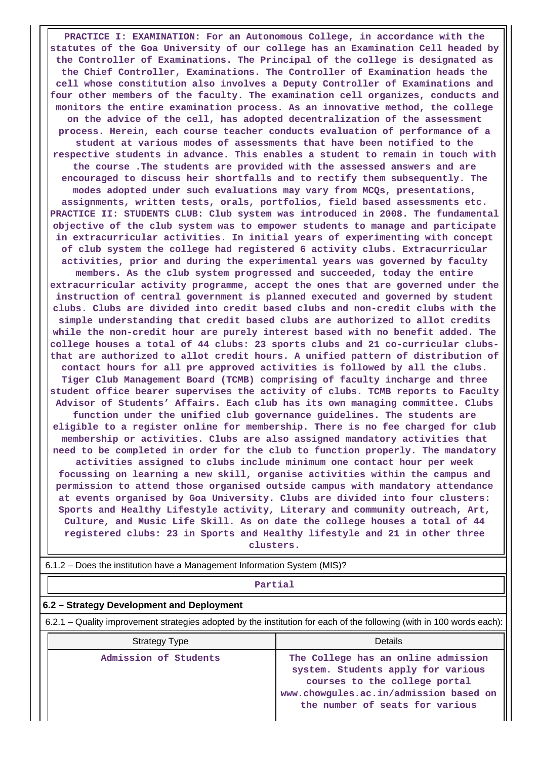**PRACTICE I: EXAMINATION: For an Autonomous College, in accordance with the statutes of the Goa University of our college has an Examination Cell headed by the Controller of Examinations. The Principal of the college is designated as the Chief Controller, Examinations. The Controller of Examination heads the cell whose constitution also involves a Deputy Controller of Examinations and four other members of the faculty. The examination cell organizes, conducts and monitors the entire examination process. As an innovative method, the college on the advice of the cell, has adopted decentralization of the assessment process. Herein, each course teacher conducts evaluation of performance of a student at various modes of assessments that have been notified to the respective students in advance. This enables a student to remain in touch with the course .The students are provided with the assessed answers and are encouraged to discuss heir shortfalls and to rectify them subsequently. The modes adopted under such evaluations may vary from MCQs, presentations, assignments, written tests, orals, portfolios, field based assessments etc. PRACTICE II: STUDENTS CLUB: Club system was introduced in 2008. The fundamental objective of the club system was to empower students to manage and participate in extracurricular activities. In initial years of experimenting with concept of club system the college had registered 6 activity clubs. Extracurricular activities, prior and during the experimental years was governed by faculty members. As the club system progressed and succeeded, today the entire extracurricular activity programme, accept the ones that are governed under the instruction of central government is planned executed and governed by student clubs. Clubs are divided into credit based clubs and non-credit clubs with the simple understanding that credit based clubs are authorized to allot credits while the non-credit hour are purely interest based with no benefit added. The college houses a total of 44 clubs: 23 sports clubs and 21 co-curricular clubsthat are authorized to allot credit hours. A unified pattern of distribution of contact hours for all pre approved activities is followed by all the clubs. Tiger Club Management Board (TCMB) comprising of faculty incharge and three student office bearer supervises the activity of clubs. TCMB reports to Faculty Advisor of Students' Affairs. Each club has its own managing committee. Clubs function under the unified club governance guidelines. The students are eligible to a register online for membership. There is no fee charged for club membership or activities. Clubs are also assigned mandatory activities that need to be completed in order for the club to function properly. The mandatory activities assigned to clubs include minimum one contact hour per week focussing on learning a new skill, organise activities within the campus and permission to attend those organised outside campus with mandatory attendance at events organised by Goa University. Clubs are divided into four clusters: Sports and Healthy Lifestyle activity, Literary and community outreach, Art, Culture, and Music Life Skill. As on date the college houses a total of 44 registered clubs: 23 in Sports and Healthy lifestyle and 21 in other three clusters.**

6.1.2 – Does the institution have a Management Information System (MIS)?

#### **Partial**

#### **6.2 – Strategy Development and Deployment**

6.2.1 – Quality improvement strategies adopted by the institution for each of the following (with in 100 words each):

| Strategy Type         | Details                                                                                                                                                                                 |
|-----------------------|-----------------------------------------------------------------------------------------------------------------------------------------------------------------------------------------|
| Admission of Students | The College has an online admission<br>system. Students apply for various<br>courses to the college portal<br>www.chowgules.ac.in/admission based on<br>the number of seats for various |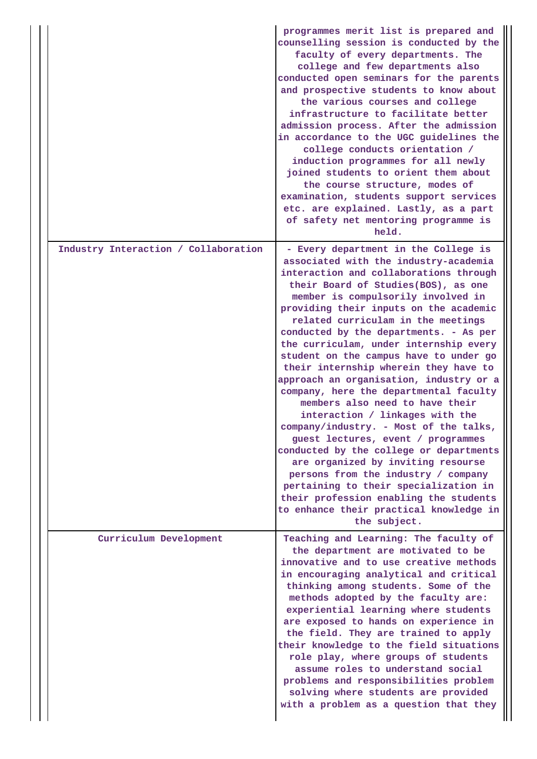|                                      | programmes merit list is prepared and<br>counselling session is conducted by the<br>faculty of every departments. The<br>college and few departments also<br>conducted open seminars for the parents<br>and prospective students to know about<br>the various courses and college<br>infrastructure to facilitate better<br>admission process. After the admission<br>in accordance to the UGC guidelines the<br>college conducts orientation /<br>induction programmes for all newly<br>joined students to orient them about<br>the course structure, modes of<br>examination, students support services<br>etc. are explained. Lastly, as a part<br>of safety net mentoring programme is<br>held.                                                                                                                                                                                                                                                                          |
|--------------------------------------|------------------------------------------------------------------------------------------------------------------------------------------------------------------------------------------------------------------------------------------------------------------------------------------------------------------------------------------------------------------------------------------------------------------------------------------------------------------------------------------------------------------------------------------------------------------------------------------------------------------------------------------------------------------------------------------------------------------------------------------------------------------------------------------------------------------------------------------------------------------------------------------------------------------------------------------------------------------------------|
| Industry Interaction / Collaboration | - Every department in the College is<br>associated with the industry-academia<br>interaction and collaborations through<br>their Board of Studies(BOS), as one<br>member is compulsorily involved in<br>providing their inputs on the academic<br>related curriculam in the meetings<br>conducted by the departments. - As per<br>the curriculam, under internship every<br>student on the campus have to under go<br>their internship wherein they have to<br>approach an organisation, industry or a<br>company, here the departmental faculty<br>members also need to have their<br>interaction / linkages with the<br>company/industry. - Most of the talks,<br>guest lectures, event / programmes<br>conducted by the college or departments<br>are organized by inviting resourse<br>persons from the industry / company<br>pertaining to their specialization in<br>their profession enabling the students<br>to enhance their practical knowledge in<br>the subject. |
| Curriculum Development               | Teaching and Learning: The faculty of<br>the department are motivated to be<br>innovative and to use creative methods<br>in encouraging analytical and critical<br>thinking among students. Some of the<br>methods adopted by the faculty are:<br>experiential learning where students<br>are exposed to hands on experience in<br>the field. They are trained to apply<br>their knowledge to the field situations<br>role play, where groups of students<br>assume roles to understand social<br>problems and responsibilities problem<br>solving where students are provided<br>with a problem as a question that they                                                                                                                                                                                                                                                                                                                                                     |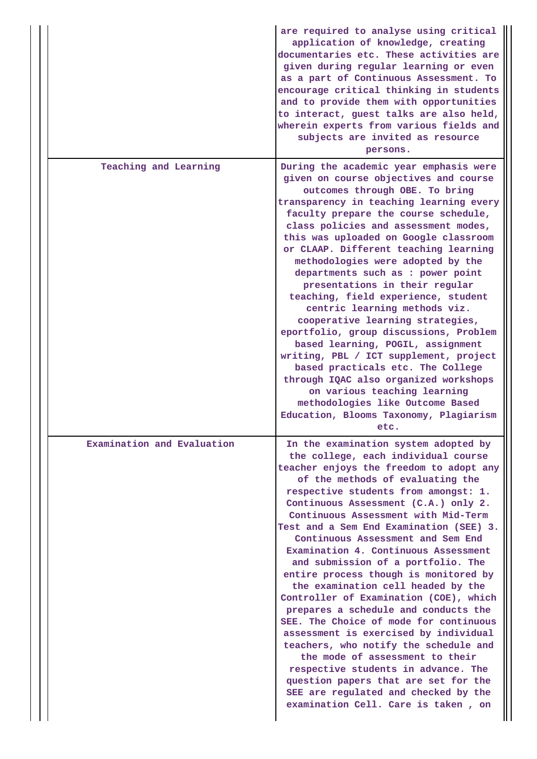|                            | are required to analyse using critical<br>application of knowledge, creating<br>documentaries etc. These activities are<br>given during regular learning or even<br>as a part of Continuous Assessment. To<br>encourage critical thinking in students<br>and to provide them with opportunities<br>to interact, guest talks are also held,<br>wherein experts from various fields and<br>subjects are invited as resource<br>persons.                                                                                                                                                                                                                                                                                                                                                                                                                                                                                                                 |
|----------------------------|-------------------------------------------------------------------------------------------------------------------------------------------------------------------------------------------------------------------------------------------------------------------------------------------------------------------------------------------------------------------------------------------------------------------------------------------------------------------------------------------------------------------------------------------------------------------------------------------------------------------------------------------------------------------------------------------------------------------------------------------------------------------------------------------------------------------------------------------------------------------------------------------------------------------------------------------------------|
| Teaching and Learning      | During the academic year emphasis were<br>given on course objectives and course<br>outcomes through OBE. To bring<br>transparency in teaching learning every<br>faculty prepare the course schedule,<br>class policies and assessment modes,<br>this was uploaded on Google classroom<br>or CLAAP. Different teaching learning<br>methodologies were adopted by the<br>departments such as : power point<br>presentations in their regular<br>teaching, field experience, student<br>centric learning methods viz.<br>cooperative learning strategies,<br>eportfolio, group discussions, Problem<br>based learning, POGIL, assignment<br>writing, PBL / ICT supplement, project<br>based practicals etc. The College<br>through IQAC also organized workshops<br>on various teaching learning<br>methodologies like Outcome Based<br>Education, Blooms Taxonomy, Plagiarism                                                                           |
| Examination and Evaluation | etc.<br>In the examination system adopted by<br>the college, each individual course<br>teacher enjoys the freedom to adopt any<br>of the methods of evaluating the<br>respective students from amongst: 1.<br>Continuous Assessment (C.A.) only 2.<br>Continuous Assessment with Mid-Term<br>Test and a Sem End Examination (SEE) 3.<br>Continuous Assessment and Sem End<br>Examination 4. Continuous Assessment<br>and submission of a portfolio. The<br>entire process though is monitored by<br>the examination cell headed by the<br>Controller of Examination (COE), which<br>prepares a schedule and conducts the<br>SEE. The Choice of mode for continuous<br>assessment is exercised by individual<br>teachers, who notify the schedule and<br>the mode of assessment to their<br>respective students in advance. The<br>question papers that are set for the<br>SEE are regulated and checked by the<br>examination Cell. Care is taken, on |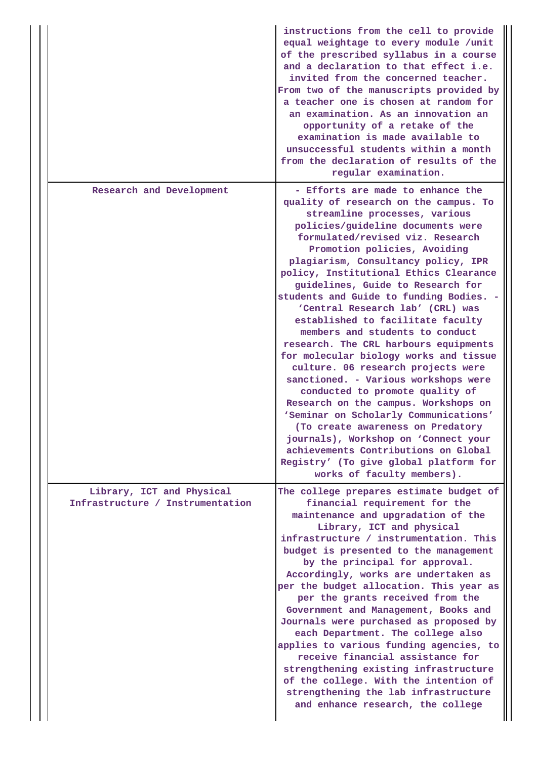|                                                               | instructions from the cell to provide<br>equal weightage to every module /unit<br>of the prescribed syllabus in a course<br>and a declaration to that effect i.e.<br>invited from the concerned teacher.<br>From two of the manuscripts provided by<br>a teacher one is chosen at random for<br>an examination. As an innovation an<br>opportunity of a retake of the<br>examination is made available to<br>unsuccessful students within a month<br>from the declaration of results of the<br>regular examination.                                                                                                                                                                                                                                                                                                                                                                                                                                                                 |
|---------------------------------------------------------------|-------------------------------------------------------------------------------------------------------------------------------------------------------------------------------------------------------------------------------------------------------------------------------------------------------------------------------------------------------------------------------------------------------------------------------------------------------------------------------------------------------------------------------------------------------------------------------------------------------------------------------------------------------------------------------------------------------------------------------------------------------------------------------------------------------------------------------------------------------------------------------------------------------------------------------------------------------------------------------------|
| Research and Development                                      | - Efforts are made to enhance the<br>quality of research on the campus. To<br>streamline processes, various<br>policies/guideline documents were<br>formulated/revised viz. Research<br>Promotion policies, Avoiding<br>plagiarism, Consultancy policy, IPR<br>policy, Institutional Ethics Clearance<br>guidelines, Guide to Research for<br>students and Guide to funding Bodies. -<br>'Central Research lab' (CRL) was<br>established to facilitate faculty<br>members and students to conduct<br>research. The CRL harbours equipments<br>for molecular biology works and tissue<br>culture. 06 research projects were<br>sanctioned. - Various workshops were<br>conducted to promote quality of<br>Research on the campus. Workshops on<br>'Seminar on Scholarly Communications'<br>(To create awareness on Predatory<br>journals), Workshop on 'Connect your<br>achievements Contributions on Global<br>Registry' (To give global platform for<br>works of faculty members). |
| Library, ICT and Physical<br>Infrastructure / Instrumentation | The college prepares estimate budget of<br>financial requirement for the<br>maintenance and upgradation of the<br>Library, ICT and physical<br>infrastructure / instrumentation. This<br>budget is presented to the management<br>by the principal for approval.<br>Accordingly, works are undertaken as<br>per the budget allocation. This year as<br>per the grants received from the<br>Government and Management, Books and<br>Journals were purchased as proposed by<br>each Department. The college also<br>applies to various funding agencies, to<br>receive financial assistance for<br>strengthening existing infrastructure<br>of the college. With the intention of<br>strengthening the lab infrastructure<br>and enhance research, the college                                                                                                                                                                                                                        |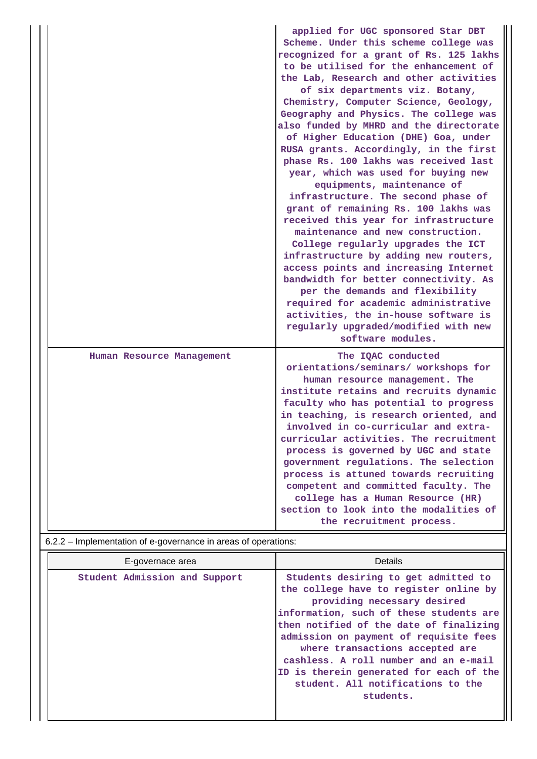|                                                                | applied for UGC sponsored Star DBT<br>Scheme. Under this scheme college was<br>recognized for a grant of Rs. 125 lakhs<br>to be utilised for the enhancement of<br>the Lab, Research and other activities<br>of six departments viz. Botany,<br>Chemistry, Computer Science, Geology,<br>Geography and Physics. The college was<br>also funded by MHRD and the directorate<br>of Higher Education (DHE) Goa, under<br>RUSA grants. Accordingly, in the first<br>phase Rs. 100 lakhs was received last<br>year, which was used for buying new<br>equipments, maintenance of<br>infrastructure. The second phase of<br>grant of remaining Rs. 100 lakhs was<br>received this year for infrastructure<br>maintenance and new construction.<br>College regularly upgrades the ICT<br>infrastructure by adding new routers,<br>access points and increasing Internet<br>bandwidth for better connectivity. As<br>per the demands and flexibility<br>required for academic administrative<br>activities, the in-house software is<br>regularly upgraded/modified with new<br>software modules. |
|----------------------------------------------------------------|------------------------------------------------------------------------------------------------------------------------------------------------------------------------------------------------------------------------------------------------------------------------------------------------------------------------------------------------------------------------------------------------------------------------------------------------------------------------------------------------------------------------------------------------------------------------------------------------------------------------------------------------------------------------------------------------------------------------------------------------------------------------------------------------------------------------------------------------------------------------------------------------------------------------------------------------------------------------------------------------------------------------------------------------------------------------------------------|
| Human Resource Management                                      | The IQAC conducted<br>orientations/seminars/ workshops for<br>human resource management. The<br>institute retains and recruits dynamic<br>faculty who has potential to progress<br>in teaching, is research oriented, and<br>involved in co-curricular and extra-<br>curricular activities. The recruitment<br>process is governed by UGC and state<br>government regulations. The selection<br>process is attuned towards recruiting<br>competent and committed faculty. The<br>college has a Human Resource (HR)<br>section to look into the modalities of<br>the recruitment process.                                                                                                                                                                                                                                                                                                                                                                                                                                                                                                 |
| 6.2.2 – Implementation of e-governance in areas of operations: |                                                                                                                                                                                                                                                                                                                                                                                                                                                                                                                                                                                                                                                                                                                                                                                                                                                                                                                                                                                                                                                                                          |

| E-governace area              | Details                                                                                                                                                                                                                                                                                                                                                                                                                |  |  |  |
|-------------------------------|------------------------------------------------------------------------------------------------------------------------------------------------------------------------------------------------------------------------------------------------------------------------------------------------------------------------------------------------------------------------------------------------------------------------|--|--|--|
| Student Admission and Support | Students desiring to get admitted to<br>the college have to register online by<br>providing necessary desired<br>information, such of these students are<br>then notified of the date of finalizing<br>admission on payment of requisite fees<br>where transactions accepted are<br>cashless. A roll number and an e-mail<br>ID is therein generated for each of the<br>student. All notifications to the<br>students. |  |  |  |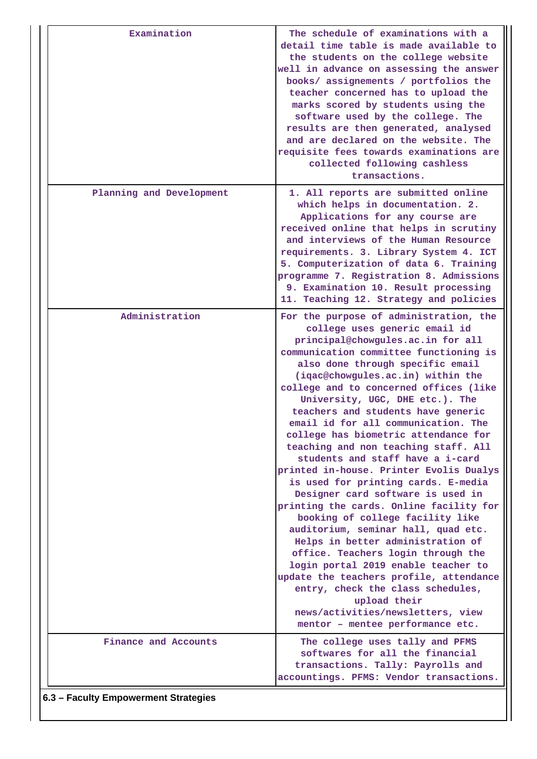| Examination                          | The schedule of examinations with a<br>detail time table is made available to<br>the students on the college website<br>well in advance on assessing the answer<br>books/ assignements / portfolios the<br>teacher concerned has to upload the<br>marks scored by students using the<br>software used by the college. The<br>results are then generated, analysed<br>and are declared on the website. The<br>requisite fees towards examinations are<br>collected following cashless<br>transactions.                                                                                                                                                                                                                                                                                                                                                                                                                                                                                                                                                 |
|--------------------------------------|-------------------------------------------------------------------------------------------------------------------------------------------------------------------------------------------------------------------------------------------------------------------------------------------------------------------------------------------------------------------------------------------------------------------------------------------------------------------------------------------------------------------------------------------------------------------------------------------------------------------------------------------------------------------------------------------------------------------------------------------------------------------------------------------------------------------------------------------------------------------------------------------------------------------------------------------------------------------------------------------------------------------------------------------------------|
| Planning and Development             | 1. All reports are submitted online<br>which helps in documentation. 2.<br>Applications for any course are<br>received online that helps in scrutiny<br>and interviews of the Human Resource<br>requirements. 3. Library System 4. ICT<br>5. Computerization of data 6. Training<br>programme 7. Registration 8. Admissions<br>9. Examination 10. Result processing<br>11. Teaching 12. Strategy and policies                                                                                                                                                                                                                                                                                                                                                                                                                                                                                                                                                                                                                                         |
| Administration                       | For the purpose of administration, the<br>college uses generic email id<br>principal@chowgules.ac.in for all<br>communication committee functioning is<br>also done through specific email<br>(iqac@chowgules.ac.in) within the<br>college and to concerned offices (like<br>University, UGC, DHE etc.). The<br>teachers and students have generic<br>email id for all communication. The<br>college has biometric attendance for<br>teaching and non teaching staff. All<br>students and staff have a i-card<br>printed in-house. Printer Evolis Dualys<br>is used for printing cards. E-media<br>Designer card software is used in<br>printing the cards. Online facility for<br>booking of college facility like<br>auditorium, seminar hall, quad etc.<br>Helps in better administration of<br>office. Teachers login through the<br>login portal 2019 enable teacher to<br>update the teachers profile, attendance<br>entry, check the class schedules,<br>upload their<br>news/activities/newsletters, view<br>mentor - mentee performance etc. |
| Finance and Accounts                 | The college uses tally and PFMS<br>softwares for all the financial<br>transactions. Tally: Payrolls and<br>accountings. PFMS: Vendor transactions.                                                                                                                                                                                                                                                                                                                                                                                                                                                                                                                                                                                                                                                                                                                                                                                                                                                                                                    |
| 6.3 - Faculty Empowerment Strategies |                                                                                                                                                                                                                                                                                                                                                                                                                                                                                                                                                                                                                                                                                                                                                                                                                                                                                                                                                                                                                                                       |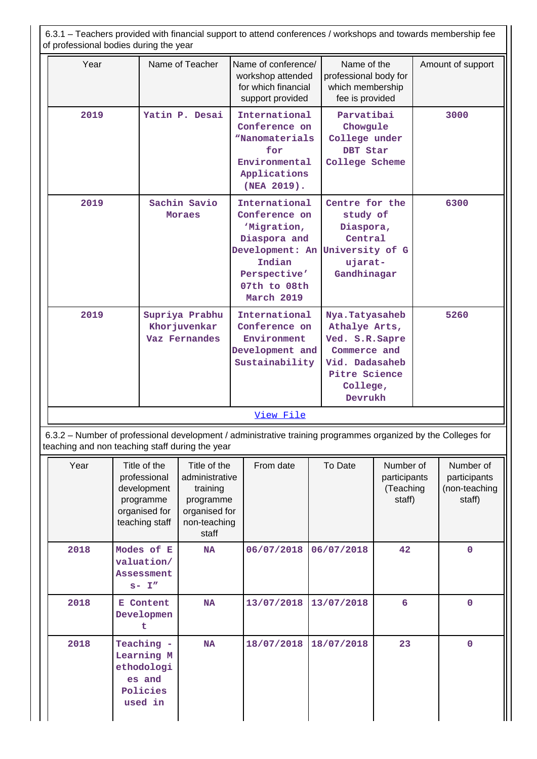| Year<br>2019<br>2019<br>2019                                                                                                                                                                |  |                                                                                             | Name of Teacher                                                                                                                                      | Name of conference/<br>workshop attended<br>for which financial<br>support provided                                                                      |  | Name of the<br>professional body for<br>which membership<br>fee is provided                                                  |                                                  |      | Amount of support                                    |
|---------------------------------------------------------------------------------------------------------------------------------------------------------------------------------------------|--|---------------------------------------------------------------------------------------------|------------------------------------------------------------------------------------------------------------------------------------------------------|----------------------------------------------------------------------------------------------------------------------------------------------------------|--|------------------------------------------------------------------------------------------------------------------------------|--------------------------------------------------|------|------------------------------------------------------|
|                                                                                                                                                                                             |  | Yatin P. Desai<br>Sachin Savio<br><b>Moraes</b>                                             |                                                                                                                                                      | International<br>Conference on<br>"Nanomaterials<br>for<br>Environmental<br>Applications<br>(NEA 2019).                                                  |  | Parvatibai<br>Chowgule<br>College under<br>DBT Star<br>College Scheme                                                        |                                                  |      | 3000                                                 |
|                                                                                                                                                                                             |  |                                                                                             |                                                                                                                                                      | International<br>Conference on<br>'Migration,<br>Diaspora and<br>Development: An University of G<br>Indian<br>Perspective'<br>07th to 08th<br>March 2019 |  | Centre for the<br>study of<br>Diaspora,<br>Central<br>ujarat-<br>Gandhinagar                                                 |                                                  |      | 6300                                                 |
|                                                                                                                                                                                             |  |                                                                                             | Supriya Prabhu<br>Khor juvenkar<br>Vaz Fernandes                                                                                                     | International<br>Conference on<br>Environment<br>Development and<br>Sustainability                                                                       |  | Nya.Tatyasaheb<br>Athalye Arts,<br>Ved. S.R. Sapre<br>Commerce and<br>Vid. Dadasaheb<br>Pitre Science<br>College,<br>Devrukh |                                                  | 5260 |                                                      |
| 6.3.2 – Number of professional development / administrative training programmes organized by the Colleges for                                                                               |  |                                                                                             | View File                                                                                                                                            |                                                                                                                                                          |  |                                                                                                                              |                                                  |      |                                                      |
| Year                                                                                                                                                                                        |  | Title of the<br>professional<br>development<br>programme<br>organised for<br>teaching staff | teaching and non teaching staff during the year<br>Title of the<br>administrative<br>training<br>programme<br>organised for<br>non-teaching<br>staff | From date                                                                                                                                                |  | To Date                                                                                                                      | Number of<br>participants<br>(Teaching<br>staff) |      | Number of<br>participants<br>(non-teaching<br>staff) |
| 2018<br>Modes of E<br>valuation/<br><b>Assessment</b><br>$s-1''$<br>2018<br>E Content<br>Developmen<br>t<br>2018<br>Teaching -<br>Learning M<br>ethodologi<br>es and<br>Policies<br>used in |  |                                                                                             | <b>NA</b>                                                                                                                                            | 06/07/2018                                                                                                                                               |  | 06/07/2018                                                                                                                   | 42                                               |      | $\mathbf 0$                                          |
|                                                                                                                                                                                             |  |                                                                                             | $\mathbf{NA}$                                                                                                                                        | 13/07/2018                                                                                                                                               |  | 13/07/2018                                                                                                                   | 6                                                |      | $\pmb{0}$                                            |
|                                                                                                                                                                                             |  |                                                                                             | <b>NA</b>                                                                                                                                            | 18/07/2018                                                                                                                                               |  | 18/07/2018                                                                                                                   | 23                                               |      | $\pmb{0}$                                            |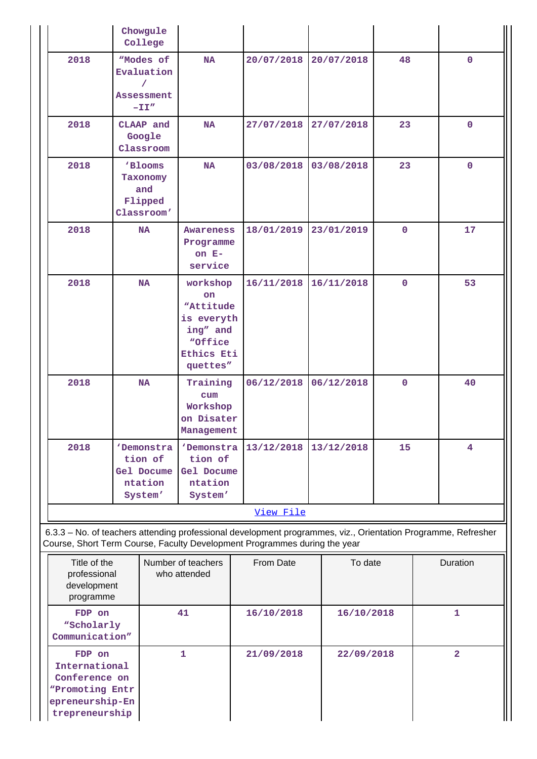|                                                                                                  | Chowgule<br>College                                                                            |                                              |                                                                                                                                                                                            |         |            |              |  |                         |
|--------------------------------------------------------------------------------------------------|------------------------------------------------------------------------------------------------|----------------------------------------------|--------------------------------------------------------------------------------------------------------------------------------------------------------------------------------------------|---------|------------|--------------|--|-------------------------|
| 2018                                                                                             | "Modes of<br>Evaluation<br>Assessment<br>$-TI''$                                               | <b>NA</b>                                    | 20/07/2018                                                                                                                                                                                 |         | 20/07/2018 | 48           |  | $\mathbf 0$             |
| 2018                                                                                             | CLAAP and<br>Google<br>Classroom                                                               | <b>NA</b>                                    | 27/07/2018                                                                                                                                                                                 |         | 27/07/2018 | 23           |  | $\mathbf 0$             |
| 2018                                                                                             | 'Blooms<br>Taxonomy<br>and<br>Flipped<br>Classroom'                                            |                                              | 03/08/2018                                                                                                                                                                                 |         | 03/08/2018 | 23           |  | $\mathbf{0}$            |
| 2018                                                                                             | <b>NA</b>                                                                                      | Awareness<br>Programme<br>on $E-$<br>service | 18/01/2019                                                                                                                                                                                 |         | 23/01/2019 | $\mathbf{0}$ |  | 17                      |
| 2018                                                                                             | <b>NA</b>                                                                                      |                                              | 16/11/2018<br>workshop<br>"Attitude<br>is everyth<br>ing" and<br>Ethics Eti<br>quettes"                                                                                                    |         | 16/11/2018 | $\mathbf 0$  |  | 53                      |
| 2018                                                                                             | <b>NA</b>                                                                                      |                                              | 06/12/2018<br>Training<br>Workshop<br>on Disater<br>Management                                                                                                                             |         | 06/12/2018 | $\mathbf{O}$ |  | 40                      |
| 2018                                                                                             | 'Demonstra<br>tion of<br>Gel Docume<br>ntation<br>System'                                      |                                              | 'Demonstra<br>13/12/2018<br>Gel Docume                                                                                                                                                     |         | 13/12/2018 | 15           |  | 4                       |
|                                                                                                  |                                                                                                |                                              | View File                                                                                                                                                                                  |         |            |              |  |                         |
|                                                                                                  |                                                                                                |                                              | 6.3.3 - No. of teachers attending professional development programmes, viz., Orientation Programme, Refresher<br>Course, Short Term Course, Faculty Development Programmes during the year |         |            |              |  |                         |
|                                                                                                  | Title of the<br>Number of teachers<br>professional<br>who attended<br>development<br>programme |                                              | From Date                                                                                                                                                                                  | To date |            |              |  | Duration                |
| FDP on                                                                                           | "Scholarly<br>Communication"                                                                   |                                              | 16/10/2018                                                                                                                                                                                 |         | 16/10/2018 |              |  | 1                       |
| FDP on<br>International<br>Conference on<br>"Promoting Entr<br>epreneurship-En<br>trepreneurship |                                                                                                | $\mathbf{1}$                                 | 21/09/2018                                                                                                                                                                                 |         | 22/09/2018 |              |  | $\overline{\mathbf{2}}$ |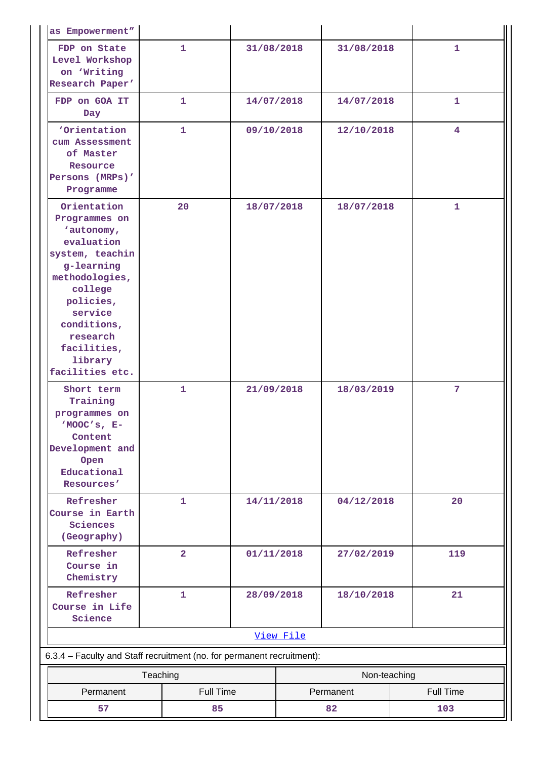| as Empowerment"                                                                                                                                                                                                        |              |                  |                          |            |              |            |                  |
|------------------------------------------------------------------------------------------------------------------------------------------------------------------------------------------------------------------------|--------------|------------------|--------------------------|------------|--------------|------------|------------------|
| FDP on State<br>Level Workshop<br>on 'Writing<br>Research Paper'                                                                                                                                                       | $\mathbf{1}$ |                  | 31/08/2018               |            | 31/08/2018   |            | 1                |
| FDP on GOA IT<br>Day                                                                                                                                                                                                   |              | 1                | 14/07/2018               |            | 14/07/2018   |            | 1                |
| 'Orientation<br>cum Assessment<br>of Master<br>Resource<br>Persons (MRPs)'<br>Programme                                                                                                                                |              | $\mathbf{1}$     | 09/10/2018<br>12/10/2018 |            |              | 4          |                  |
| Orientation<br>Programmes on<br>'autonomy,<br>evaluation<br>system, teachin<br>g-learning<br>methodologies,<br>college<br>policies,<br>service<br>conditions,<br>research<br>facilities,<br>library<br>facilities etc. | 20           |                  | 18/07/2018               |            | 18/07/2018   |            | 1                |
| Short term<br>Training<br>programmes on<br>'MOOC's, E-<br>Content<br>Development and<br>Open<br>Educational<br>Resources'                                                                                              |              | $\mathbf{1}$     | 21/09/2018               |            | 18/03/2019   |            | 7                |
| Refresher<br>Course in Earth<br>Sciences<br>(Geography)                                                                                                                                                                |              | $\mathbf{1}$     | 14/11/2018               |            | 04/12/2018   |            | 20               |
| Refresher<br>Course in<br>Chemistry                                                                                                                                                                                    |              | $\overline{2}$   | 01/11/2018               |            | 27/02/2019   |            | 119              |
| Refresher<br>Course in Life<br>Science                                                                                                                                                                                 |              | $\mathbf 1$      |                          | 28/09/2018 |              | 18/10/2018 |                  |
|                                                                                                                                                                                                                        |              |                  |                          | View File  |              |            |                  |
| 6.3.4 - Faculty and Staff recruitment (no. for permanent recruitment):                                                                                                                                                 |              |                  |                          |            |              |            |                  |
|                                                                                                                                                                                                                        | Teaching     |                  |                          |            | Non-teaching |            |                  |
| Permanent                                                                                                                                                                                                              |              | <b>Full Time</b> |                          |            | Permanent    |            | <b>Full Time</b> |
| 57<br>85                                                                                                                                                                                                               |              |                  | 82<br>103                |            |              |            |                  |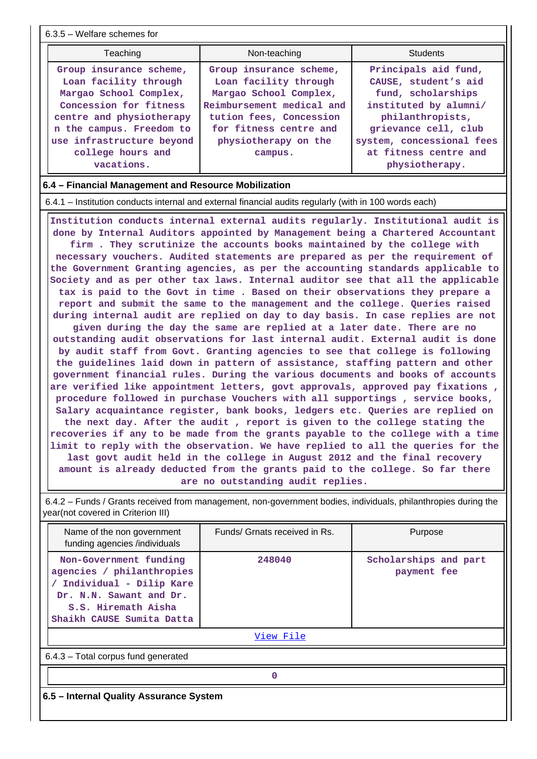| $6.3.5$ – Welfare schemes for                                                                                                                                                                                                                                                                                                                                                                                                                                                                                                                                                                                                                                                                                                                                                                                                                                                                                                                                                                                                                                                                                                                                                                                                                                                                                                                                                                                                                                                                                                                                                                                                                                                                                                                                                                                                                                                 |                               |                                      |  |  |  |  |  |  |
|-------------------------------------------------------------------------------------------------------------------------------------------------------------------------------------------------------------------------------------------------------------------------------------------------------------------------------------------------------------------------------------------------------------------------------------------------------------------------------------------------------------------------------------------------------------------------------------------------------------------------------------------------------------------------------------------------------------------------------------------------------------------------------------------------------------------------------------------------------------------------------------------------------------------------------------------------------------------------------------------------------------------------------------------------------------------------------------------------------------------------------------------------------------------------------------------------------------------------------------------------------------------------------------------------------------------------------------------------------------------------------------------------------------------------------------------------------------------------------------------------------------------------------------------------------------------------------------------------------------------------------------------------------------------------------------------------------------------------------------------------------------------------------------------------------------------------------------------------------------------------------|-------------------------------|--------------------------------------|--|--|--|--|--|--|
| Teaching                                                                                                                                                                                                                                                                                                                                                                                                                                                                                                                                                                                                                                                                                                                                                                                                                                                                                                                                                                                                                                                                                                                                                                                                                                                                                                                                                                                                                                                                                                                                                                                                                                                                                                                                                                                                                                                                      | Non-teaching                  | <b>Students</b>                      |  |  |  |  |  |  |
| Principals aid fund,<br>Group insurance scheme,<br>Group insurance scheme,<br>Loan facility through<br>Loan facility through<br>CAUSE, student's aid<br>Margao School Complex,<br>Margao School Complex,<br>fund, scholarships<br>Concession for fitness<br>Reimbursement medical and<br>instituted by alumni/<br>centre and physiotherapy<br>tution fees, Concession<br>philanthropists,<br>n the campus. Freedom to<br>for fitness centre and<br>grievance cell, club<br>use infrastructure beyond<br>physiotherapy on the<br>system, concessional fees<br>college hours and<br>at fitness centre and<br>campus.<br>vacations.<br>physiotherapy.                                                                                                                                                                                                                                                                                                                                                                                                                                                                                                                                                                                                                                                                                                                                                                                                                                                                                                                                                                                                                                                                                                                                                                                                                            |                               |                                      |  |  |  |  |  |  |
| 6.4 – Financial Management and Resource Mobilization                                                                                                                                                                                                                                                                                                                                                                                                                                                                                                                                                                                                                                                                                                                                                                                                                                                                                                                                                                                                                                                                                                                                                                                                                                                                                                                                                                                                                                                                                                                                                                                                                                                                                                                                                                                                                          |                               |                                      |  |  |  |  |  |  |
| 6.4.1 – Institution conducts internal and external financial audits regularly (with in 100 words each)                                                                                                                                                                                                                                                                                                                                                                                                                                                                                                                                                                                                                                                                                                                                                                                                                                                                                                                                                                                                                                                                                                                                                                                                                                                                                                                                                                                                                                                                                                                                                                                                                                                                                                                                                                        |                               |                                      |  |  |  |  |  |  |
| Institution conducts internal external audits regularly. Institutional audit is<br>done by Internal Auditors appointed by Management being a Chartered Accountant<br>firm. They scrutinize the accounts books maintained by the college with<br>necessary vouchers. Audited statements are prepared as per the requirement of<br>the Government Granting agencies, as per the accounting standards applicable to<br>Society and as per other tax laws. Internal auditor see that all the applicable<br>tax is paid to the Govt in time. Based on their observations they prepare a<br>report and submit the same to the management and the college. Queries raised<br>during internal audit are replied on day to day basis. In case replies are not<br>given during the day the same are replied at a later date. There are no<br>outstanding audit observations for last internal audit. External audit is done<br>by audit staff from Govt. Granting agencies to see that college is following<br>the guidelines laid down in pattern of assistance, staffing pattern and other<br>government financial rules. During the various documents and books of accounts<br>are verified like appointment letters, govt approvals, approved pay fixations ,<br>procedure followed in purchase Vouchers with all supportings, service books,<br>Salary acquaintance register, bank books, ledgers etc. Queries are replied on<br>the next day. After the audit, report is given to the college stating the<br>recoveries if any to be made from the grants payable to the college with a time<br>limit to reply with the observation. We have replied to all the queries for the<br>last govt audit held in the college in August 2012 and the final recovery<br>amount is already deducted from the grants paid to the college. So far there<br>are no outstanding audit replies. |                               |                                      |  |  |  |  |  |  |
| 6.4.2 – Funds / Grants received from management, non-government bodies, individuals, philanthropies during the<br>year(not covered in Criterion III)                                                                                                                                                                                                                                                                                                                                                                                                                                                                                                                                                                                                                                                                                                                                                                                                                                                                                                                                                                                                                                                                                                                                                                                                                                                                                                                                                                                                                                                                                                                                                                                                                                                                                                                          |                               |                                      |  |  |  |  |  |  |
| Name of the non government<br>funding agencies /individuals                                                                                                                                                                                                                                                                                                                                                                                                                                                                                                                                                                                                                                                                                                                                                                                                                                                                                                                                                                                                                                                                                                                                                                                                                                                                                                                                                                                                                                                                                                                                                                                                                                                                                                                                                                                                                   | Funds/ Grnats received in Rs. | Purpose                              |  |  |  |  |  |  |
| Non-Government funding<br>agencies / philanthropies<br>/ Individual - Dilip Kare<br>Dr. N.N. Sawant and Dr.<br>S.S. Hiremath Aisha<br>Shaikh CAUSE Sumita Datta                                                                                                                                                                                                                                                                                                                                                                                                                                                                                                                                                                                                                                                                                                                                                                                                                                                                                                                                                                                                                                                                                                                                                                                                                                                                                                                                                                                                                                                                                                                                                                                                                                                                                                               | 248040                        | Scholarships and part<br>payment fee |  |  |  |  |  |  |

[View File](https://assessmentonline.naac.gov.in/public/Postacc/Funds_or_Grants/5478_Funds_or_Grants_1593772792.xlsx)

6.4.3 – Total corpus fund generated

**0**

**6.5 – Internal Quality Assurance System**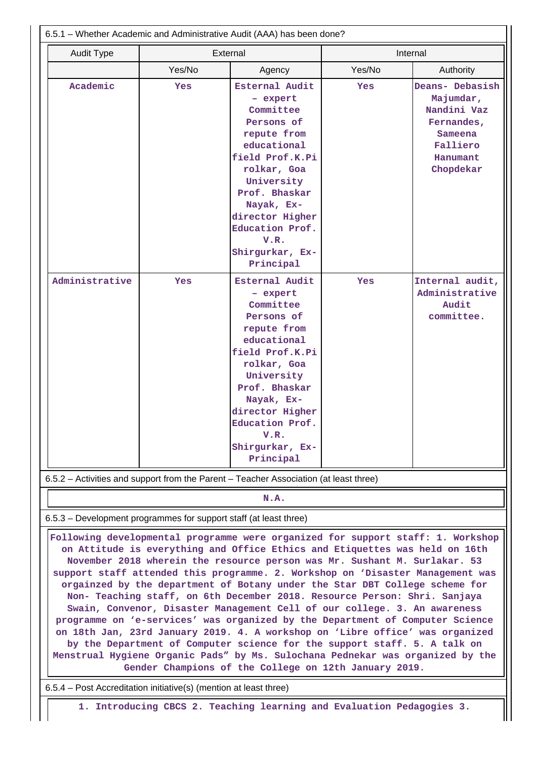| Yes/No<br>Yes/No<br>Agency<br>Academic<br>Esternal Audit<br>Yes<br>Yes<br>- expert<br>Committee<br>Persons of<br>repute from<br>educational<br>field Prof.K.Pi<br>rolkar, Goa<br>University<br>Prof. Bhaskar<br>Nayak, Ex-<br>director Higher<br>Education Prof.<br>V.R.<br>Shirgurkar, Ex-<br>Principal<br>Esternal Audit<br>Yes<br>Yes<br>- expert<br>Committee<br>Persons of<br>repute from<br>educational<br>field Prof.K.Pi<br>rolkar, Goa<br>University<br>Prof. Bhaskar<br>Nayak, Ex-<br>director Higher<br>Education Prof.<br>V.R.<br>Shirgurkar, Ex-<br>Principal<br>N.A.<br>on Attitude is everything and Office Ethics and Etiquettes was held on 16th<br>November 2018 wherein the resource person was Mr. Sushant M. Surlakar. 53 | Internal                                                                                                  | External<br><b>Audit Type</b> |  |  |  |
|------------------------------------------------------------------------------------------------------------------------------------------------------------------------------------------------------------------------------------------------------------------------------------------------------------------------------------------------------------------------------------------------------------------------------------------------------------------------------------------------------------------------------------------------------------------------------------------------------------------------------------------------------------------------------------------------------------------------------------------------|-----------------------------------------------------------------------------------------------------------|-------------------------------|--|--|--|
| Administrative<br>6.5.2 – Activities and support from the Parent – Teacher Association (at least three)<br>6.5.3 – Development programmes for support staff (at least three)<br>Following developmental programme were organized for support staff: 1. Workshop                                                                                                                                                                                                                                                                                                                                                                                                                                                                                | Authority                                                                                                 |                               |  |  |  |
|                                                                                                                                                                                                                                                                                                                                                                                                                                                                                                                                                                                                                                                                                                                                                | Deans- Debasish<br>Majumdar,<br>Nandini Vaz<br>Fernandes,<br>Sameena<br>Falliero<br>Hanumant<br>Chopdekar |                               |  |  |  |
|                                                                                                                                                                                                                                                                                                                                                                                                                                                                                                                                                                                                                                                                                                                                                | Internal audit,<br>Administrative                                                                         |                               |  |  |  |
|                                                                                                                                                                                                                                                                                                                                                                                                                                                                                                                                                                                                                                                                                                                                                | Audit<br>committee.                                                                                       |                               |  |  |  |
|                                                                                                                                                                                                                                                                                                                                                                                                                                                                                                                                                                                                                                                                                                                                                |                                                                                                           |                               |  |  |  |
|                                                                                                                                                                                                                                                                                                                                                                                                                                                                                                                                                                                                                                                                                                                                                |                                                                                                           |                               |  |  |  |
|                                                                                                                                                                                                                                                                                                                                                                                                                                                                                                                                                                                                                                                                                                                                                |                                                                                                           |                               |  |  |  |
|                                                                                                                                                                                                                                                                                                                                                                                                                                                                                                                                                                                                                                                                                                                                                |                                                                                                           |                               |  |  |  |
| support staff attended this programme. 2. Workshop on 'Disaster Management was<br>orgainzed by the department of Botany under the Star DBT College scheme for<br>Non- Teaching staff, on 6th December 2018. Resource Person: Shri. Sanjaya<br>Swain, Convenor, Disaster Management Cell of our college. 3. An awareness<br>programme on 'e-services' was organized by the Department of Computer Science<br>on 18th Jan, 23rd January 2019. 4. A workshop on 'Libre office' was organized<br>by the Department of Computer science for the support staff. 5. A talk on<br>Menstrual Hygiene Organic Pads" by Ms. Sulochana Pednekar was organized by the<br>Gender Champions of the College on 12th January 2019.                              |                                                                                                           |                               |  |  |  |
| 6.5.4 – Post Accreditation initiative(s) (mention at least three)                                                                                                                                                                                                                                                                                                                                                                                                                                                                                                                                                                                                                                                                              |                                                                                                           |                               |  |  |  |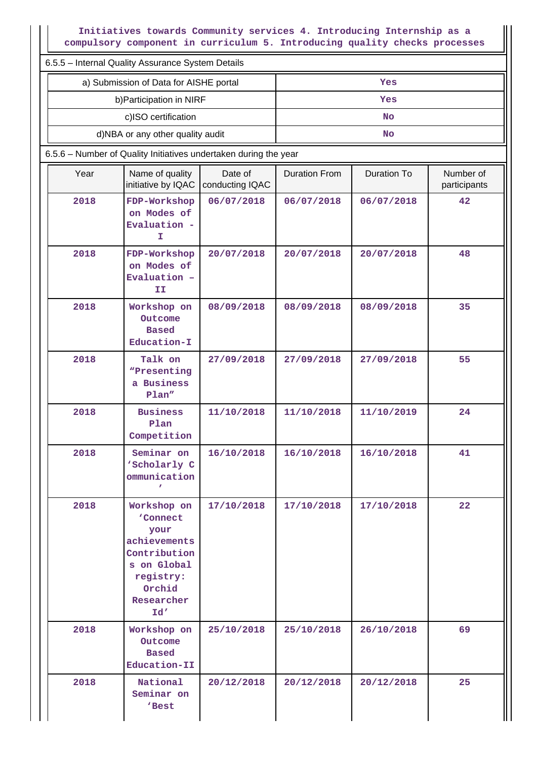**Initiatives towards Community services 4. Introducing Internship as a compulsory component in curriculum 5. Introducing quality checks processes**

II

|      | 6.5.5 - Internal Quality Assurance System Details                                                                                                                                                                                                                                                                                                                                                                                                                                                     |                            |                      |                    |                           |  |  |  |
|------|-------------------------------------------------------------------------------------------------------------------------------------------------------------------------------------------------------------------------------------------------------------------------------------------------------------------------------------------------------------------------------------------------------------------------------------------------------------------------------------------------------|----------------------------|----------------------|--------------------|---------------------------|--|--|--|
|      | a) Submission of Data for AISHE portal                                                                                                                                                                                                                                                                                                                                                                                                                                                                |                            | Yes                  |                    |                           |  |  |  |
|      | b) Participation in NIRF                                                                                                                                                                                                                                                                                                                                                                                                                                                                              |                            | Yes                  |                    |                           |  |  |  |
|      | c)ISO certification                                                                                                                                                                                                                                                                                                                                                                                                                                                                                   |                            |                      | <b>No</b>          |                           |  |  |  |
|      | d)NBA or any other quality audit                                                                                                                                                                                                                                                                                                                                                                                                                                                                      |                            |                      | <b>No</b>          |                           |  |  |  |
|      | 6.5.6 - Number of Quality Initiatives undertaken during the year                                                                                                                                                                                                                                                                                                                                                                                                                                      |                            |                      |                    |                           |  |  |  |
| Year | Name of quality<br>initiative by IQAC                                                                                                                                                                                                                                                                                                                                                                                                                                                                 | Date of<br>conducting IQAC | <b>Duration From</b> | <b>Duration To</b> | Number of<br>participants |  |  |  |
| 2018 | FDP-Workshop<br>on Modes of<br>Evaluation -<br>I<br>2018<br>FDP-Workshop<br>on Modes of<br>Evaluation -<br>II<br>2018<br>Workshop on<br>Outcome<br><b>Based</b><br>Education-I<br>2018<br>Talk on<br>"Presenting<br>a Business<br>Plan"<br>2018<br><b>Business</b><br>Plan<br>Competition<br>2018<br>Seminar on<br>'Scholarly C<br>ommunication<br>$\mathbf{r}$<br>2018<br>Workshop on<br>'Connect<br>your<br>achievements<br>Contribution<br>s on Global<br>registry:<br>Orchid<br>Researcher<br>Id' |                            | 06/07/2018           | 06/07/2018         | 42                        |  |  |  |
|      |                                                                                                                                                                                                                                                                                                                                                                                                                                                                                                       |                            | 20/07/2018           | 20/07/2018         | 48                        |  |  |  |
|      |                                                                                                                                                                                                                                                                                                                                                                                                                                                                                                       |                            | 08/09/2018           | 08/09/2018         | 35                        |  |  |  |
|      |                                                                                                                                                                                                                                                                                                                                                                                                                                                                                                       |                            | 27/09/2018           | 27/09/2018         | 55                        |  |  |  |
|      |                                                                                                                                                                                                                                                                                                                                                                                                                                                                                                       |                            | 11/10/2018           | 11/10/2019         | 24                        |  |  |  |
|      |                                                                                                                                                                                                                                                                                                                                                                                                                                                                                                       |                            | 16/10/2018           | 16/10/2018         | 41                        |  |  |  |
|      |                                                                                                                                                                                                                                                                                                                                                                                                                                                                                                       |                            | 17/10/2018           | 17/10/2018         | 22                        |  |  |  |
| 2018 | Workshop on<br>Outcome<br><b>Based</b><br>Education-II                                                                                                                                                                                                                                                                                                                                                                                                                                                | 25/10/2018                 | 25/10/2018           | 26/10/2018         | 69                        |  |  |  |
| 2018 | National<br>Seminar on<br>'Best                                                                                                                                                                                                                                                                                                                                                                                                                                                                       | 20/12/2018                 | 20/12/2018           | 20/12/2018         | 25                        |  |  |  |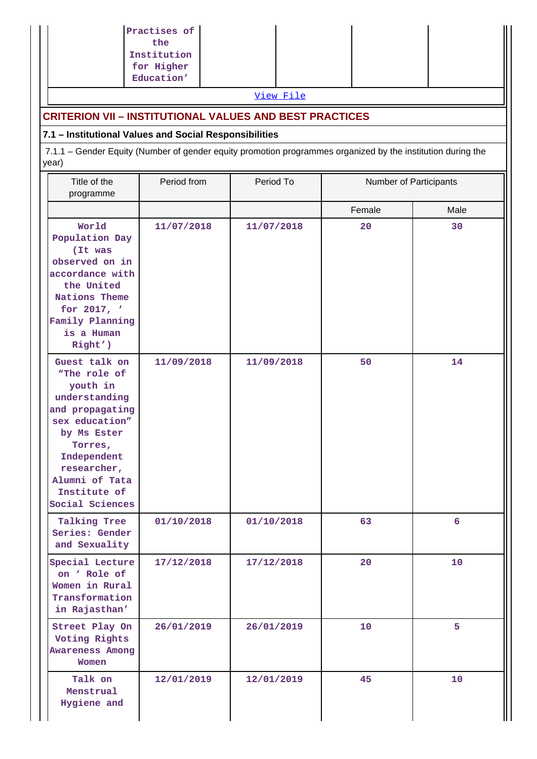|                                                                                                                                                                                                              | Practises of<br>the<br>Institution<br>for Higher<br>Education' |            |        |                        |  |  |  |
|--------------------------------------------------------------------------------------------------------------------------------------------------------------------------------------------------------------|----------------------------------------------------------------|------------|--------|------------------------|--|--|--|
|                                                                                                                                                                                                              |                                                                | View File  |        |                        |  |  |  |
| <b>CRITERION VII - INSTITUTIONAL VALUES AND BEST PRACTICES</b>                                                                                                                                               |                                                                |            |        |                        |  |  |  |
| 7.1 - Institutional Values and Social Responsibilities                                                                                                                                                       |                                                                |            |        |                        |  |  |  |
| 7.1.1 – Gender Equity (Number of gender equity promotion programmes organized by the institution during the<br>year)                                                                                         |                                                                |            |        |                        |  |  |  |
| Title of the<br>programme                                                                                                                                                                                    | Period from                                                    | Period To  |        | Number of Participants |  |  |  |
|                                                                                                                                                                                                              |                                                                |            | Female | Male                   |  |  |  |
| World<br>Population Day<br>(It was<br>observed on in<br>accordance with<br>the United<br>Nations Theme<br>for 2017, '<br>Family Planning<br>is a Human<br>Right')                                            | 11/07/2018                                                     | 11/07/2018 | 20     | 30                     |  |  |  |
| Guest talk on<br>"The role of<br>youth in<br>understanding<br>and propagating<br>sex education"<br>by Ms Ester<br>Torres,<br>Independent<br>researcher,<br>Alumni of Tata<br>Institute of<br>Social Sciences | 11/09/2018                                                     | 11/09/2018 | 50     | 14                     |  |  |  |
| Talking Tree<br>Series: Gender<br>and Sexuality                                                                                                                                                              | 01/10/2018                                                     | 01/10/2018 | 63     | $6\overline{6}$        |  |  |  |
| Special Lecture<br>on ' Role of<br>Women in Rural<br>Transformation<br>in Rajasthan'                                                                                                                         | 17/12/2018                                                     | 17/12/2018 | 20     | 10                     |  |  |  |
| Street Play On<br>Voting Rights<br><b>Awareness Among</b><br>Women                                                                                                                                           | 26/01/2019                                                     | 26/01/2019 | 10     | 5                      |  |  |  |
| Talk on<br>Menstrual<br>Hygiene and                                                                                                                                                                          | 12/01/2019                                                     | 12/01/2019 | 45     | 10 <sub>1</sub>        |  |  |  |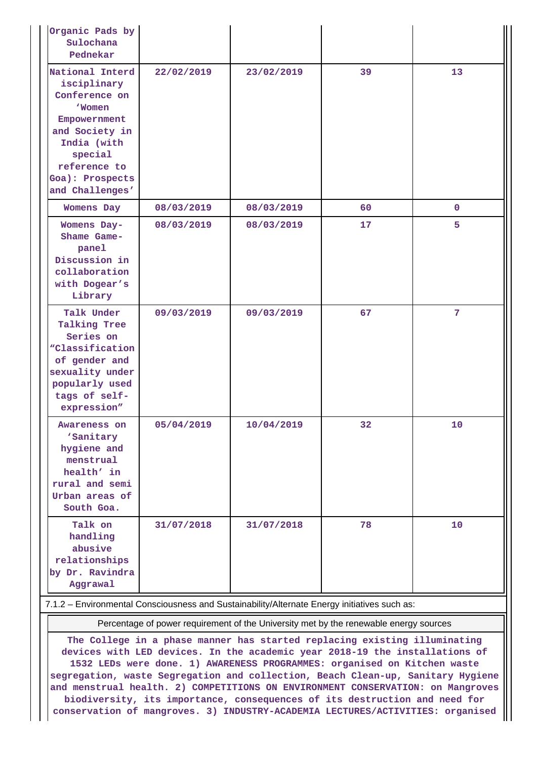| Organic Pads by<br>Sulochana<br>Pednekar                                                                                                                                          |            |            |    |              |
|-----------------------------------------------------------------------------------------------------------------------------------------------------------------------------------|------------|------------|----|--------------|
| National Interd<br>isciplinary<br>Conference on<br><b>Women</b><br>Empowernment<br>and Society in<br>India (with<br>special<br>reference to<br>Goa): Prospects<br>and Challenges' | 22/02/2019 | 23/02/2019 | 39 | 13           |
| <b>Womens Day</b>                                                                                                                                                                 | 08/03/2019 | 08/03/2019 | 60 | $\mathbf{0}$ |
| Womens Day-<br>Shame Game-<br>panel<br>Discussion in<br>collaboration<br>with Dogear's<br>Library                                                                                 | 08/03/2019 | 08/03/2019 | 17 | 5            |
| Talk Under<br><b>Talking Tree</b><br>Series on<br><i><b>"Classification</b></i><br>of gender and<br>sexuality under<br>popularly used<br>tags of self-<br>expression"             | 09/03/2019 | 09/03/2019 | 67 | 7            |
| Awareness on<br>'Sanitary<br>hygiene and<br>menstrual<br>health' in<br>rural and semi<br>Urban areas of<br>South Goa.                                                             | 05/04/2019 | 10/04/2019 | 32 | 10           |
| Talk on<br>handling<br>abusive<br>relationships<br>by Dr. Ravindra<br>Aggrawal                                                                                                    | 31/07/2018 | 31/07/2018 | 78 | 10           |

#### 7.1.2 – Environmental Consciousness and Sustainability/Alternate Energy initiatives such as:

Percentage of power requirement of the University met by the renewable energy sources

**The College in a phase manner has started replacing existing illuminating devices with LED devices. In the academic year 2018-19 the installations of 1532 LEDs were done. 1) AWARENESS PROGRAMMES: organised on Kitchen waste segregation, waste Segregation and collection, Beach Clean-up, Sanitary Hygiene and menstrual health. 2) COMPETITIONS ON ENVIRONMENT CONSERVATION: on Mangroves biodiversity, its importance, consequences of its destruction and need for conservation of mangroves. 3) INDUSTRY-ACADEMIA LECTURES/ACTIVITIES: organised**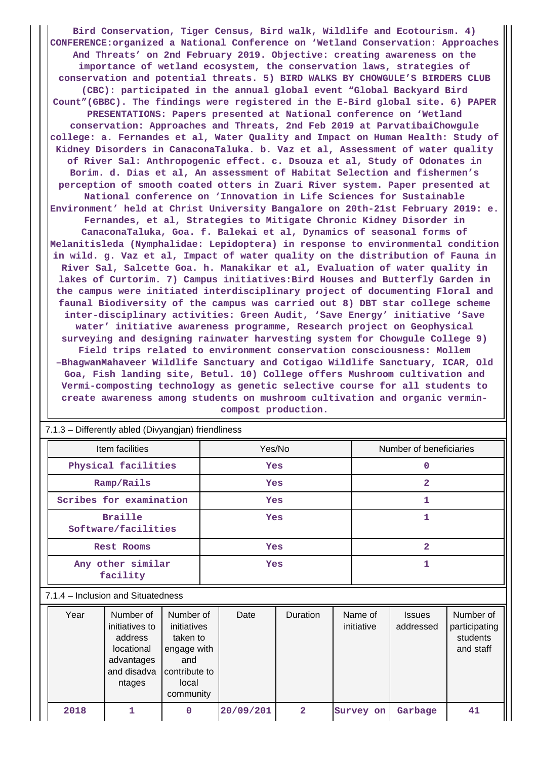**Bird Conservation, Tiger Census, Bird walk, Wildlife and Ecotourism. 4) CONFERENCE:organized a National Conference on 'Wetland Conservation: Approaches And Threats' on 2nd February 2019. Objective: creating awareness on the importance of wetland ecosystem, the conservation laws, strategies of conservation and potential threats. 5) BIRD WALKS BY CHOWGULE'S BIRDERS CLUB (CBC): participated in the annual global event "Global Backyard Bird Count"(GBBC). The findings were registered in the E-Bird global site. 6) PAPER PRESENTATIONS: Papers presented at National conference on 'Wetland conservation: Approaches and Threats, 2nd Feb 2019 at ParvatibaiChowgule college: a. Fernandes et al, Water Quality and Impact on Human Health: Study of Kidney Disorders in CanaconaTaluka. b. Vaz et al, Assessment of water quality of River Sal: Anthropogenic effect. c. Dsouza et al, Study of Odonates in Borim. d. Dias et al, An assessment of Habitat Selection and fishermen's perception of smooth coated otters in Zuari River system. Paper presented at National conference on 'Innovation in Life Sciences for Sustainable Environment' held at Christ University Bangalore on 20th-21st February 2019: e. Fernandes, et al, Strategies to Mitigate Chronic Kidney Disorder in CanaconaTaluka, Goa. f. Balekai et al, Dynamics of seasonal forms of Melanitisleda (Nymphalidae: Lepidoptera) in response to environmental condition in wild. g. Vaz et al, Impact of water quality on the distribution of Fauna in River Sal, Salcette Goa. h. Manakikar et al, Evaluation of water quality in lakes of Curtorim. 7) Campus initiatives:Bird Houses and Butterfly Garden in the campus were initiated interdisciplinary project of documenting Floral and faunal Biodiversity of the campus was carried out 8) DBT star college scheme inter-disciplinary activities: Green Audit, 'Save Energy' initiative 'Save water' initiative awareness programme, Research project on Geophysical surveying and designing rainwater harvesting system for Chowgule College 9) Field trips related to environment conservation consciousness: Mollem –BhagwanMahaveer Wildlife Sanctuary and Cotigao Wildlife Sanctuary, ICAR, Old Goa, Fish landing site, Betul. 10) College offers Mushroom cultivation and Vermi-composting technology as genetic selective course for all students to create awareness among students on mushroom cultivation and organic vermincompost production.**

| Item facilities     |                                       |                                                                                             | Yes/No                                                                                            |     |           | Number of beneficiaries |   |                       |                            |                                                     |
|---------------------|---------------------------------------|---------------------------------------------------------------------------------------------|---------------------------------------------------------------------------------------------------|-----|-----------|-------------------------|---|-----------------------|----------------------------|-----------------------------------------------------|
| Physical facilities |                                       |                                                                                             | Yes                                                                                               |     |           | 0                       |   |                       |                            |                                                     |
| Ramp/Rails          |                                       |                                                                                             | Yes                                                                                               |     |           | $\overline{2}$          |   |                       |                            |                                                     |
|                     | Scribes for examination               |                                                                                             |                                                                                                   | Yes |           |                         | 1 |                       |                            |                                                     |
|                     | <b>Braille</b><br>Software/facilities |                                                                                             |                                                                                                   | Yes |           |                         | 1 |                       |                            |                                                     |
| Rest Rooms          |                                       |                                                                                             |                                                                                                   |     | Yes       |                         |   | $\overline{2}$        |                            |                                                     |
|                     | Any other similar<br>facility         |                                                                                             |                                                                                                   | Yes |           |                         | 1 |                       |                            |                                                     |
|                     |                                       | 7.1.4 – Inclusion and Situatedness                                                          |                                                                                                   |     |           |                         |   |                       |                            |                                                     |
|                     | Year                                  | Number of<br>initiatives to<br>address<br>locational<br>advantages<br>and disadva<br>ntages | Number of<br>initiatives<br>taken to<br>engage with<br>and<br>contribute to<br>local<br>community |     | Date      | Duration                |   | Name of<br>initiative | <b>Issues</b><br>addressed | Number of<br>participating<br>students<br>and staff |
|                     | 2018                                  | 1                                                                                           | 0                                                                                                 |     | 20/09/201 | $\overline{2}$          |   | Survey on             | Garbage                    | 41                                                  |

7.1.3 – Differently abled (Divyangjan) friendliness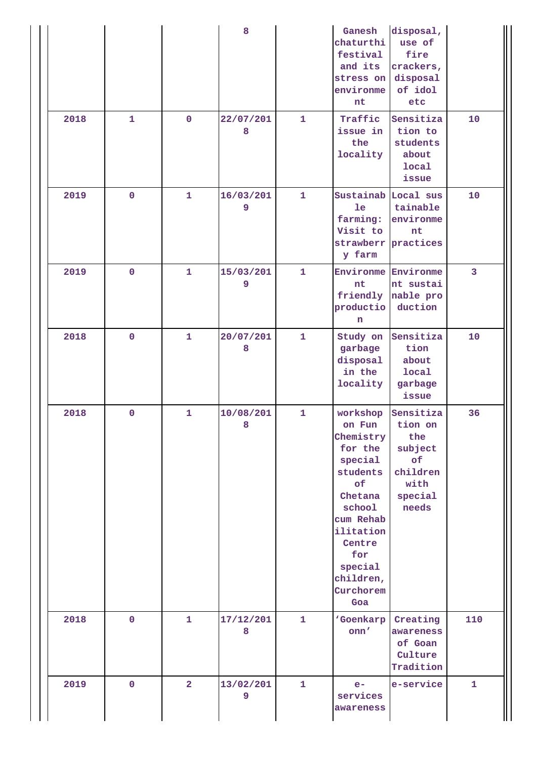|      |              |                | 8              |              | Ganesh<br>chaturthi<br>festival<br>and its<br>stress on disposal<br>environme<br>nt                                                                                                 | disposal,<br>use of<br>fire<br>crackers,<br>of idol<br>etc                           |                |
|------|--------------|----------------|----------------|--------------|-------------------------------------------------------------------------------------------------------------------------------------------------------------------------------------|--------------------------------------------------------------------------------------|----------------|
| 2018 | $\mathbf{1}$ | $\mathbf 0$    | 22/07/201<br>8 | $\mathbf{1}$ | Traffic<br>issue in<br>the<br>locality                                                                                                                                              | Sensitiza<br>tion to<br>students<br>about<br><b>local</b><br>issue                   | 10             |
| 2019 | $\mathbf 0$  | $\mathbf{1}$   | 16/03/201<br>9 | $\mathbf{1}$ | Sustainab Local sus<br>1e<br>farming:<br>Visit to<br>strawberr practices<br>y farm                                                                                                  | tainable<br>environme<br>nt                                                          | 10             |
| 2019 | $\mathbf{0}$ | $\mathbf{1}$   | 15/03/201<br>9 | $\mathbf{1}$ | <b>Environme Environme</b><br>nt<br>productio duction<br>n                                                                                                                          | nt sustai<br>friendly nable pro                                                      | $\overline{3}$ |
| 2018 | $\mathbf 0$  | 1              | 20/07/201<br>8 | $\mathbf{1}$ | Study on<br>garbage<br>disposal<br>in the<br>locality                                                                                                                               | Sensitiza<br>tion<br>about<br>local<br>garbage<br>issue                              | 10             |
| 2018 | $\mathbf{0}$ | 1              | 10/08/201<br>8 | $\mathbf{1}$ | workshop<br>on Fun<br>Chemistry<br>for the<br>special<br>students<br>of<br>Chetana<br>school<br>cum Rehab<br>ilitation<br>Centre<br>for<br>special<br>children,<br>Curchorem<br>Goa | Sensitiza<br>tion on<br>the<br>subject<br>of<br>children<br>with<br>special<br>needs | 36             |
| 2018 | $\mathbf 0$  | $\mathbf{1}$   | 17/12/201<br>8 | $\mathbf{1}$ | 'Goenkarp<br>onn'                                                                                                                                                                   | Creating<br>awareness<br>of Goan<br>Culture<br>Tradition                             | 110            |
| 2019 | $\mathbf{O}$ | $\overline{2}$ | 13/02/201<br>9 | $\mathbf{1}$ | $e-$<br>services<br>awareness                                                                                                                                                       | e-service                                                                            | $\mathbf{1}$   |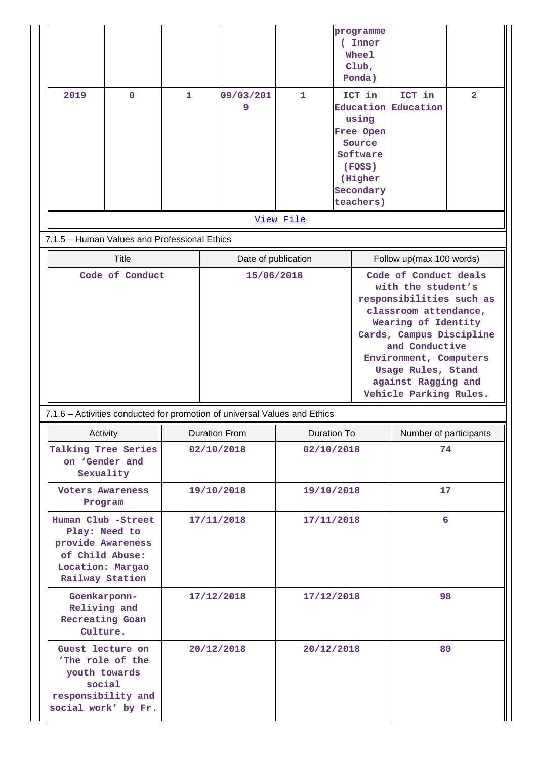|      |                                              |            |                                                                           |                     |                                              | programme<br>(Inner<br>Wheel<br>Club,<br>Ponda) |                               |                |
|------|----------------------------------------------|------------|---------------------------------------------------------------------------|---------------------|----------------------------------------------|-------------------------------------------------|-------------------------------|----------------|
| 2019 | $\mathbf 0$                                  | 1          | 09/03/201<br>9                                                            | 1                   |                                              | ICT in                                          | ICT in<br>Education Education | $\overline{2}$ |
|      |                                              |            |                                                                           |                     |                                              | using                                           |                               |                |
|      |                                              |            |                                                                           |                     |                                              | Free Open                                       |                               |                |
|      |                                              |            |                                                                           |                     |                                              | Source<br>Software                              |                               |                |
|      |                                              |            |                                                                           |                     |                                              | (FOSS)                                          |                               |                |
|      |                                              |            |                                                                           |                     |                                              | (Higher<br>Secondary                            |                               |                |
|      |                                              |            |                                                                           |                     |                                              | teachers)                                       |                               |                |
|      |                                              |            |                                                                           | View File           |                                              |                                                 |                               |                |
|      | 7.1.5 - Human Values and Professional Ethics |            |                                                                           |                     |                                              |                                                 |                               |                |
|      | <b>Title</b>                                 |            |                                                                           | Date of publication |                                              |                                                 | Follow up(max 100 words)      |                |
|      | Code of Conduct                              |            |                                                                           | 15/06/2018          |                                              | Code of Conduct deals                           |                               |                |
|      |                                              |            |                                                                           |                     |                                              | with the student's<br>responsibilities such as  |                               |                |
|      |                                              |            |                                                                           |                     |                                              |                                                 | classroom attendance,         |                |
|      |                                              |            |                                                                           |                     |                                              | Wearing of Identity<br>Cards, Campus Discipline |                               |                |
|      |                                              |            |                                                                           |                     | and Conductive                               |                                                 |                               |                |
|      |                                              |            |                                                                           |                     | Environment, Computers<br>Usage Rules, Stand |                                                 |                               |                |
|      |                                              |            |                                                                           |                     |                                              |                                                 | against Ragging and           |                |
|      |                                              |            |                                                                           |                     |                                              | Vehicle Parking Rules.                          |                               |                |
|      |                                              |            | 7.1.6 - Activities conducted for promotion of universal Values and Ethics |                     |                                              |                                                 |                               |                |
|      | Activity                                     |            | <b>Duration From</b>                                                      |                     | Duration To                                  |                                                 | Number of participants        |                |
|      | Talking Tree Series<br>on 'Gender and        |            | 02/10/2018                                                                |                     | 02/10/2018                                   |                                                 | 74                            |                |
|      | Sexuality                                    |            |                                                                           |                     |                                              |                                                 |                               |                |
|      | <b>Voters Awareness</b>                      |            | 19/10/2018                                                                |                     | 19/10/2018                                   |                                                 | 17                            |                |
|      | Program                                      |            |                                                                           |                     |                                              |                                                 |                               |                |
|      | Human Club -Street                           |            | 17/11/2018                                                                |                     | 17/11/2018                                   |                                                 | 6                             |                |
|      | Play: Need to<br>provide Awareness           |            |                                                                           |                     |                                              |                                                 |                               |                |
|      | of Child Abuse:                              |            |                                                                           |                     |                                              |                                                 |                               |                |
|      | Location: Margao<br>Railway Station          |            |                                                                           |                     |                                              |                                                 |                               |                |
|      | Goenkarponn-                                 | 17/12/2018 |                                                                           | 17/12/2018          |                                              | 98                                              |                               |                |
|      | Reliving and                                 |            |                                                                           |                     |                                              |                                                 |                               |                |
|      | Recreating Goan<br>Culture.                  |            |                                                                           |                     |                                              |                                                 |                               |                |
|      | Guest lecture on                             |            | 20/12/2018                                                                |                     | 20/12/2018                                   |                                                 | 80                            |                |
|      | 'The role of the                             |            |                                                                           |                     |                                              |                                                 |                               |                |
|      | youth towards<br>social                      |            |                                                                           |                     |                                              |                                                 |                               |                |
|      | responsibility and                           |            |                                                                           |                     |                                              |                                                 |                               |                |
|      | social work' by Fr.                          |            |                                                                           |                     |                                              |                                                 |                               |                |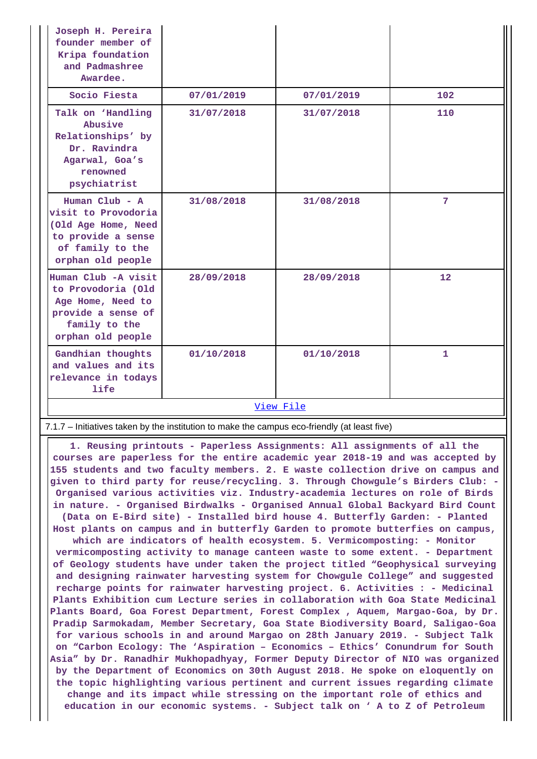| Joseph H. Pereira<br>founder member of<br>Kripa foundation<br>and Padmashree<br>Awardee.                                      |            |            |                   |  |  |  |
|-------------------------------------------------------------------------------------------------------------------------------|------------|------------|-------------------|--|--|--|
| Socio Fiesta                                                                                                                  | 07/01/2019 | 07/01/2019 | 102               |  |  |  |
| Talk on 'Handling<br>Abusive<br>Relationships' by<br>Dr. Ravindra<br>Agarwal, Goa's<br>renowned<br>psychiatrist               | 31/07/2018 | 31/07/2018 | 110               |  |  |  |
| Human $Club - A$<br>visit to Provodoria<br>(Old Age Home, Need<br>to provide a sense<br>of family to the<br>orphan old people | 31/08/2018 | 31/08/2018 | 7                 |  |  |  |
| Human Club -A visit<br>to Provodoria (Old<br>Age Home, Need to<br>provide a sense of<br>family to the<br>orphan old people    | 28/09/2018 | 28/09/2018 | $12 \overline{ }$ |  |  |  |
| Gandhian thoughts<br>and values and its<br>relevance in todays<br>life                                                        | 01/10/2018 | 01/10/2018 | $\mathbf{1}$      |  |  |  |
| View File                                                                                                                     |            |            |                   |  |  |  |

7.1.7 – Initiatives taken by the institution to make the campus eco-friendly (at least five)

 **1. Reusing printouts - Paperless Assignments: All assignments of all the courses are paperless for the entire academic year 2018-19 and was accepted by 155 students and two faculty members. 2. E waste collection drive on campus and given to third party for reuse/recycling. 3. Through Chowgule's Birders Club: - Organised various activities viz. Industry-academia lectures on role of Birds in nature. - Organised Birdwalks - Organised Annual Global Backyard Bird Count (Data on E-Bird site) - Installed bird house 4. Butterfly Garden: - Planted Host plants on campus and in butterfly Garden to promote butterfies on campus,**

**which are indicators of health ecosystem. 5. Vermicomposting: - Monitor vermicomposting activity to manage canteen waste to some extent. - Department of Geology students have under taken the project titled "Geophysical surveying and designing rainwater harvesting system for Chowgule College" and suggested recharge points for rainwater harvesting project. 6. Activities : - Medicinal Plants Exhibition cum Lecture series in collaboration with Goa State Medicinal Plants Board, Goa Forest Department, Forest Complex , Aquem, Margao-Goa, by Dr. Pradip Sarmokadam, Member Secretary, Goa State Biodiversity Board, Saligao-Goa for various schools in and around Margao on 28th January 2019. - Subject Talk on "Carbon Ecology: The 'Aspiration – Economics – Ethics' Conundrum for South Asia" by Dr. Ranadhir Mukhopadhyay, Former Deputy Director of NIO was organized by the Department of Economics on 30th August 2018. He spoke on eloquently on the topic highlighting various pertinent and current issues regarding climate change and its impact while stressing on the important role of ethics and education in our economic systems. - Subject talk on ' A to Z of Petroleum**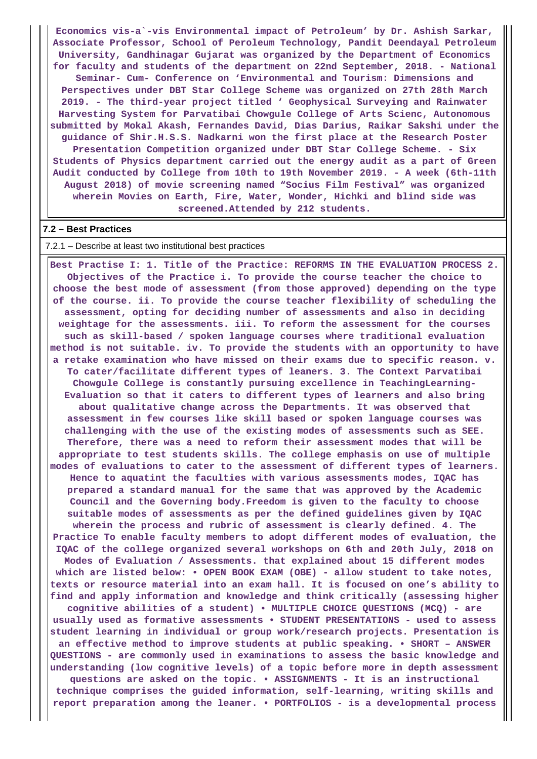**Economics vis-a`-vis Environmental impact of Petroleum' by Dr. Ashish Sarkar, Associate Professor, School of Peroleum Technology, Pandit Deendayal Petroleum University, Gandhinagar Gujarat was organized by the Department of Economics for faculty and students of the department on 22nd September, 2018. - National Seminar- Cum- Conference on 'Environmental and Tourism: Dimensions and Perspectives under DBT Star College Scheme was organized on 27th 28th March 2019. - The third-year project titled ' Geophysical Surveying and Rainwater Harvesting System for Parvatibai Chowgule College of Arts Scienc, Autonomous submitted by Mokal Akash, Fernandes David, Dias Darius, Raikar Sakshi under the guidance of Shir.H.S.S. Nadkarni won the first place at the Research Poster Presentation Competition organized under DBT Star College Scheme. - Six Students of Physics department carried out the energy audit as a part of Green Audit conducted by College from 10th to 19th November 2019. - A week (6th-11th August 2018) of movie screening named "Socius Film Festival" was organized wherein Movies on Earth, Fire, Water, Wonder, Hichki and blind side was screened.Attended by 212 students.**

#### **7.2 – Best Practices**

#### 7.2.1 – Describe at least two institutional best practices

 **Best Practise I: 1. Title of the Practice: REFORMS IN THE EVALUATION PROCESS 2. Objectives of the Practice i. To provide the course teacher the choice to choose the best mode of assessment (from those approved) depending on the type of the course. ii. To provide the course teacher flexibility of scheduling the assessment, opting for deciding number of assessments and also in deciding weightage for the assessments. iii. To reform the assessment for the courses such as skill-based / spoken language courses where traditional evaluation method is not suitable. iv. To provide the students with an opportunity to have a retake examination who have missed on their exams due to specific reason. v. To cater/facilitate different types of leaners. 3. The Context Parvatibai Chowgule College is constantly pursuing excellence in TeachingLearning-Evaluation so that it caters to different types of learners and also bring about qualitative change across the Departments. It was observed that assessment in few courses like skill based or spoken language courses was challenging with the use of the existing modes of assessments such as SEE. Therefore, there was a need to reform their assessment modes that will be appropriate to test students skills. The college emphasis on use of multiple modes of evaluations to cater to the assessment of different types of learners. Hence to aquatint the faculties with various assessments modes, IQAC has prepared a standard manual for the same that was approved by the Academic Council and the Governing body.Freedom is given to the faculty to choose suitable modes of assessments as per the defined guidelines given by IQAC wherein the process and rubric of assessment is clearly defined. 4. The Practice To enable faculty members to adopt different modes of evaluation, the IQAC of the college organized several workshops on 6th and 20th July, 2018 on Modes of Evaluation / Assessments. that explained about 15 different modes which are listed below: • OPEN BOOK EXAM (OBE) - allow student to take notes, texts or resource material into an exam hall. It is focused on one's ability to find and apply information and knowledge and think critically (assessing higher cognitive abilities of a student) • MULTIPLE CHOICE QUESTIONS (MCQ) - are usually used as formative assessments • STUDENT PRESENTATIONS - used to assess student learning in individual or group work/research projects. Presentation is an effective method to improve students at public speaking. • SHORT – ANSWER QUESTIONS - are commonly used in examinations to assess the basic knowledge and understanding (low cognitive levels) of a topic before more in depth assessment questions are asked on the topic. • ASSIGNMENTS - It is an instructional technique comprises the guided information, self-learning, writing skills and report preparation among the leaner. • PORTFOLIOS - is a developmental process**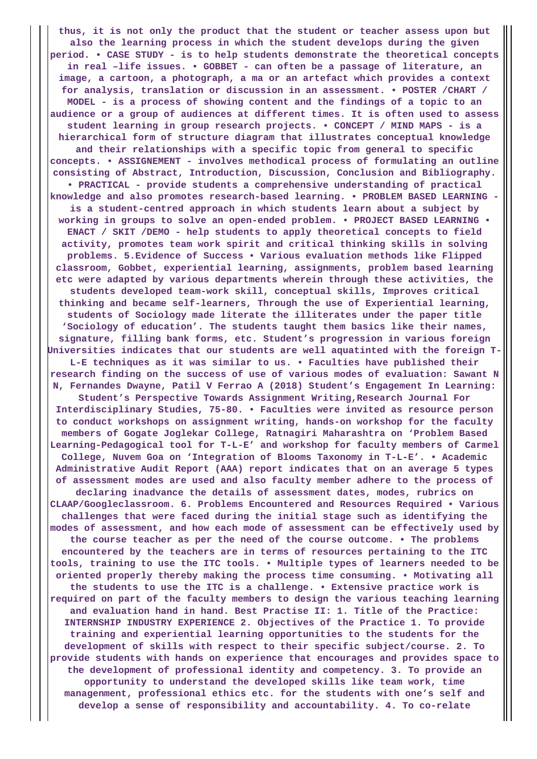**thus, it is not only the product that the student or teacher assess upon but also the learning process in which the student develops during the given period. • CASE STUDY - is to help students demonstrate the theoretical concepts in real –life issues. • GOBBET - can often be a passage of literature, an image, a cartoon, a photograph, a ma or an artefact which provides a context for analysis, translation or discussion in an assessment. • POSTER /CHART / MODEL - is a process of showing content and the findings of a topic to an audience or a group of audiences at different times. It is often used to assess student learning in group research projects. • CONCEPT / MIND MAPS - is a hierarchical form of structure diagram that illustrates conceptual knowledge and their relationships with a specific topic from general to specific concepts. • ASSIGNEMENT - involves methodical process of formulating an outline consisting of Abstract, Introduction, Discussion, Conclusion and Bibliography. • PRACTICAL - provide students a comprehensive understanding of practical knowledge and also promotes research-based learning. • PROBLEM BASED LEARNING is a student-centred approach in which students learn about a subject by working in groups to solve an open-ended problem. • PROJECT BASED LEARNING • ENACT / SKIT /DEMO - help students to apply theoretical concepts to field activity, promotes team work spirit and critical thinking skills in solving problems. 5.Evidence of Success • Various evaluation methods like Flipped classroom, Gobbet, experiential learning, assignments, problem based learning etc were adapted by various departments wherein through these activities, the students developed team-work skill, conceptual skills, Improves critical thinking and became self-learners, Through the use of Experiential learning, students of Sociology made literate the illiterates under the paper title 'Sociology of education'. The students taught them basics like their names, signature, filling bank forms, etc. Student's progression in various foreign Universities indicates that our students are well aquatinted with the foreign T-L-E techniques as it was similar to us. • Faculties have published their research finding on the success of use of various modes of evaluation: Sawant N N, Fernandes Dwayne, Patil V Ferrao A (2018) Student's Engagement In Learning: Student's Perspective Towards Assignment Writing,Research Journal For Interdisciplinary Studies, 75-80. • Faculties were invited as resource person to conduct workshops on assignment writing, hands-on workshop for the faculty members of Gogate Joglekar College, Ratnagiri Maharashtra on 'Problem Based Learning-Pedagogical tool for T-L-E' and workshop for faculty members of Carmel College, Nuvem Goa on 'Integration of Blooms Taxonomy in T-L-E'. • Academic Administrative Audit Report (AAA) report indicates that on an average 5 types of assessment modes are used and also faculty member adhere to the process of declaring inadvance the details of assessment dates, modes, rubrics on CLAAP/Googleclassroom. 6. Problems Encountered and Resources Required • Various challenges that were faced during the initial stage such as identifying the modes of assessment, and how each mode of assessment can be effectively used by the course teacher as per the need of the course outcome. • The problems encountered by the teachers are in terms of resources pertaining to the ITC tools, training to use the ITC tools. • Multiple types of learners needed to be oriented properly thereby making the process time consuming. • Motivating all the students to use the ITC is a challenge. • Extensive practice work is required on part of the faculty members to design the various teaching learning and evaluation hand in hand. Best Practise II: 1. Title of the Practice: INTERNSHIP INDUSTRY EXPERIENCE 2. Objectives of the Practice 1. To provide training and experiential learning opportunities to the students for the development of skills with respect to their specific subject/course. 2. To provide students with hands on experience that encourages and provides space to the development of professional identity and competency. 3. To provide an opportunity to understand the developed skills like team work, time managenment, professional ethics etc. for the students with one's self and develop a sense of responsibility and accountability. 4. To co-relate**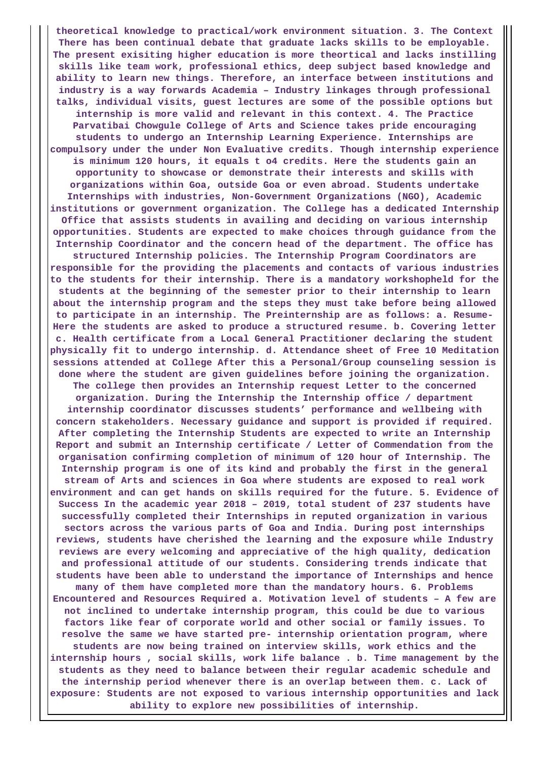**theoretical knowledge to practical/work environment situation. 3. The Context There has been continual debate that graduate lacks skills to be employable. The present exisiting higher education is more theortical and lacks instilling skills like team work, professional ethics, deep subject based knowledge and ability to learn new things. Therefore, an interface between institutions and industry is a way forwards Academia – Industry linkages through professional talks, individual visits, guest lectures are some of the possible options but internship is more valid and relevant in this context. 4. The Practice Parvatibai Chowgule College of Arts and Science takes pride encouraging students to undergo an Internship Learning Experience. Internships are compulsory under the under Non Evaluative credits. Though internship experience is minimum 120 hours, it equals t o4 credits. Here the students gain an opportunity to showcase or demonstrate their interests and skills with organizations within Goa, outside Goa or even abroad. Students undertake Internships with industries, Non-Government Organizations (NGO), Academic institutions or government organization. The College has a dedicated Internship Office that assists students in availing and deciding on various internship opportunities. Students are expected to make choices through guidance from the Internship Coordinator and the concern head of the department. The office has structured Internship policies. The Internship Program Coordinators are responsible for the providing the placements and contacts of various industries to the students for their internship. There is a mandatory workshopheld for the students at the beginning of the semester prior to their internship to learn about the internship program and the steps they must take before being allowed to participate in an internship. The Preinternship are as follows: a. Resume-Here the students are asked to produce a structured resume. b. Covering letter c. Health certificate from a Local General Practitioner declaring the student physically fit to undergo internship. d. Attendance sheet of Free 10 Meditation sessions attended at College After this a Personal/Group counseling session is done where the student are given guidelines before joining the organization. The college then provides an Internship request Letter to the concerned organization. During the Internship the Internship office / department internship coordinator discusses students' performance and wellbeing with concern stakeholders. Necessary guidance and support is provided if required. After completing the Internship Students are expected to write an Internship Report and submit an Internship certificate / Letter of Commendation from the organisation confirming completion of minimum of 120 hour of Internship. The Internship program is one of its kind and probably the first in the general stream of Arts and sciences in Goa where students are exposed to real work environment and can get hands on skills required for the future. 5. Evidence of Success In the academic year 2018 – 2019, total student of 237 students have successfully completed their Internships in reputed organization in various sectors across the various parts of Goa and India. During post internships reviews, students have cherished the learning and the exposure while Industry reviews are every welcoming and appreciative of the high quality, dedication and professional attitude of our students. Considering trends indicate that students have been able to understand the importance of Internships and hence many of them have completed more than the mandatory hours. 6. Problems Encountered and Resources Required a. Motivation level of students – A few are not inclined to undertake internship program, this could be due to various factors like fear of corporate world and other social or family issues. To resolve the same we have started pre- internship orientation program, where students are now being trained on interview skills, work ethics and the internship hours , social skills, work life balance . b. Time management by the students as they need to balance between their regular academic schedule and the internship period whenever there is an overlap between them. c. Lack of exposure: Students are not exposed to various internship opportunities and lack ability to explore new possibilities of internship.**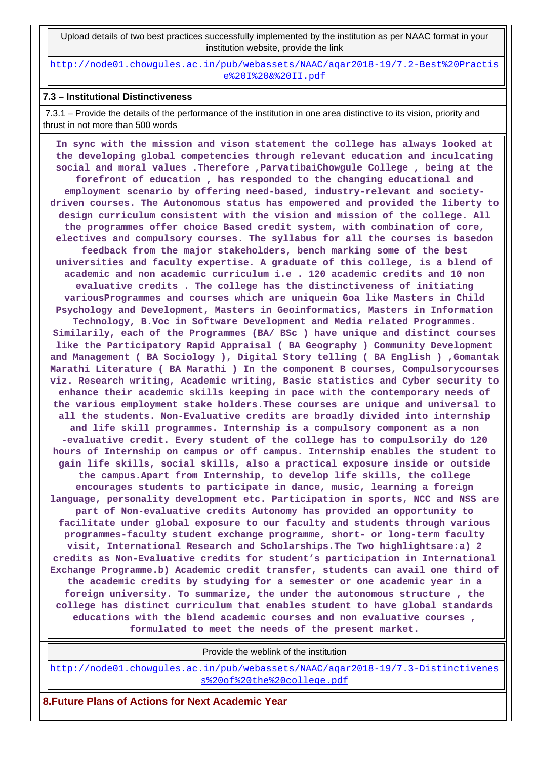Upload details of two best practices successfully implemented by the institution as per NAAC format in your institution website, provide the link

[http://node01.chowgules.ac.in/pub/webassets/NAAC/aqar2018-19/7.2-Best%20Practis](http://node01.chowgules.ac.in/pub/webassets/NAAC/aqar2018-19/7.2-Best%20Practise%20I%20&%20II.pdf) [e%20I%20&%20II.pdf](http://node01.chowgules.ac.in/pub/webassets/NAAC/aqar2018-19/7.2-Best%20Practise%20I%20&%20II.pdf)

#### **7.3 – Institutional Distinctiveness**

 7.3.1 – Provide the details of the performance of the institution in one area distinctive to its vision, priority and thrust in not more than 500 words

 **In sync with the mission and vison statement the college has always looked at the developing global competencies through relevant education and inculcating social and moral values .Therefore ,ParvatibaiChowgule College , being at the forefront of education , has responded to the changing educational and employment scenario by offering need-based, industry-relevant and societydriven courses. The Autonomous status has empowered and provided the liberty to design curriculum consistent with the vision and mission of the college. All the programmes offer choice Based credit system, with combination of core, electives and compulsory courses. The syllabus for all the courses is basedon feedback from the major stakeholders, bench marking some of the best universities and faculty expertise. A graduate of this college, is a blend of academic and non academic curriculum i.e . 120 academic credits and 10 non evaluative credits . The college has the distinctiveness of initiating variousProgrammes and courses which are uniquein Goa like Masters in Child Psychology and Development, Masters in Geoinformatics, Masters in Information Technology, B.Voc in Software Development and Media related Programmes. Similarily, each of the Programmes (BA/ BSc ) have unique and distinct courses like the Participatory Rapid Appraisal ( BA Geography ) Community Development and Management ( BA Sociology ), Digital Story telling ( BA English ) ,Gomantak Marathi Literature ( BA Marathi ) In the component B courses, Compulsorycourses viz. Research writing, Academic writing, Basic statistics and Cyber security to enhance their academic skills keeping in pace with the contemporary needs of the various employment stake holders.These courses are unique and universal to all the students. Non-Evaluative credits are broadly divided into internship and life skill programmes. Internship is a compulsory component as a non -evaluative credit. Every student of the college has to compulsorily do 120 hours of Internship on campus or off campus. Internship enables the student to gain life skills, social skills, also a practical exposure inside or outside the campus.Apart from Internship, to develop life skills, the college encourages students to participate in dance, music, learning a foreign language, personality development etc. Participation in sports, NCC and NSS are part of Non-evaluative credits Autonomy has provided an opportunity to facilitate under global exposure to our faculty and students through various programmes-faculty student exchange programme, short- or long-term faculty visit, International Research and Scholarships.The Two highlightsare:a) 2 credits as Non-Evaluative credits for student's participation in International Exchange Programme.b) Academic credit transfer, students can avail one third of the academic credits by studying for a semester or one academic year in a foreign university. To summarize, the under the autonomous structure , the college has distinct curriculum that enables student to have global standards educations with the blend academic courses and non evaluative courses , formulated to meet the needs of the present market.**

Provide the weblink of the institution

[http://node01.chowgules.ac.in/pub/webassets/NAAC/aqar2018-19/7.3-Distinctivenes](http://node01.chowgules.ac.in/pub/webassets/NAAC/aqar2018-19/7.3-Distinctiveness%20of%20the%20college.pdf) [s%20of%20the%20college.pdf](http://node01.chowgules.ac.in/pub/webassets/NAAC/aqar2018-19/7.3-Distinctiveness%20of%20the%20college.pdf)

**8.Future Plans of Actions for Next Academic Year**